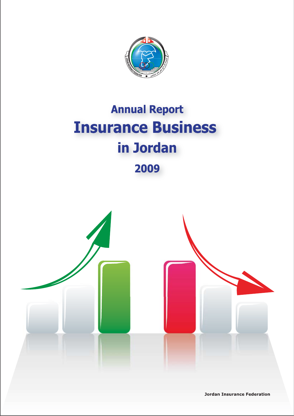

# **Annual Report Insurance Business** in Jordan

2009



**Jordan Insurance Federation**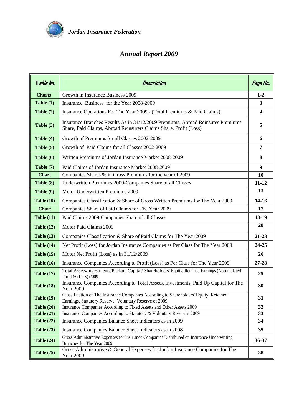

# *Annual Report 2009*

| Table No.         | Description                                                                                                                                          | Page No.                |  |  |  |  |  |  |
|-------------------|------------------------------------------------------------------------------------------------------------------------------------------------------|-------------------------|--|--|--|--|--|--|
| <b>Charts</b>     | Growth in Insurance Business 2009                                                                                                                    | $1 - 2$                 |  |  |  |  |  |  |
| Table $(1)$       | Insurance Business for the Year 2008-2009                                                                                                            |                         |  |  |  |  |  |  |
| Table $(2)$       | Insurance Operations For The Year 2009 - (Total Premiums & Paid Claims)                                                                              | $\overline{\mathbf{4}}$ |  |  |  |  |  |  |
| Table (3)         | Insurance Branches Results As in 31/12/2009 Premiums, Abroad Reinsures Premiums<br>Share, Paid Claims, Abroad Reinsurers Claims Share, Profit (Loss) | 5                       |  |  |  |  |  |  |
| Table (4)         | Growth of Premiums for all Classes 2002-2009                                                                                                         |                         |  |  |  |  |  |  |
| Table $(5)$       | Growth of Paid Claims for all Classes 2002-2009                                                                                                      | 7                       |  |  |  |  |  |  |
| Table (6)         | Written Premiums of Jordan Insurance Market 2008-2009                                                                                                | 8                       |  |  |  |  |  |  |
| Table (7)         | Paid Claims of Jordan Insurance Market 2008-2009                                                                                                     | 9                       |  |  |  |  |  |  |
| <b>Chart</b>      | Companies Shares % in Gross Premiums for the year of 2009                                                                                            | 10                      |  |  |  |  |  |  |
| Table (8)         | Underwritten Premiums 2009-Companies Share of all Classes                                                                                            | $11 - 12$               |  |  |  |  |  |  |
| Table (9)         | Motor Underwritten Premiums 2009                                                                                                                     | 13                      |  |  |  |  |  |  |
| Table $(10)$      | Companies Classification & Share of Gross Written Premiums for The Year 2009                                                                         | $14-16$                 |  |  |  |  |  |  |
| <b>Chart</b>      | Companies Share of Paid Claims for The Year 2009                                                                                                     | 17                      |  |  |  |  |  |  |
| Table $(11)$      | Paid Claims 2009-Companies Share of all Classes                                                                                                      | 18-19                   |  |  |  |  |  |  |
| Table $(12)$      | Motor Paid Claims 2009                                                                                                                               | 20                      |  |  |  |  |  |  |
| Table $(13)$      | Companies Classification & Share of Paid Claims for The Year 2009                                                                                    | $21 - 23$               |  |  |  |  |  |  |
| Table $(14)$      | Net Profit (Loss) for Jordan Insurance Companies as Per Class for The Year 2009                                                                      | 24-25                   |  |  |  |  |  |  |
| Table $(15)$      | Motor Net Profit (Loss) as in 31/12/2009                                                                                                             | 26                      |  |  |  |  |  |  |
| Table $(16)$      | Insurance Companies According to Profit (Loss) as Per Class for The Year 2009                                                                        | $27 - 28$               |  |  |  |  |  |  |
| <b>Table (17)</b> | Total Assets/Investments/Paid-up Capital/ Shareholders' Equity/ Retained Earnings (Accumulated<br>Profit & (Loss))2009                               | 29                      |  |  |  |  |  |  |
| Table $(18)$      | Insurance Companies According to Total Assets, Investments, Paid Up Capital for The<br><b>Year 2009</b>                                              | 30                      |  |  |  |  |  |  |
| Table $(19)$      | Classification of The Insurance Companies According to Shareholders' Equity, Retained<br>Earnings, Statutory Reserve, Voluntary Reserve of 2009      | 31                      |  |  |  |  |  |  |
| Table $(20)$      | Insurance Companies According to Fixed Assets and Other Assets 2009                                                                                  | 32                      |  |  |  |  |  |  |
| <b>Table (21)</b> | Insurance Companies According to Statutory & Voluntary Reserves 2009                                                                                 | 33                      |  |  |  |  |  |  |
| Table $(22)$      | Insurance Companies Balance Sheet Indicators as in 2009                                                                                              | 34                      |  |  |  |  |  |  |
| Table $(23)$      | Insurance Companies Balance Sheet Indicators as in 2008                                                                                              | 35                      |  |  |  |  |  |  |
| Table $(24)$      | Gross Administrative Expenses for Insurance Companies Distributed on Insurance Underwriting<br>Branches for The Year 2009                            | $36 - 37$               |  |  |  |  |  |  |
| Table $(25)$      | Gross Administrative & General Expenses for Jordan Insurance Companies for The<br><b>Year 2009</b>                                                   | 38                      |  |  |  |  |  |  |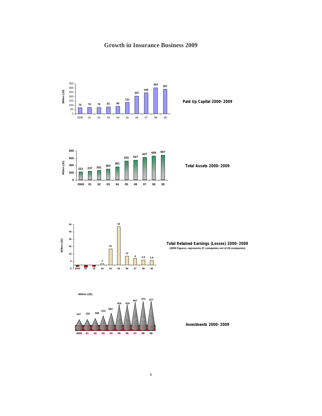# **Growth in Insurance Business 2009**



**Paid Up Capital 2000-2009**



**Total Assets 2000-2009**



**Total Retained Earnings (Losses) 2000-2009 (2009 Figures, represents 27 companies out of 28 companies)**



**Investments 2000-2009**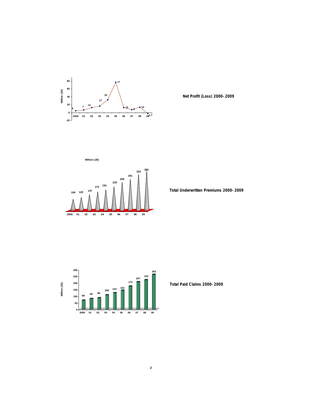

 **Net Profit (Loss) 2000-2009**



 **Total Underwritten Premiums 2000-2009**



 **Total Paid Claims 2000-2009**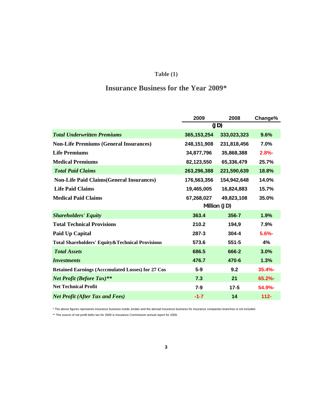# **Table (1)**

# **Insurance Business for the Year 2009\***

|                                                          | 2009          | 2008         | Change%  |
|----------------------------------------------------------|---------------|--------------|----------|
|                                                          |               | (JD)         |          |
| <b>Total Underwritten Premiums</b>                       | 365, 153, 254 | 333,023,323  | 9.6%     |
| <b>Non-Life Premiums (General Insurances)</b>            | 248,151,908   | 231,818,456  | 7.0%     |
| <b>Life Premiums</b>                                     | 34,877,796    | 35,868,388   | $2.8% -$ |
| <b>Medical Premiums</b>                                  | 82,123,550    | 65,336,479   | 25.7%    |
| <b>Total Paid Claims</b>                                 | 263,296,388   | 221,590,639  | 18.8%    |
| <b>Non-Life Paid Claims(General Insurances)</b>          | 176,563,356   | 154,942,648  | 14.0%    |
| <b>Life Paid Claims</b>                                  | 19,465,005    | 16,824,883   | 15.7%    |
| <b>Medical Paid Claims</b>                               | 67,268,027    | 49,823,108   | 35.0%    |
|                                                          |               | Million (JD) |          |
| <b>Shareholders' Equity</b>                              | 363.4         | 356.7        | 1.9%     |
| <b>Total Technical Provisions</b>                        | 210.2         | 194,9        | 7.9%     |
| Paid Up Capital                                          | 287.3         | 304.4        | 5.6%     |
| Total Shareholders' Equity & Technical Provisions        | 573.6         | 551.5        | 4%       |
| <b>Total Assets</b>                                      | 686.5         | 666.2        | 3.0%     |
| <b>Investments</b>                                       | 476.7         | 470.6        | 1.3%     |
| <b>Retained Earnings (Acccmulated Losses) for 27 Cos</b> | 5.9           | 9.2          | 35.4%    |
| <b>Net Profit (Before Tax)**</b>                         | 7.3           | 21           | 65.2%    |
| <b>Net Technical Profit</b>                              | 7.9           | 17.5         | 54.9%-   |
| <b>Net Profit (After Tax and Fees)</b>                   | $-1.7$        | 14           | $112 -$  |

\* The above figures represents insurance business inside Jordan and the abroad Insurance business for insurance companies branches is not included.

\*\* The source of net profit befor tax for 2009 is Insurance Commission annual report for 2009.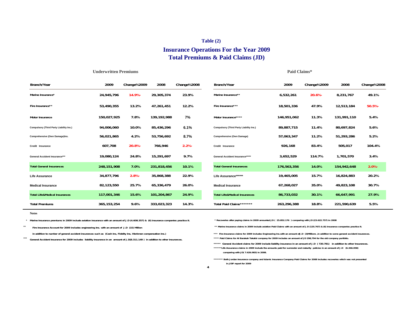#### **Table (2)**

### **Insurance Operations For the Year 2009 Total Premiums & Paid Claims (JD)**

| Branch/Year                              | 2009          | Change%2009 | 2008        | Change%2008 | Branch/Year                                    | 2009        | Change%2009 | 2008        | Change%2008 |
|------------------------------------------|---------------|-------------|-------------|-------------|------------------------------------------------|-------------|-------------|-------------|-------------|
| Marine Insurance*                        | 24,945,796    | $14.9% -$   | 29,305,374  | 23.9%       | Marine Insurance**                             | 6,532,261   | $20.6% -$   | 8,231,767   | 49.1%       |
| Fire Insurance**                         | 53,490,355    | 13.2%       | 47,261,451  | 12.2%       | Fire Insurance***                              | 18,501,336  | 47.9%       | 12,513,184  | $50.5% -$   |
| <b>Motor Insurance</b>                   | 150,027,925   | 7.8%        | 139,192,988 | 7%          | Motor Insurance****                            | 146,951,062 | 11.3%       | 131,991,110 | 5.4%        |
| Compulsory (Third Party Liability Ins.)  | 94,006,060    | 10.0%       | 85,436,296  | 6.1%        | <b>Compulsory (Third Party Liability Ins.)</b> | 89,887,715  | 11.4%       | 80,697,824  | 5.6%        |
| Comprehensive (Own Damage)Ins.           | 56,021,865    | 4.2%        | 53,756,692  | 8.7%        | <b>Comprehensive (Own Damage)</b>              | 57,063,347  | 11.2%       | 51,293,286  | 5.2%        |
| Credit Insurance                         | 607,708       | $20.8% -$   | 766,946     | $2.2% -$    | Credit Insurance                               | 926,168     | 83.4%       | 505,017     | 104.4%      |
| <b>General Accident Insurance***</b>     | 19,080,124    | 24.8%       | 15,291,697  | 9.7%        | <b>General Accident Insurance*****</b>         | 3,652,529   | 114.7%      | 1,701,570   | 3.4%        |
| <b>Total General Insurances</b>          | 248,151,908   | 7.0%        | 231,818,456 | 10.1%       | <b>Total General Insurances</b>                | 176,563,356 | 14.0%       | 154,942,648 | $2.0% -$    |
| <b>Life Assurance</b>                    | 34,877,796    | $2.8% -$    | 35,868,388  | 22.9%       | Life Assurance******                           | 19,465,005  | 15.7%       | 16,824,883  | 20.2%       |
| <b>Medical Insurance</b>                 | 82,123,550    | 25.7%       | 65,336,479  | 26.0%       | <b>Medical Insurance</b>                       | 67,268,027  | 35.0%       | 49,823,108  | 30.7%       |
| <b>Total Life&amp;Medical Insurances</b> | 117,001,346   | 15.6%       | 101,204,867 | 24.9%       | <b>Total Life&amp;Medical Insurances</b>       | 86,733,032  | 30.1%       | 66,647,991  | 27.9%       |
| <b>Total Premiums</b>                    | 365, 153, 254 | 9.6%        | 333,023,323 | 14.3%       | Total Paid Claims********                      | 263,296,388 | 18.8%       | 221,590,639 | 5.5%        |

**Notes**

\* **Marine Insurance premiums in 2009 include aviation insurance with an amount of J.D (4.608.357) & (6) insurance companies practice it.**

**Underwritten Premiums**

\*\* **Fire Insurance Account for 2009 includes engineering Ins. with an amount of J.D (15) Million** 

 **in addition to number of general accident insurances such as (Cash Ins, Fidelity Ins, Workmen compensation Ins.)** 

\*\*\***General Accident Insurance for 2009 includes liability insurance in an amount of J.D(8.311.149 ) in addition to other insurances.**   **\* Recoveries after paying claims in 2009 amounted JD ( 25.852.176 ) comparing with JD (23.622.757) in 2008**

 **\*\* Marine Insurance claims in 2009 include aviation Paid Claims with an amount of J.D (125.767) & (6) insurance companies practice it.** 

**\*\*\*\* Paid Claims for Al Barakah Takaful company for 2009 includes an amount of JD 298,794 for the old company portfolio.** \*\*\* Fire Insurance claims for 2009 includes Engineering Ins.with an amount ofJ.D (3)Millions ,in addition to some general accident insurances.

**Paid Claims\***

\*\*\*\*\*\*Life Assurance claims in 2009 include the amounts paid for surrender and maturity policies in an amount of J.D (6.266.058)  **comparing with JD( 7.626.983) in 2008. \*\*\*\*\* General Accident claims for 2009 include liability insurance in an amount of J.D ( 720.781) in addition to other Insurances.**

 **in JOIF report for 2009 \*\*\*\*\*\*\* Both Jordan Insurance company and Islamic Insurance Company Paid Claims for 2008 includes recoveries which was not presented**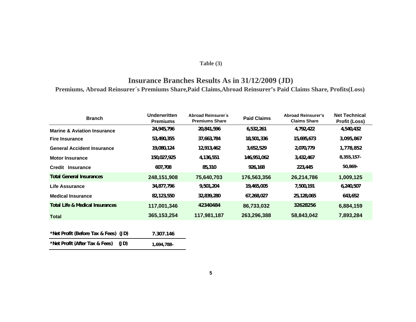### **Table (3)**

# **Insurance Branches Results As in 31/12/2009 (JD)**

**Premiums, Abroad Reinsurer´s Premiums Share,Paid Claims,Abroad Reinsurer's Paid Claims Share, Profits(Loss)**

| <b>Branch</b>                              | <b>Underwritten</b><br><b>Premiums</b> | Abroad Reinsurer's<br><b>Premiums Share</b> | <b>Paid Claims</b> | <b>Abroad Reinsurer's</b><br><b>Claims Share</b> | <b>Net Technical</b><br><b>Profit (Loss)</b> |
|--------------------------------------------|----------------------------------------|---------------------------------------------|--------------------|--------------------------------------------------|----------------------------------------------|
| <b>Marine &amp; Aviation Insurance</b>     | 24,945,796                             | 20,841,596                                  | 6,532,261          | 4,792,422                                        | 4,540,432                                    |
| <b>Fire Insurance</b>                      | 53,490,355                             | 37,663,784                                  | 18,501,336         | 15,695,673                                       | 3,095,867                                    |
| <b>General Accident Insurance</b>          | 19,080,124                             | 12,913,462                                  | 3,652,529          | 2,070,779                                        | 1,778,852                                    |
| <b>Motor Insurance</b>                     | 150,027,925                            | 4,136,551                                   | 146,951,062        | 3,432,467                                        | $8,355,157-$                                 |
| Credit Insurance                           | 607,708                                | 85,310                                      | 926,168            | 223,445                                          | $50,869 -$                                   |
| <b>Total General Insurances</b>            | 248,151,908                            | 75,640,703                                  | 176,563,356        | 26,214,786                                       | 1,009,125                                    |
| Life Assurance                             | 34,877,796                             | 9,501,204                                   | 19,465,005         | 7,500,191                                        | 6,240,507                                    |
| <b>Medical Insurance</b>                   | 82,123,550                             | 32,839,280                                  | 67,268,027         | 25,128,065                                       | 643,652                                      |
| <b>Total Life &amp; Medical Insurances</b> | 117,001,346                            | 42340484                                    | 86,733,032         | 32628256                                         | 6,884,159                                    |
| <b>Total</b>                               | 365, 153, 254                          | 117,981,187                                 | 263,296,388        | 58,843,042                                       | 7,893,284                                    |

| *Net Profit (Before Tax & Fees) (JD) |      | 7.307.146  |
|--------------------------------------|------|------------|
| *Net Profit (After Tax & Fees)       | (JD) | 1.694.788- |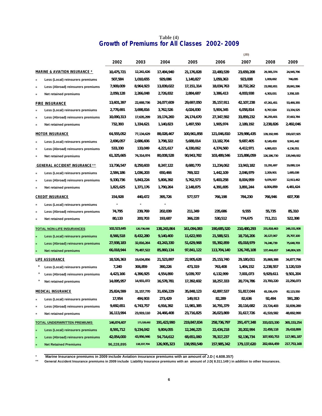### **Table (4) Growth of Premiums for All Classes 2002-2009**

|         |                                          |             |              |             |              |              | (JD)         |             |               |
|---------|------------------------------------------|-------------|--------------|-------------|--------------|--------------|--------------|-------------|---------------|
|         |                                          | 2002        | 2003         | 2004        | 2005         | 2006         | 2007         | 2008        | 2009          |
|         | <b>MARINE &amp; AVIATION INSURANCE *</b> | 10,475,721  | 12,241,626   | 17,494,940  | 21,176,828   | 22,480,539   | 23,659,208   | 29,305,374  | 24,945,796    |
| $\star$ | Less (Local) reinsurers premiums         | 507,584     | 1,010,655    | 929,086     | 1,140,827    | 1,059,363    | 923,008      | 1,009,692   | 746,095       |
| $\star$ | Less (Abroad) reinsurers premiums        | 7,909,009   | 8,964,923    | 13,839,022  | 17, 151, 314 | 18,034,763   | 18,732,262   | 23,992,651  | 20,841,596    |
| $\star$ | Net retained premiums                    | 2,059,128   | 2,266,048    | 2,726,832   | 2,884,687    | 3,386,413    | 4,003,938    | 4,303,031   | 3,358,105     |
|         | <b>FIRE INSURANCE</b>                    | 13,601,397  | 22,668,736   | 24,077,609  | 29,697,050   | 35,157,911   | 42, 107, 238 | 47,261,451  | 53,490,355    |
|         | Less (Local) reinsurers premiums         | 2,778,691   | 3,698,816    | 3,762,526   | 4,024,830    | 5,904,345    | 6,058,814    | 8,767,024   | 13,334,525    |
| $\star$ | Less (Abroad) reinsurers premiums        | 10,090,313  | 17,635,299   | 19,174,260  | 24,174,670   | 27,347,592   | 33,859,232   | 36,255,601  | 37,663,784    |
| $\star$ | Net retained premiums                    | 732,393     | 1,334,621    | 1,140,823   | 1,497,550    | 1,905,974    | 2,189,192    | 2,238,826   | 2,492,046     |
|         | <b>MOTOR INSURANCE</b>                   | 64,555,052  | 77,134,629   | 88,028,467  | 100,961,858  | 121,046,810  | 129,986,435  | 139,192,995 | 150,027,925   |
|         | Less (Local) reinsurers premiums         | 2,696,057   | 2,686,606    | 3,798,322   | 5,688,014    | 13,182,704   | 9,687,405    | 8,140,450   | 9,941,442     |
| $\star$ | Less (Abroad) reinsurers premiums        | 533,330     | 133,049      | 4,221,617   | 4,330,062    | 4,374,560    | 4,412,971    | 4,865,815   | 4,136,551     |
| $\star$ | Net retained premiums                    | 61,325,665  | 74,314,974   | 80,008,528  | 90,943,782   | 103,489,546  | 115,886,059  | 126,186,730 | 135,949,932   |
|         | <b>GENERAL ACCIDENT INSURANCE **</b>     | 13,736,547  | 8,250,603    | 8,247,122   | 8,680,770    | 11,234,062   | 13,943,182   | 15,291,697  | 19,080,124    |
|         | Less (Local) reinsurers premiums         | 2,584,186   | 1,036,203    | 650,466     | 769,322      | 1,442,109    | 2,046,979    | 2,209,901   | 1,685,038     |
| $\star$ | Less (Abroad) reinsurers premiums        | 9,330,736   | 5,843,224    | 5,806,392   | 5,762,573    | 5,400,258    | 8,004,959    | 9,076,937   | 12,913,462    |
| $\star$ | Net retained premiums                    | 1,821,625   | 1,371,176    | 1,790,264   | 2,148,875    | 4,391,695    | 3,891,244    | 4,004,859   | 4,481,624     |
|         | <b>CREDIT INSURANCE</b>                  | 154,928     | 440,472      | 395,726     | 577,577      | 766,198      | 784,230      | 766,946     | 607,708       |
| $\star$ | Less (Local) reinsurers premiums         |             |              |             |              |              |              |             |               |
| $\star$ | Less (Abroad) reinsurers premiums        | 74,795      | 239,769      | 202,039     | 211,349      | 235,686      | 9,555        | 55,735      | 85,310        |
|         | Net retained premiums                    | 80,133      | 200,703      | 193,687     | 366,228      | 530,512      | 774,675      | 711,211     | 522,398       |
|         | <b>TOTAL NON-LIFE INSURANCES</b>         | 102,523,645 | 120,736,066  | 138,243,864 | 161,094,083  | 190,685,520  | 210,480,293  | 231,818,463 | 248, 151, 908 |
|         | Less (Local) reinsurers premiums         | 8,566,518   | 8,432,280    | 9,140,400   | 11,622,993   | 21,588,521   | 18,716,206   | 20,127,067  | 25,707,100    |
|         | Less (Abroad) reinsurers premiums        | 27,938,183  | 32,816,264   | 43,243,330  | 51,629,968   | 55,392,859   | 65,018,979   | 74,246,739  | 75,640,703    |
|         | <b>Net retained premiums</b>             | 66,018,944  | 79,487,522   | 85,860,134  | 97,841,122   | 113,704,140  | 126,745,108  | 137,444,657 | 146,804,105   |
|         | <b>LIFE ASSURANCE</b>                    | 18,526,363  | 19,634,856   | 21,523,897  | 22,905,628   | 25, 153, 740 | 29,180,011   | 35,868,388  | 34,877,796    |
|         | Less (Local) reinsurers premiums         | 7,240       | 306,859      | 390,226     | 473,319      | 763,408      | 1,404,152    | 2,238,557   | 3,120,519     |
|         | Less (Abroad) reinsurers premiums        | 4,423,166   | 4,396,925    | 4,554,890   | 5,039,707    | 6,132,999    | 7,001,073    | 9,929,611   | 9,501,204     |
|         | Net retained premiums                    | 14,095,957  | 14,931,072   | 16,578,781  | 17,392,602   | 18,257,333   | 20,774,786   | 23,700,220  | 22,256,073    |
|         | <b>MEDICAL INSURANCE</b>                 | 25,824,599  | 31, 157, 770 | 31,656,229  | 35,848,123   | 42,897,537   | 51,817,044   | 65,336,479  | 82,123,550    |
| $\star$ | Less (Local) reinsurers premiums         | 17,954      | 494,903      | 273,429     | 149,913      | 82,289       | 82,636       | 92,494      | 591,280       |
|         | Less (Abroad) reinsurers premiums        | 9,692,651   | 6,743,757    | 6,916,392   | 11,981,385   | 16,791,379   | 20,116,682   | 23,724,403  | 32,839,280    |
| $\star$ | Net retained premiums                    | 16,113,994  | 23,919,110   | 24,466,408  | 23,716,825   | 26,023,869   | 31,617,726   | 41,519,582  | 48,692,990    |
|         | <b>TOTAL UNDERWRITTEN PREMIUMS</b>       | 146,874,607 | 171,528,692  | 191,423,990 | 219,847,834  | 258,736,797  | 291,477,348  | 333,023,330 | 365, 153, 254 |
|         | Less (Local) reinsurers premiums         | 8,591,712   | 9,234,042    | 9,804,055   | 12,246,225   | 22,434,218   | 20,202,994   | 22,458,118  | 29,418,899    |
|         | Less (Abroad) reinsurers premiums        | 42,054,000  | 43,956,946   | 54,714,612  | 68,651,060   | 78,317,237   | 92,136,734   | 107,900,753 | 117,981,187   |
|         | <b>Net Retained Premiums</b>             | 96,228,895  | 118,337,704  | 126,905,323 | 138,950,549  | 157,985,342  | 179,137,620  | 202,664,459 | 217,753,168   |

\*  **Marine Insurance premiums in 2009 include Aviation insurance premiums with an amount of J.D ( 4.608.357)**

\*\* **General Accident Insurance premiums in 2009 include Liability Insurance premiums with an amount of J.D( 8.311.149 ) in addition to other Insurances.**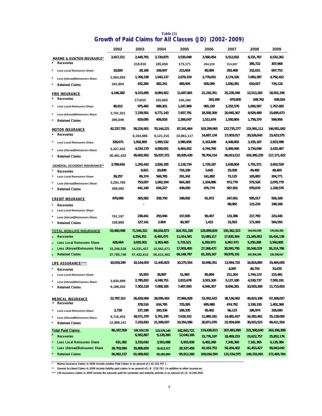|                                                              | 2002       | 2003               | 2004                  | 2005                  | 2006         | 2007                  | 2008                    | 2009                    |
|--------------------------------------------------------------|------------|--------------------|-----------------------|-----------------------|--------------|-----------------------|-------------------------|-------------------------|
| <b>MARINE &amp; AVIATION INSURANCE*</b>                      | 2,417,211  | 2,445,701          | 2,720,875             | 3,535,048             | 3,560,454    | 5,512,832             | 8,231,767               | 6,532,261               |
| $\ast$<br><b>Recoveries</b>                                  |            | 218,910            | 185,650               | 173,171               | 204,229      | 214,657               | 385,722                 | 307,968                 |
| <b>Less Local Reinsurers Share</b>                           | 10,824     | 28,169             | 109,847               | 213,654               | 80,084       | 293,468               | 152,631                 | 697,753                 |
|                                                              | 2,064,583  | 1,766,338          | 1,943,137             | 2,679,319             | 2,770,051    | 3,174,326             | 7,083,387               | 4,792,422               |
| Less (Abroad)Reinsurers Share<br>×<br><b>Retained Claims</b> | 341,804    | 432,284            | 482,241               | 468,904               | 506,090      | 1,830,381             | 610,027                 | 734,118                 |
|                                                              |            |                    |                       |                       |              |                       |                         |                         |
| <b>FIRE INSURANCE</b>                                        | 4,146,282  | 9,215,695          | 8,084,922             | 11,607,891            | 21,218,351   | 25,228,349            | 12,513,183              | 18,501,336              |
| Recoveries                                                   |            | 171634             | 165,660               | 156,184               | 183,209      | 479,600               | 168,762                 | 438,024                 |
| <b>Less Local Reinsurers Share</b>                           | 49,912     | 975,465            | 689,301               | 1,247,869             | 965,159      | 2,252,578             | 1,656,567               | 1,767,683               |
| Less (Abroad)Reinsurers Share                                | 3,701,321  | 7,239,501          | 6,771,143             | 7,937,791             | 18,558,309   | 20,945,367            | 8,929,480               | 15,695,673              |
| <b>Retained Claims</b>                                       | 395,049    | 829,095            | 458,818               | 2,266,047             | 1,511,674    | 1,550,804             | 1,758,374               | 599,956                 |
| <b>MOTOR INSURANCE</b>                                       | 42,237,755 | 58,224,901         | 70,144,221            | 87,241,664            | 103,299,965  | 122,735,277           | 131,991,111             | 146,951,062             |
| Recoveries                                                   |            | 6,154,886          | 8,121,316             | 10,861,117            | 14,687,134   | 17,003,017            | 20,526,643              | 23,423,575              |
| <b>Less Local Reinsurers Share</b>                           | 328,671    | 1,932,893          | 1,995,532             | 3,980,656             | 5,163,848    | 4,348,802             | 3,335,187               | 2,923,598               |
|                                                              | 5,427,652  | 4,534,170          | 4,990,001             | 6,464,452             | 4,744,769    | 5,369,946             | 3,734,046               | 3,432,467               |
| Less (Abroad)Reinsurers Share                                | 36,481,432 | 45,602,952         | 55,037,372            | 65,935,439            | 78,704,214   | 96,013,512            | 104,395,235             | 117, 171, 422           |
| <b>Retained Claims</b>                                       |            |                    |                       |                       |              |                       |                         |                         |
| <b>GENERAL ACCIDENT INSURANCE**</b>                          | 3,789,634  | 1,292,442          | 2,826,105             | 2,118,734             | 1,729,187    | 1,638,804             | 1,701,571               | 3,652,529               |
| <b>Recoveries</b>                                            |            | 8,921              | 20,849                | 724,109               | 5,645        | 25,008                | 49,492                  | 48,403                  |
| <b>Less Local Reinsurers Share</b>                           | 39,257     | 89,374             | 568,785               | 291,342               | 141,882      | 73,125                | 105,883                 | 204,771                 |
| Less (Abroad)Reinsurers Share                                | 3,291,785  | 753,007<br>441,140 | 1,602,244             | 664,283               | 1,104,886    | 972,770               | 575,526                 | 2,070,779               |
| <b>Retained Claims</b>                                       | 458,592    |                    | 634,227               | 439,000               | 476,774      | 567,901               | 970,670                 | 1,328,576               |
| <b>CREDIT INSURANCE</b>                                      | 870,066    | 365,582            | 258,750               | 198,002               | 91,872       | 247,061               | 505,017                 | 926,168                 |
| <b>Recoveries</b>                                            |            |                    |                       |                       |              | 98,082                | 115,234                 | 198,168                 |
| <b>Less Local Reinsurers Share</b>                           |            |                    |                       |                       |              |                       |                         |                         |
| Less (Abroad)Reinsurers Share                                | 761,197    | 238,441            | 255,946               | 157,605               | 90,457       | 133,386               | 217,790                 | 223,445                 |
| ×<br><b>Retained Claims</b>                                  | 108,869    | 127,141            | 2.804                 | 40,397                | 1,415        | 15,593                | 171,993                 | 504,555                 |
| <b>TOTAL NON-LIFE INSURANCE</b>                              | 53,460,948 | 71,544,321         | 84,034,873            | 104,701,339           | 129,899,829  | 155, 362, 323         | 154,942,649             | 176,563,356             |
| <b>Recoveries</b>                                            |            | 6,554,351          | 8,493,475             | 11,914,581            | 15,080,217   | 17,820,364            | 21,245,853              | 24,416,138              |
| Less Local Reinsurers Share                                  | 428,664    | 3,025,901          | 3,363,465             | 5,733,521             | 6,350,973    | 6,967,973             | 5,250,268               | 5,593,805               |
| Less (Abroad) Reinsurers Share                               | 15,246,538 | 14,531,457         | 15,562,471            | 17,903,450            | 27,268,472   | 30,595,795            | 20,540,229              | 26,214,786              |
| <b>Retained Claims</b>                                       | 37,785,746 | 47,432,612         | 56,615,462            | 69,149,787            | 81,200,167   | 99,978,191            | 107,906,299             | 120,338,627             |
| <b>LIFE ASSURANCE ***</b>                                    | 10,019,249 | 10,144,003         | 11,445,823            | 10,275,554            | 10,946,351   | 13,994,725            | 16,824,883              | 19,465,005              |
| <b>Recoveries</b>                                            |            |                    |                       |                       |              | 4,097                 | 46,754                  | 33,670                  |
| <b>Less Local Reinsurers Share</b>                           |            | 55,953             | 28,887                | 51,983                | 85,894       | 211,264               | 1,744,123               | 215,491                 |
| Less (Abroad)Reinsurers Share                                | 3,830,999  | 2,785,832          | 4,348,751             | 2,815,678             | 3,915,100    | 5,127,180             | 4,530,737               | 7,500,191               |
| <b>Retained Claims</b>                                       | 6,188,250  | 7,302,218          | 7,068,185             | 7,407,893             | 6,945,357    | 8,656,281             | 10,503,269              | 11,715,653              |
|                                                              |            | 26,420,906         |                       |                       | 33,592,633   |                       |                         |                         |
| <u>MEDICAL INSURANCE</u><br>Recoveries<br>*                  | 22,707,312 | 378,516            | 28,095,453<br>634,785 | 27,866,828<br>725,585 | 695,980      | 38,126,942<br>674,792 | 49,823,108<br>2,330,150 | 67,268,027<br>1,402,368 |
| <b>Less Local Reinsurers Share</b>                           | 2,718      | 237,188            | 160,336               | 168,335               | 45,402       | 66,123                | 186,974                 | 326,090                 |
| Less (Abroad)Reinsurers Share                                | 9,716,453  | 18,571,370         | 5,701,295             | 7,618,322             | 11,980,181   | 14,481,427            | 16,382,461              | 25,128,065              |
| <b>Retained Claims</b>                                       | 12,988,141 | 7,233,832          | 21,599,037            | 19,354,586            | 20,871,070   | 22,904,600            | 30,923,523              | 40,411,504              |
| <b>Total Paid Claims</b>                                     | 86,187,509 | 108,109,230        | 123,576,149           | 142,843,721           | 174,438,813  | 207,483,990           | 221,590,640             | 263,296,388             |
| <b>Recoveries</b>                                            |            | 6,932,867          | 9,128,260             | 12,640,166            | 15,776,197   | 18,499,253            | 23,622,757              | 25,852,176              |
| Less Local Reinsurers Share                                  | 431,382    | 3,319,042          | 3,552,688             | 5,953,839             | 6,482,269    | 7,245,360             | 7,181,365               | 6,135,386               |
| Less (Abroad) Reinsurers Share                               | 28,793,990 | 35,888,659         | 25,612,517            | 28,337,450            | 43, 163, 753 | 50,204,402            | 41,453,427              | 58,843,042              |
| <b>Retained Claims</b>                                       | 56,962,137 | 61,968,662         | 85,282,684            | 95,912,266            | 109,016,594  | 131,534,975           | 149,333,091             | 172,465,784             |

### **Growth of Paid Claims for All Classes (JD) (2002-2009) Table (5)**

**\* Marine insurance Claims in 2009 include aviation Paid Claims in an amount of J.D( 125.767 ) .**

**\*\* General Accident Claims in 2009 include liability paid claims in an amount of J.D (720.781 ) in addition to other insurances.**

**\*\*\* Life Assurance claims in 2009 include the amounts paid for surrender and maturity policies in an amount of J.D (6.266.058)**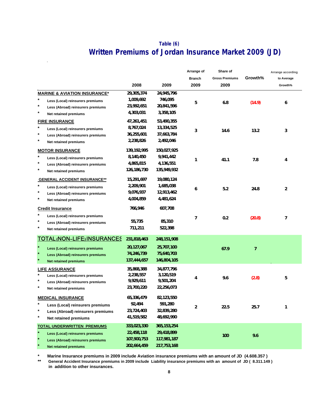# **Table (6) Written Premiums of Jordan Insurance Market 2009 (JD)**

 $\hat{\mathbf{r}}$ 

|                                                |               |               | Arrange of<br><b>Branch</b> | Share of<br><b>Gross Premiums</b> | Growth%        | Arrange according<br>to Average |
|------------------------------------------------|---------------|---------------|-----------------------------|-----------------------------------|----------------|---------------------------------|
|                                                | 2008          | 2009          | 2009                        | 2009                              |                | Growth%                         |
| <b>MARINE &amp; AVIATION INSURANCE*</b>        | 29,305,374    | 24,945,796    |                             |                                   |                |                                 |
| $^\star$<br>Less (Local) reinsurers premiums   | 1,009,692     | 746,095       | 5                           | 6.8                               | (14.9)         | 6                               |
| $^\star$<br>Less (Abroad) reinsurers premiums  | 23,992,651    | 20,841,596    |                             |                                   |                |                                 |
| $^\star$<br>Net retained premiums              | 4,303,031     | 3,358,105     |                             |                                   |                |                                 |
| <b>FIRE INSURANCE</b>                          | 47,261,451    | 53,490,355    |                             |                                   |                |                                 |
| $^{\star}$<br>Less (Local) reinsurers premiums | 8,767,024     | 13,334,525    | 3                           | 14.6                              | 13.2           | 3                               |
| $^\star$<br>Less (Abroad) reinsurers premiums  | 36,255,601    | 37,663,784    |                             |                                   |                |                                 |
| $^\star$<br>Net retained premiums              | 2,238,826     | 2,492,046     |                             |                                   |                |                                 |
| <b>MOTOR INSURANCE</b>                         | 139,192,995   | 150,027,925   |                             |                                   |                |                                 |
| $^\star$<br>Less (Local) reinsurers premiums   | 8,140,450     | 9,941,442     | 1                           | 41.1                              | 7.8            | 4                               |
| $^\star$<br>Less (Abroad) reinsurers premiums  | 4,865,815     | 4,136,551     |                             |                                   |                |                                 |
| $^\star$<br>Net retained premiums              | 126, 186, 730 | 135,949,932   |                             |                                   |                |                                 |
| <b>GENERAL ACCIDENT INSURANCE**</b>            | 15,291,697    | 19,080,124    |                             |                                   |                |                                 |
| $^\star$<br>Less (Local) reinsurers premiums   | 2,209,901     | 1,685,038     | 6                           | 5.2                               | 24.8           | 2                               |
| $^\star$<br>Less (Abroad) reinsurers premiums  | 9,076,937     | 12,913,462    |                             |                                   |                |                                 |
| $^\star$<br>Net retained premiums              | 4,004,859     | 4,481,624     |                             |                                   |                |                                 |
| <b>Credit Insurance</b>                        | 766,946       | 607,708       |                             |                                   |                |                                 |
| $\star$<br>Less (Local) reinsurers premiums    |               |               | 7                           | 0.2                               | (20.8)         | 7                               |
| $^\star$<br>Less (Abroad) reinsurers premiums  | 55,735        | 85,310        |                             |                                   |                |                                 |
| $^\star$<br>Net retained premiums              | 711,211       | 522,398       |                             |                                   |                |                                 |
| <b>TOTAL (NON-LIFE) INSURANCES</b>             | 231,818,463   | 248, 151, 908 |                             |                                   |                |                                 |
| $\star$<br>Less (Local) reinsurers premiums    | 20,127,067    | 25,707,100    |                             | 67.9                              | $\overline{7}$ |                                 |
| $\star$<br>Less (Abroad) reinsurers premiums   | 74,246,739    | 75,640,703    |                             |                                   |                |                                 |
| $\star$<br><b>Net retained premiums</b>        | 137,444,657   | 146,804,105   |                             |                                   |                |                                 |
| <b>LIFE ASSURANCE</b>                          | 35,868,388    | 34,877,796    |                             |                                   |                |                                 |
| $^\star$<br>Less (Local) reinsurers premiums   | 2,238,557     | 3,120,519     | 4                           | 9.6                               | (2.8)          | 5                               |
| *<br>Less (Abroad) reinsurers premiums         | 9,929,611     | 9,501,204     |                             |                                   |                |                                 |
| $^\star$<br>Net retained premiums              | 23,700,220    | 22,256,073    |                             |                                   |                |                                 |
| <b>MEDICAL INSURANCE</b>                       | 65,336,479    | 82,123,550    |                             |                                   |                |                                 |
| Less (Local) reinsurers premiums               | 92,494        | 591,280       | 2                           | 22.5                              | 25.7           | 1                               |
| $\ast$<br>Less (Abroad) reinsurers premiums    | 23,724,403    | 32,839,280    |                             |                                   |                |                                 |
| $\pmb{\ast}$<br>Net retained premiums          | 41,519,582    | 48,692,990    |                             |                                   |                |                                 |
| <b>TOTAL UNDERWRITTEN PREMIUMS</b>             | 333,023,330   | 365, 153, 254 |                             |                                   |                |                                 |
| $\star$<br>Less (Local) reinsurers premiums    | 22,458,118    | 29,418,899    |                             | 100                               | 9.6            |                                 |
| Less (Abroad) reinsurers premiums              | 107,900,753   | 117,981,187   |                             |                                   |                |                                 |
| <b>Net retained premiums</b>                   | 202,664,459   | 217,753,168   |                             |                                   |                |                                 |

**\* Marine Insurance premiums in 2009 include Aviation insurance premiums with an amount of JD (4.608.357 )**

**\*\* in addition to other insurances. General Accident Insurance premiums in 2009 include Liability insurance premiums with an amount of JD ( 8.311.149 )**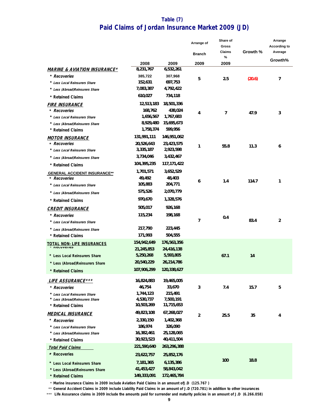# **Paid Claims of Jordan Insurance Market 2009 (JD) Table (7)**

|                                         |             |             | Arrange of<br><b>Branch</b> | Share of<br>Gross<br>Claims | Growth % | Arrange<br>According to<br>Average |
|-----------------------------------------|-------------|-------------|-----------------------------|-----------------------------|----------|------------------------------------|
|                                         | 2008        | 2009        | 2009                        | %                           |          | Growth%                            |
| <b>MARINE &amp; AVIATION INSURANCE*</b> | 8,231,767   | 6,532,261   |                             | 2009                        |          |                                    |
| * Recoveries                            | 385,722     | 307,968     |                             |                             |          |                                    |
| * Less Local Reinsurers Share           | 152,631     | 697,753     | 5                           | 2.5                         | (20.6)   | 7                                  |
| * Less (Abroad)Reinsurers Share         | 7,083,387   | 4,792,422   |                             |                             |          |                                    |
| * Retained Claims                       | 610,027     | 734,118     |                             |                             |          |                                    |
| FIRE INSURANCE                          | 12,513,183  | 18,501,336  |                             |                             |          |                                    |
| * Recoveries                            | 168,762     | 438,024     | 4                           | 7                           | 47.9     | 3                                  |
| * Less Local Reinsurers Share           | 1,656,567   | 1,767,683   |                             |                             |          |                                    |
| * Less (Abroad)Reinsurers Share         | 8,929,480   | 15,695,673  |                             |                             |          |                                    |
| * Retained Claims                       | 1,758,374   | 599,956     |                             |                             |          |                                    |
| <b>MOTOR INSURANCE</b>                  | 131,991,111 | 146,951,062 |                             |                             |          |                                    |
| * Recoveries                            | 20,526,643  | 23,423,575  | 1                           | 55.8                        | 11.3     | 6                                  |
| * Less Local Reinsurers Share           | 3,335,187   | 2,923,598   |                             |                             |          |                                    |
| * Less (Abroad)Reinsurers Share         | 3,734,046   | 3,432,467   |                             |                             |          |                                    |
| * Retained Claims                       | 104,395,235 | 117,171,422 |                             |                             |          |                                    |
| <b>GENERAL ACCIDENT INSURANCE**</b>     | 1,701,571   | 3,652,529   |                             |                             |          |                                    |
| * Recoveries                            | 49,492      | 48,403      | 6                           | 1.4                         | 114.7    | 1                                  |
| * Less Local Reinsurers Share           | 105,883     | 204,771     |                             |                             |          |                                    |
| * Less (Abroad)Reinsurers Share         | 575,526     | 2,070,779   |                             |                             |          |                                    |
| * Retained Claims                       | 970,670     | 1,328,576   |                             |                             |          |                                    |
| <b>CREDIT INSURANCE</b>                 | 505,017     | 926,168     |                             |                             |          |                                    |
| * Recoveries                            | 115,234     | 198,168     |                             | 0.4                         |          |                                    |
| * Less Local Reinsurers Share           |             |             | 7                           |                             | 83.4     | $\overline{2}$                     |
| * Less (Abroad)Reinsurers Share         | 217,790     | 223,445     |                             |                             |          |                                    |
| * Retained Claims                       | 171,993     | 504,555     |                             |                             |          |                                    |
| <b>TOTAL NON-LIFE INSURANCES</b>        | 154,942,649 | 176,563,356 |                             |                             |          |                                    |
| <b>INGLUVEIIES</b>                      | 21,245,853  | 24,416,138  |                             |                             |          |                                    |
| * Less Local Reinsurers Share           | 5,250,268   | 5,593,805   |                             | 67.1                        | 14       |                                    |
| * Less (Abroad)Reinsurers Share         | 20,540,229  | 26,214,786  |                             |                             |          |                                    |
| * Retained Claims                       | 107,906,299 | 120,338,627 |                             |                             |          |                                    |
| <b>LIFE ASSURANCE ***</b>               | 16,824,883  | 19,465,005  |                             |                             |          |                                    |
| * Recoveries                            | 46,754      | 33,670      | 3                           | 7.4                         | 15.7     | 5                                  |
| * Less Local Reinsurers Share           | 1,744,123   | 215,491     |                             |                             |          |                                    |
| * Less (Abroad)Reinsurers Share         | 4,530,737   | 7,500,191   |                             |                             |          |                                    |
| * Retained Claims                       | 10,503,269  | 11,715,653  |                             |                             |          |                                    |
| MEDICAL INSURANCE                       | 49,823,108  | 67,268,027  | 2                           | 25.5                        | 35       | 4                                  |
| * Recoveries                            | 2,330,150   | 1,402,368   |                             |                             |          |                                    |
| * Less Local Reinsurers Share           | 186,974     | 326,090     |                             |                             |          |                                    |
| * Less (Abroad)Reinsurers Share         | 16,382,461  | 25,128,065  |                             |                             |          |                                    |
| * Retained Claims                       | 30,923,523  | 40,411,504  |                             |                             |          |                                    |
| <b>Total Paid Claims</b>                | 221,590,640 | 263,296,388 |                             |                             |          |                                    |
| * Recoveries                            | 23,622,757  | 25,852,176  |                             |                             |          |                                    |
| * Less Local Reinsurers Share           | 7,181,365   | 6,135,386   |                             | 100                         | 18.8     |                                    |
| * Less (Abroad)Reinsurers Share         | 41,453,427  | 58,843,042  |                             |                             |          |                                    |
| * Retained Claims                       | 149,333,091 | 172,465,784 |                             |                             |          |                                    |

\* **Marine insurance Claims in 2009 include Aviation Paid Claims in an amount ofJ.D (125.767 )** 

\*\* **General Accident Claims in 2009 include Liability Paid Claims in an amount of J.D (720.781) in addition to other insurances** 

\*\*\*  **Life Assurance claims in 2009 include the amounts paid for surrender and maturity policies in an amount of J.D (6.266.058)**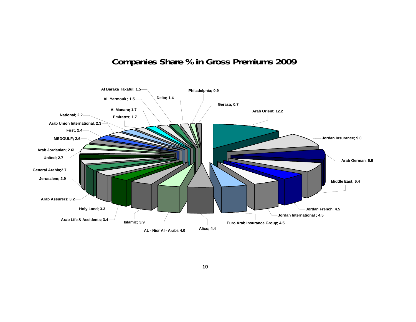# **Companies Share % in Gross Premiums 2009**

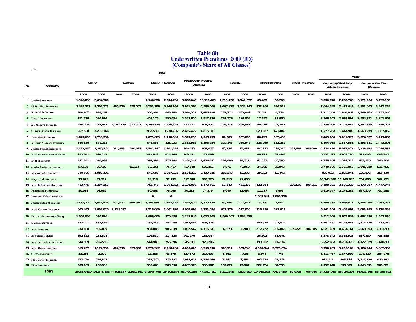### **Table (8) Underwritten Premiums 2009 (JD) (Companie's Share of All Classes)**

**-1**

|    |                                   |           |                                           |           |            |           | Total             |                                             |            |           |           |                |           |                  |         |                       | Motor                                                  |            |                                 |
|----|-----------------------------------|-----------|-------------------------------------------|-----------|------------|-----------|-------------------|---------------------------------------------|------------|-----------|-----------|----------------|-----------|------------------|---------|-----------------------|--------------------------------------------------------|------------|---------------------------------|
| No | Company                           |           | Marine                                    |           | Aviation   |           | Marine + Aviation | <b>Fire&amp; Other Property</b>             | Damages    | Liability |           | Other Branches |           | Credit Insurance |         |                       | <b>Compulsory</b> (Third Party<br>Liability Insurance) |            | Comprehensive (Own<br>(Damages) |
|    |                                   | 2009      | 2008                                      | 2009      | 2008       | 2009      | 2008              | 2009                                        | 2008       | 2009      | 2008      | 2009           | 2008      | 2009             | 2008    | 2009                  | 2008                                                   | 2009       | 2008                            |
|    | 1 Jordan Insurance                | 1,946,858 | 2,634,706                                 |           |            | 1,946,858 | 2,634,706         | 9,858,046                                   | 10.111.465 | 1,511,750 | 1,542,677 | 65,405         | 53,209    |                  |         | 3.030.070             | 2,208,760                                              | 6.171.264  | 5.799.163                       |
|    | 2 Middle East Insurance           | 3,325,327 | 3,501,372                                 | 466,859   | 439,562    | 3,792,186 | 3,940,934         | 5,831,368                                   | 5,589,006  | 1,467,279 | 1,178,245 | 352,260        | 320,929   |                  |         | 2,664,139             | 2,473,644                                              | 3,191,083  | 3,377,243                       |
|    | 3 National Insurance              | 300,907   | 848,184                                   |           |            | 300,907   | 848,184           | 3,090,319                                   | 2,460,414  | 132,774   | 183,062   | 4,162          | 4,336     |                  |         | 2,122,558             | 1.880.651                                              | 1,269,969  | 1,187,086                       |
|    | 4 United Insurance                | 451,178   | 590,094                                   |           |            | 451,178   | 590,094           | 1,383,855                                   | 1,217,796  | 261,326   | 190,903   | 17,635         | 22,866    |                  |         | 2,968,163             | 2,648,897                                              | 2,904,791  | 2,201,667                       |
|    | 5 AL Manara Insurance             | 259,205   | 235.067                                   | 1.041.624 | 921.407    | 1,300,829 | 1,156,474         | 417,111                                     | 501.527    | 109.116   | 340.051   | 40,285         | 27,760    |                  |         | 2.439.096             | 2.101.952                                              | 1.444.114  | 2.635.226                       |
|    | <b>6</b> General Arabia Insurance | 967,530   | 3,210,766                                 |           |            | 967,530   | 3.210.766         | 2.435.472                                   | 1,815,601  |           |           | 629,387        | 471,069   |                  |         | 1.577.254             | 1.444.905                                              | 1,563,279  | 1.367.465                       |
|    | 7 Jerusalem Insurance             | 1,875,685 | 1,798,596                                 |           |            | 1,875,685 | 1,798,596         | 1,575,250                                   | 1,565,195  | 62,283    | 167,885   | 80,729         | 187,436   |                  |         | 2,465,666             | 3,051,579                                              | 3,074,527  | 3,113,682                       |
|    | 8 AL-Nisr Al-Arabi Insurance      | 646,856   | 821,233                                   |           |            | 646,856   | 821,233           | 1,383,963                                   | 1,298,924  | 310,143   | 260,947   | 326,039        | 352,287   |                  |         | 1,804,918             | 1,537,551                                              | 1,593,811  | 1,442,698                       |
|    | 9 Jordan French Insurance         | 1,333,334 | 1,250,171                                 | 254.553   | 250,963    | 1,587,887 | 1,501,134         | 604,287                                     | 608,977    | 62,576    | 19,453    | 887,553        | 235,237   | 271.885          | 250,990 | 4,838,636             | 5,035,475                                              | 2.876.763  | 2,216,958                       |
|    | 10 Arab Union International Ins.  | 473,841   | 824,249                                   |           |            | 473,841   | 824,249           | 203,311                                     | 177,689    |           |           | 48,971         | 32,094    |                  |         | 6,552,415             | 4,965,786                                              | 591.003    | 688,997                         |
|    | 11 Delta Insurance                | 392,381   | 576,984                                   |           |            | 392,381   | 576,984           | 1,480,141                                   | 1,456,831  | 201,880   | 93,712    | 42,532         | 56,795    |                  |         | 1,759,204             | 1,549,323                                              | 633,125    | 560,306                         |
|    | 12 Jordan Emirates Insurance      | 57,592    | 88,608                                    |           | $12,151 -$ | 57,592    | 76,457            | 757,518                                     | 633,266    | 9,671     | 45,960    | 24,895         | 25,948    |                  |         | 2,740,666             | 1,765,868                                              | 2,041,839  | 511,456                         |
|    | 13 Al Yarmouk Insurance           | 540,685   | 1,087,131                                 |           |            | 540,685   | 1.087.131         | 2,554,218                                   | 2,133,325  | 288,243   | 10,333    | 29,331         | 13,442    |                  |         | 889.912               | 1.855.941                                              | 188.876    | 156,110                         |
|    | 14 Holy Land Insurance            | 13,918    | 32,712                                    |           |            | 13,918    | 32,712            | 517,748                                     | 333,220    | 27,815    | 27,056    |                |           |                  |         | 10,745,830 11,749,635 |                                                        | 764,806    | 162,251                         |
|    | 15 Arab Life & Accidents Ins.     | 713,445   | 1,294,263                                 |           |            | 713,445   | 1,294,263         | 1,188,092                                   | 1,473,461  | 57.243    | 451,236   | 422,024        |           | 196.597          | 409.351 | 3.198.261             | 3,596,325                                              | 3.478.397  | 4,447,944                       |
|    | 16 Philadelphia Insurance         | 80,958    | 76,939                                    |           |            | 80,958    | 76,939            | 76,263                                      | 74.179     | 6,040     | 18,697    | 11,217         | 6,603     |                  |         | 2.419.977             | 2,274,282                                              | 637,379    | 732,258                         |
|    | 17 American Life Insurance(Alico) |           |                                           |           |            | 0         | 0                 |                                             |            |           |           | 1,665,947      | 1,806,738 |                  |         |                       |                                                        |            |                                 |
|    | 18 Jordan International Ins.      | 1,481,720 | 1.533.428                                 | 322.974   | 364.960    | 1,804,694 | 1,898,388         | 1.645.470                                   | 1,422,730  | 80.355    | 241,048   | 13,000         | 5,951     |                  |         | 5.450.488             | 2.986.618                                              | 1,485,065  | 1,932,278                       |
|    | 19 Arab German Insurance          | 603,443   | 1,001,820                                 | 2,114,617 |            | 2,718,060 | 1,001,820         | 4,005,693                                   | 3,751,684  | 671,176   | 512,056   | 116,410        | 123,611   |                  |         | 5.141.104             | 5,409,694                                              | 3,061,933  | 3,776,349                       |
|    | 20 Euro Arab Insurance Group      | 1,008,000 | 570,896                                   |           |            | 1,008,000 | 570,896           | 1,283,846                                   | 1,055,309  | 2,566,567 | 1,863,836 |                |           |                  |         | 3.512.360             | 3.657.834                                              | 2,482,330  | 2,457,910                       |
|    | 21 Islamic Insurance              | 752,241   | 887,459                                   |           |            | 752,241   | 887,459           | 1,017,563                                   | 895,728    |           |           | 249,245        | 247,579   |                  |         | 5.407.631             | 4.145.965                                              | 2,113,716  | 2.162.230                       |
|    | 22 Arab Assurers                  | 934,888   | 905,839                                   |           |            | 934,888   | 905,839           | 1,022,562                                   | 1,115,541  | 32,079    | 30,989    | 212,722        | 195,866   | 139,226          | 106,605 | 4,621,669             | 4,483,161                                              | 2,668,393  | 3,001,902                       |
|    | 23 Al Baraka Takaful              | 192,532   | 114,528                                   |           |            | 192,532   | 114,528           | 201,170                                     | 163,044    |           |           | 26,603         | 31,041    |                  |         | 3.378.342             | 3.355.925                                              | 687.830    | 738.688                         |
|    | 24 Arab Jordanian Ins. Group      | 544,989   | 755,596                                   |           |            | 544,989   | 755,596           | 845,911                                     | 979,206    |           |           | 199,302        | 356,187   |                  |         | 5,552,684             | 4,703,378                                              | 1,327,329  | 1,448,908                       |
|    | 25 Arab Orient Insurance          | 863,237   | 1,172,790                                 | 407,730   | 995.500    | 1,270,967 | 2,168,290         | 4,020,620                                   | 3,790,390  | 306,712   | 555,743   | 4,934,541      | 2,778,094 |                  |         | 3,990,289             | 3,226,189                                              | 7,124,244  | 5,907,359                       |
|    | 26 Gerasa Insurance               | 13,256    | 43,579                                    |           |            | 13,256    | 43,579            | 127,572                                     | 217,607    | 5,162     | 4,095     | 3,978          | 4,746     |                  |         | 1,813,467             | 1,877,909                                              | 194,429    | 254,976                         |
|    | 27 MEDGULF Insurance              | 257,770   | 279,527                                   |           |            | 257,770   | 279,527           | 1,955,616                                   | 1,485,969  | 3.887     | 8.856     | 142,228        | 23,878    |                  |         | 984.113               | 793.164                                                | 1,411,539  | 970,561                         |
|    | 28 First Insurance                | 305,663   | 208,596                                   |           |            | 305,663   | 208,596           | 4,007,370                                   | 933,367    | 137,072   | 73,367    | 222,574        | 87,788    |                  |         | 1,937,148             | 655,885                                                | 1,040,031  | 505,021                         |
|    | Total                             |           | 20,337,439 26,345,133 4,608,357 2,960,241 |           |            |           |                   | 24,945,796 29,305,374 53,490,355 47,261,451 |            | 8,311,149 | 7,820,207 | 10,768,975     | 7,471,490 | 607,708          | 766.946 |                       | 94,006,060 85,436,296                                  | 56,021,865 | 53,756,692                      |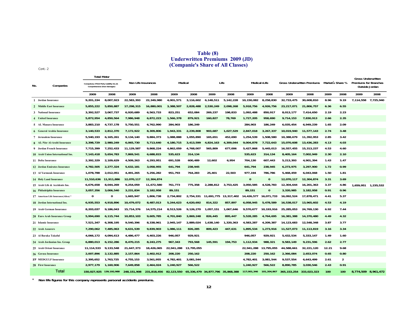### **(Companie's Share of All Classes)** Cont.-2 **Table (8) Underwritten Premiums 2009 (JD)**

**2009 2008 2009 2008 2009 2008 2009 2008 2009 2008 2009 2008 2009 2008 2009 2008 1Jordan Insurance** 1 Jordan Insurance 9,201,334 8,007,923 22,583,393 22,349,980 4,001,571 3,116,602 6,148,511 5,142,228 10,150,082 8,258,830 32,733,475 30,608,810 8.96 9.19 7,114,558 7,725,940 **2Middle East Insurance**2 Middle East Insurance 5,855,222 5,850,887 17,298,315 16,880,001 3,388,507 2,828,488 2,530,249 2,098,268 5,918,756 4,926,756 23,217,071 21,806,757 6.36 6.55 **3National Insurance 3,392,527 3,067,737 6,920,689 6,563,733 823,251 652,084 269,237 198,833 1,092,488 850,917 8,013,177 7,414,650 2.19 2.23 4United Insurance 5,872,954 4,850,564 7,986,948 6,872,223 1,566,378 879,921 160,827 78,769 1,727,205 958,690 9,714,153 7,830,913 2.66 2.35 5AL Manara Insurance 3,883,210 4,737,178 5,750,551 6,762,990 284,903 186,249 284,903 186,249 6,035,454 6,949,239 1.65 2.09 6General Arabia Insurance**6 General Arabia Insurance 3,140,533 2,812,370 7,172,922 8,309,806 1,943,331 2,239,808 903,687 1,027,529 2,847,018 3,267,337 10,019,940 11,577,143 2.74 3.48 **7Jerusalem Insurance** 7 Jerusalem Insurance 5,540,193 6,165,261 9,134,140 9,884,373 1,088,888 1,055,890 165,651 452,690 1,254,539 1,508,580 10,388,679 11,392,953 2.85 3.42 8 AL-Nisr Al-Arabi Insurance 3,398,729 2,980,249 6,065,730 5,713,640 4,180,715 3,413,599 4,824,163 4,309,044 9,004,878 7,722,643 15,070,608 13,436,283 4.13 4.03 9 Jordan French Insurance 7,715,399 7,252,433 11,129,587 9,868,224 4,862,059 4,768,007 565,809 677,006 5,427,868 5,445,013 16,557,455 15,313,237 4.53 4.60 10 Arab Union International Ins. 7,143,418 5,654,783 7,869,541 6,688,815 535,623 314,134 535,623 314,134 8,405,164 7,002,949 2.30 2.10 **11Delta Insurance 2,392,329 2,109,629 4,509,263 4,293,951 691,528 600,489 12,602 6,954 704,130 607,443 5,213,393 4,901,394 1.43 1.47** 12 Jordan Emirates Insurance 4,782,505 2,277,324 5,632,181 3,058,955 641,794 238,945 641,794 238,945 6,273,975 3,297,900 1.72 0.99 **13Al Yarmouk Insurance 1,078,788 2,012,051 4,491,265 5,256,282 951,793 764,283 25,401 22,503 977,194 786,786 5,468,459 6,043,068 1.50 1.81 14Holy Land Insurance 11,510,636 11,911,886 12,070,117 12,304,874 0 0 12,070,117 12,304,874 3.31 3.69 15Arab Life & Accidents Ins.**5 Arab Life & Accidents Ins. 6,676,658 8,044,269 9,254,059 11,672,580 761,773 775,358 2,288,812 3,753,425 3,55,425 3,505,585 4,528,783 1,238,444 16,201,363 3.37 4.86 1,659,951 1,235,532 **16Philadelphia Insurance 3,057,356 3,006,540 3,231,834 3,182,958 89,151 89,151 0 3,320,985 3,182,958 0.91 0.96 17American Life Insurance(Alico) \* 0 0 1,665,947 1,806,738 2,734,802 2,754,331 11,691,775 13,317,402 14,426,577 16,071,733 16,092,524 17,878,471 4.41 5.37 18Jordan International Ins.**8 Jordan International Ins. 6,935,553 4,918,896 10,479,072 8,487,013 5,244,623 4,620,692 814,322 857,897 6,058,945 5,478,589 16,538,017 13,965,602 4.53 4.19 **19Arab German Insurance**9 Arab German Insurance 8,203,037 9,186,043 15,714,376 14,575,214 8,513,526 9,126,270 1,057,151 1,067,646 9,570,677 10,193,916 25,285,053 24,769,130 6.92 7.44 20 Euro Arab Insurance Group 5,994,690 6,115,744 10,853,103 9,605,785 4,701,840 3,869,248 826,445 895,447 5,528,285 4,764,695 16,381,388 14,370,480 4.49 4.32 **21Islamic Insurance** 17,521,347 6,308,195 9,540,396 8,338,961 2,945,147 2,889,024 1,638,140 1,320,363 4,583,287 4,209,387 14,123,683 12,548,348 3.87 3.77 14,123,683 12,548,348 3.87 3.77 **22Arab Assurers 7,290,062 7,485,063 9,631,539 9,839,903 1,086,111 826,285 809,423 447,631 1,895,534 1,273,916 11,527,073 11,113,819 3.16 3.34 23ِAl Baraka Takaful 4,066,172 4,094,613 4,486,477 4,403,226 946,057 929,921 946,057 929,921 5,432,534 5,333,147 1.49 1.60** 24 Arab Jordanian Ins. Group 6,880,013 6,152,286 8,470,215 8,243,275 967,343 793,568 145,591 194,753 1,112,934 988,321 9,583,149 9,231,596 2.62 2.77 **25Arab Orient Insurance 11,114,533 9,133,548 21,647,373 18,426,065 22,941,288 13,795,055 22,941,288 13,795,055 44,588,661 32,221,120 12.21 9.68 26Gerasa Insurance 2,007,896 2,132,885 2,157,864 2,402,912 208,220 250,162 208,220 250,162 2,366,084 2,653,074 0.65 0.80 27MEDGULF Insurance 2,395,652 1,763,725 4,755,153 3,561,955 4,782,401 3,081,544 4,782,401 3,081,544 9,537,554 6,643,499 2.61 2 28First Insurance 2,977,179 1,160,906 7,649,858 2,464,024 1,240,927 566,522 1,240,927 566,522 8,890,785 3,030,546 2.43 0.91** 150,027,925 139,192,988 248,151,908 231,818,456 82,123,550 65,336,479 34,877,796 35,868,388 117,001,346 101,204,867 365,153,254 333,023,323 100 100 8,774,509 8,961,472 **Non Life Insurances Medical No. Market s Share %Gross Underwritten PremiumsTotal MotorLife**Total**Gross Underwritten Premiums for Branches Outside JordanCompanies Compulsory (Third Party Liability Ins.)&** Non Life Insurances Medical Medical Medical Life **Comprehensive (Own Damages)** 

**Non life figures for this company represents personal accidents premiums.**

\*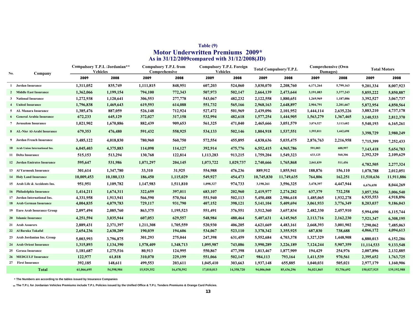|     |                                  |            |                                                  |            | As in 31/12/2009 compared with 31/12/2008(JD) |                                                    |            |                               |            |                                       |            |                     |             |
|-----|----------------------------------|------------|--------------------------------------------------|------------|-----------------------------------------------|----------------------------------------------------|------------|-------------------------------|------------|---------------------------------------|------------|---------------------|-------------|
| No. | Company                          |            | Compulsory T.P.L /Jordanian**<br><b>Vehicles</b> |            | <b>Compulsory T.P.L from</b><br>Comprehensive | <b>Compulsory T.P.L Foreign</b><br><b>Vehicles</b> |            | <b>Total Compulsory/T.P.L</b> |            | <b>Comprehensive (Own</b><br>Damages) |            | <b>Total Motors</b> |             |
|     |                                  | 2009       | 2008                                             | 2009       | 2008                                          | 2009                                               | 2008       | 2009                          | 2008       | 2009                                  | 2008       | 2009                | 2008        |
|     | 1 Jordan Insurance               | 1,311,052  | 835,749                                          | 1,111,815  | 848,951                                       | 607,203                                            | 524,060    | 3,030,070                     | 2,208,760  | 6,171,264                             | 5,799,163  | 9,201,334           | 8,007,923   |
|     | 2 Middle East Insurance          | 1,362,066  | 1,199,154                                        | 794,100    | 772,343                                       | 507,973                                            | 502,147    | 2,664,139                     | 2,473,644  | 3,191,083                             | 3,377,243  | 5,855,222           | 5,850,887   |
| 3   | <b>National Insurance</b>        | 1,272,938  | 1,120,641                                        | 306,553    | 277,778                                       | 543,067                                            | 482,232    | 2,122,558                     | 1,880,651  | 1,269,969                             | 1,187,086  | 3,392,527           | 3,067,737   |
|     | <b>United Insurance</b>          | 1,796,838  | 1,469,643                                        | 619,593    | 614,088                                       | 551,732                                            | 565,166    | 2,968,163                     | 2,648,897  | 2,904,791                             | 2,201,667  | 5,872,954           | 4,850,564   |
| 5   | AL Manara Insurance              | 1,385,476  | 887,059                                          | 526,148    | 712,924                                       | 527,472                                            | 501,969    | 2,439,096                     | 2,101,952  | 1,444,114                             | 2,635,226  | 3,883,210           | 4,737,178   |
|     | <b>General Arabia Insurance</b>  | 672,233    | 645,129                                          | 372,027    | 317,158                                       | 532,994                                            | 482,618    | 1,577,254                     | 1,444,905  | 1,563,279                             | 1,367,465  | 3,140,533           | 2,812,370   |
|     | 7 Jerusalem Insurance            | 1,021,902  | 1,670,886                                        | 882,439    | 909,653                                       | 561,325                                            | 471,040    | 2,465,666                     | 3,051,579  | 3,074,527                             | 3,113,682  | 5,540,193           | 6,165,261   |
|     | 8 AL-Nisr Al-Arabi Insurance     | 679,353    | 476,480                                          | 591,432    | 558,925                                       | 534,133                                            | 502,146    | 1,804,918                     | 1,537,551  | 1,593,811                             | 1,442,698  | 3,398,729           | 2,980,249   |
|     | 9 Jordan French Insurance        | 3,485,122  | 4,018,830                                        | 780,960    | 560,750                                       | 572,554                                            | 455,895    | 4,838,636                     | 5,035,475  | 2,876,763                             | 2,216,958  | 7,715,399           | 7,252,433   |
|     | 10 Arab Union International Ins. | 6,045,403  | 4,375,883                                        | 114,098    | 114,127                                       | 392,914                                            | 475,776    | 6,552,415                     | 4,965,786  | 591,003                               | 688,997    | 7,143,418           | 5,654,783   |
|     | 11 Delta Insurance               | 515,153    | 513,294                                          | 130,768    | 122,814                                       | 1,113,283                                          | 913,215    | 1,759,204                     | 1,549,323  | 633,125                               | 560,306    | 2,392,329           | 2,109,629   |
|     | 12 Jordan Emirates Insurance     | 595,647    | 531,986                                          | 1,071,297  | 204,145                                       | 1,073,722                                          | 1,029,737  | 2,740,666                     | 1,765,868  | 2,041,839                             | 511,456    | 4,782,505           | 2,277,324   |
|     | 13 Al Yarmouk Insurance          | 301,614    | 1,347,780                                        | 33,310     | 31,925                                        | 554,988                                            | 476,236    | 889,912                       | 1,855,941  | 188,876                               | 156,110    | 1,078,788           | 2,012,051   |
|     | <b>14 Holy Land Insurance</b>    | 10,009,453 | 10,180,133                                       | 186,450    | 1,115,029                                     | 549,927                                            | 454,473    | 10,745,830                    | 11,749,635 | 764,806                               | 162,251    | 11,510,636          | 11,911,886  |
|     | 15 Arab Life & Accidents Ins.    | 951,951    | 1,109,782                                        | 1,147,983  | 1,511,810                                     | 1,098,327                                          | 974,733    | 3,198,261                     | 3,596,325  | 3,478,397                             | 4,447,944  | 6,676,658           | 8,044,269   |
|     | 16 Philadelphia Insurance        | 1,414,211  | 1,674,311                                        | 322,659    | 397,011                                       | 683,107                                            | 202,960    | 2,419,977                     | 2,274,282  | 637,379                               | 732,258    | 3,057,356           | 3,006,540   |
|     | 17 Jordan International Ins.     | 4,331,958  | 1,913,941                                        | 566,590    | 570,564                                       | 551,940                                            | 502,113    | 5,450,488                     | 2,986,618  | 1,485,065                             | 1,932,278  | 6,935,553           | 4,918,896   |
|     | 18 Arab German Insurance         | 4,004,835  | 4,079,783                                        | 729,117    | 931,790                                       | 407,152                                            | 398,121    | 5,141,104                     | 5,409,694  | 3,061,933                             | 3,776,349  | 8,203,037           | 9,186,043   |
|     | 19 Euro Arab Insurance Group     | 2,097,494  | 2,085,760                                        | 863,375    | 1,195,523                                     | 551,491                                            | 376,551    | 3,512,360                     | 3,657,834  | 2,482,330                             | 2,457,910  | 5,994,690           | 6,115,744   |
|     | 20 Islamic Insurance             | 4,251,594  | 3,035,944                                        | 607,053    | 629,557                                       | 548,984                                            | 480,464    | 5,407,631                     | 4,145,965  | 2,113,716                             | 2,162,230  | 7,521,347           | 6,308,195   |
|     | 21 Arab Assurers                 | 2,889,431  | 2,371,397                                        | 1,211,308  | 1,705,559                                     | 520,930                                            | 406,205    | 4,621,669                     | 4,483,161  | 2,668,393                             | 3,001,902  | 7,290,062           | 7,485,063   |
|     | 22 Al Baraka Takaful             | 2,654,236  | 2,638,209                                        | 190,039    | 194,606                                       | 534,067                                            | 523,110    | 3,378,342                     | 3,355,925  | 687,830                               | 738,688    | 4,066,172           | 4,094,613   |
|     | 23 Arab Jordanian Ins. Group     | 5,003,993  | 3,796,875                                        | 301,293    | 275,044                                       | 247,398                                            | 631,459    | 5,552,684                     | 4,703,378  | 1,327,329                             | 1,448,908  | 6,880,013           | 6,152,286   |
|     | 24 Arab Orient Insurance         | 1,315,893  | 1,134,390                                        | 1,578,409  | 1,348,713                                     | 1,095,987                                          | 743,086    | 3,990,289                     | 3,226,189  | 7,124,244                             | 5,907,359  | 11,114,533          | 9,133,548   |
|     | 25 Gerasa Insurance              | 1,181,687  | 1,275,516                                        | 80,913     | 124,995                                       | 550,867                                            | 477,398    | 1,813,467                     | 1,877,909  | 194,429                               | 254,976    | 2,007,896           | 2,132,885   |
|     | <b>26 MEDGULF Insurance</b>      | 122,977    | 61,818                                           | 310,070    | 229,199                                       | 551,066                                            | 502,147    | 984,113                       | 793,164    | 1,411,539                             | 970,561    | 2,395,652           | 1,763,725   |
|     | 27 First Insurance               | 392,185    | 148,611                                          | 499,553    | 203,611                                       | 1,045,410                                          | 303,663    | 1,937,148                     | 655,885    | 1,040,031                             | 505,021    | 2,977,179           | 1,160,906   |
|     | Total                            | 61,066,695 | 54,598,984                                       | 15,929,352 | 16,478,592                                    | 17,010,013                                         | 14,358,720 | 94,006,060                    | 85,436,296 | 56,021,865                            | 53,756,692 | 150,027,925         | 139,192,988 |

# **Table (9) Motor Underwritten Premiums 2009\***

**\* The Numbers are according to the tables issued by Insurance Companies**

**\*\*The T.P.L for Jordanian Vehicles Premiums include T.P.L Policies issued by the Unified Office & T.P.L Tenders Premiums & Orange Card Policies.**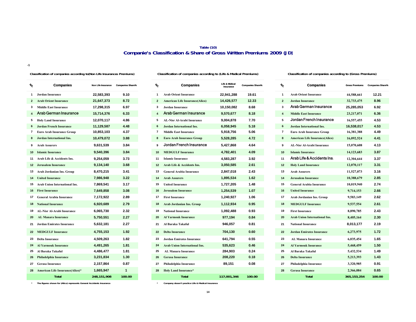#### **Table (10) Companie's Classification & Share of Gross Written Premiums 2009 (JD)**

**-1**

#### **Classification of companies according to(Non Life Insurances Premiums)**

| $\boldsymbol{\psi}$     | <b>Companies</b>                     | Non Life Insurance | <b>Companies Share%</b> |
|-------------------------|--------------------------------------|--------------------|-------------------------|
| 1                       | <b>Jordan Insurance</b>              | 22,583,393         | 9.10                    |
| $\overline{2}$          | <b>Arab Orient Insurance</b>         | 21,647,373         | 8.72                    |
| 3                       | <b>Middle East Insurance</b>         | 17,298,315         | 6.97                    |
| $\overline{\mathbf{4}}$ | Arab German Insurance                | 15,714,376         | 6.33                    |
| 5                       | <b>Holy Land Insurance</b>           | 12.070.117         | 4.86                    |
| 6                       | Jordan French Insurance              | 11,129,587         | 4.48                    |
| $\overline{7}$          | <b>Euro Arab Insurance Group</b>     | 10,853,103         | 4.37                    |
| 8                       | <b>Jordan International Ins.</b>     | 10,479,072         | 3.88                    |
| 9                       | <b>Arab Assurers</b>                 | 9,631,539          | 3.84                    |
| 10                      | <b>Islamic Insurance</b>             | 9,540,396          | 3.84                    |
| 11                      | Arab Life & Accidents Ins.           | 9.254.059          | 3.73                    |
| 12                      | <b>Jerusalem Insurance</b>           | 9,134,140          | 3.68                    |
| 13                      | Arab Jordanian Ins. Group            | 8,470,215          | 3.41                    |
| 14                      | <b>United Insurance</b>              | 7.986.948          | 3.22                    |
| 15                      | <b>Arab Union International Ins.</b> | 7,869,541          | 3.17                    |
| 16                      | <b>First Insurance</b>               | 7,649,858          | 3.08                    |
| 17                      | <b>General Arabia Insurance</b>      | 7,172,922          | 2.89                    |
| 18                      | <b>National Insurance</b>            | 6,920,689          | 2.79                    |
| 19                      | <b>AL-Nisr Al-Arabi Insurance</b>    | 6,065,730          | 2.32                    |
| 20                      | <b>AL Manara Insurance</b>           | 5,750,551          | 2.27                    |
| 21                      | <b>Jordan Emirates Insurance</b>     | 5,632,181          | 2.27                    |
| 22                      | <b>MEDGULF Insurance</b>             | 4,755,153          | 1.92                    |
| 23                      | <b>Delta Insurance</b>               | 4,509,263          | 1.82                    |
| 24                      | <b>Al Yarmouk Insurance</b>          | 4.491.265          | 1.81                    |
| 25                      | Al Baraka Takaful                    | 4,486,477          | 1.81                    |
| 26                      | Philadelphia Insurance               | 3,231,834          | 1.30                    |
| 27                      | <b>Gerasa Insurance</b>              | 2,157,864          | 0.87                    |
| 28                      | American Life Insurance(Alico)*      | 1.665.947          | 1                       |
|                         | Total                                | 248,151,908        | 100.00                  |

| r,             | <b>Companies</b>                   |             | Non Life Insurance Companies Share% | $\boldsymbol{\mathrm{\mathit{v}}}_{\mathrm{o}}$ | <b>Companies</b>                      | Life & Midical<br><b>Insurance</b> | <b>Companies Share%</b> | r.             | <b>Companies</b>                      | <b>Gross Premiums</b> | <b>Companies SI</b> |
|----------------|------------------------------------|-------------|-------------------------------------|-------------------------------------------------|---------------------------------------|------------------------------------|-------------------------|----------------|---------------------------------------|-----------------------|---------------------|
|                | 1 Jordan Insurance                 | 22.583.393  | 9.10                                | $\mathbf{1}$                                    | <b>Arab Orient Insurance</b>          | 22,941,288                         | 19.61                   | -1             | <b>Arab Orient Insurance</b>          | 44,588,661            | 12.21               |
| $\mathbf{2}$   | <b>Arab Orient Insurance</b>       | 21,647,373  | 8.72                                | $\mathbf{2}$                                    | <b>American Life Insurance(Alico)</b> | 14,426,577                         | 12.33                   | $\overline{2}$ | <b>Jordan Insurance</b>               | 32,733,475            | 8.96                |
| 3              | <b>Middle East Insurance</b>       | 17,298,315  | 6.97                                | 3                                               | <b>Jordan Insurance</b>               | 10,150,082                         | 8.68                    | 3              | <b>Arab German Insurance</b>          | 25,285,053            | 6.92                |
| $\overline{4}$ | Arab German Insurance              | 15,714,376  | 6.33                                | $\overline{4}$                                  | <b>Arab German Insurance</b>          | 9,570,677                          | 8.18                    | $\overline{4}$ | <b>Middle East Insurance</b>          | 23,217,071            | 6.36                |
|                | <b>5</b> Holy Land Insurance       | 12,070,117  | 4.86                                | 5                                               | AL-Nisr Al-Arabi Insurance            | 9,004,878                          | 7.70                    | 5              | Jordan French Insurance               | 16,557,455            | 4.53                |
| 6              | Jordan French Insurance            | 11,129,587  | 4.48                                | 6                                               | Jordan International Ins.             | 6,058,945                          | 5.18                    | 6              | Jordan International Ins.             | 16,538,017            | 4.53                |
|                | <b>Euro Arab Insurance Group</b>   | 10,853,103  | 4.37                                | $\overline{7}$                                  | <b>Middle East Insurance</b>          | 5,918,756                          | 5.06                    | $\overline{7}$ | <b>Euro Arab Insurance Group</b>      | 16,381,388            | 4.49                |
| 8              | Jordan International Ins.          | 10,479,072  | 3.88                                | 8                                               | <b>Euro Arab Insurance Group</b>      | 5,528,285                          | 4.72                    | 8              | <b>American Life Insurance(Alico)</b> | 16,092,524            | 4.41                |
| 9              | <b>Arab Assurers</b>               | 9,631,539   | 3.84                                | 9                                               | Jordan French Insurance               | 5,427,868                          | 4.64                    | 9              | <b>AL-Nisr Al-Arabi Insurance</b>     | 15,070,608            | 4.13                |
|                | 10 Islamic Insurance               | 9,540,396   | 3.84                                |                                                 | <b>10 MEDGULF Insurance</b>           | 4,782,401                          | 4.09                    | 10             | <b>Islamic Insurance</b>              | 14, 123, 683          | 3.87                |
|                | 11 Arab Life & Accidents Ins.      | 9,254,059   | 3.73                                | 11                                              | <b>Islamic Insurance</b>              | 4,583,287                          | 3.92                    | 11             | Arab Life & Accidents Ins.            | 12,304,644            | 3.37                |
|                | <b>12</b> Jerusalem Insurance      | 9,134,140   | 3.68                                | 12 <sup>2</sup>                                 | Arab Life & Accidents Ins.            | 3,050,585                          | 2.61                    | 12             | <b>Holy Land Insurance</b>            | 12,070,117            | 3.31                |
|                | 13 Arab Jordanian Ins. Group       | 8,470,215   | 3.41                                | 13                                              | <b>General Arabia Insurance</b>       | 2,847,018                          | 2.43                    | 13             | <b>Arab Assurers</b>                  | 11,527,073            | 3.16                |
|                | <b>14</b> United Insurance         | 7,986,948   | 3.22                                | 14                                              | <b>Arab Assurers</b>                  | 1,895,534                          | 1.62                    | 14             | <b>Jerusalem Insurance</b>            | 10,388,679            | 2.85                |
|                | 15 Arab Union International Ins.   | 7,869,541   | 3.17                                | 15                                              | <b>United Insurance</b>               | 1,727,205                          | 1.48                    | 15             | <b>General Arabia Insurance</b>       | 10,019,940            | 2.74                |
|                | <b>16 First Insurance</b>          | 7,649,858   | 3.08                                | 16                                              | <b>Jerusalem Insurance</b>            | 1,254,539                          | 1.07                    | 16             | <b>United Insurance</b>               | 9,714,153             | 2.66                |
|                | 17 General Arabia Insurance        | 7,172,922   | 2.89                                | 17                                              | <b>First Insurance</b>                | 1,240,927                          | 1.06                    | 17             | Arab Jordanian Ins. Group             | 9,583,149             | 2.62                |
|                | <b>18</b> National Insurance       | 6,920,689   | 2.79                                |                                                 | 18 Arab Jordanian Ins. Group          | 1,112,934                          | 0.95                    | 18             | <b>MEDGULF Insurance</b>              | 9,537,554             | 2.61                |
|                | 19 AL-Nisr Al-Arabi Insurance      | 6,065,730   | 2.32                                | 19                                              | <b>National Insurance</b>             | 1,092,488                          | 0.93                    | 19             | <b>First Insurance</b>                | 8,890,785             | 2.43                |
|                | 20 AL Manara Insurance             | 5,750,551   | 2.27                                |                                                 | 20 Al Yarmouk Insurance               | 977,194                            | 0.84                    | 20             | Arab Union International Ins.         | 8,405,164             | 2.30                |
|                | 21 Jordan Emirates Insurance       | 5,632,181   | 2.27                                | 21                                              | Al Baraka Takaful                     | 946,057                            | 0.81                    | 21             | <b>National Insurance</b>             | 8,013,177             | 2.19                |
|                | 22 MEDGULF Insurance               | 4,755,153   | 1.92                                |                                                 | 22 Delta Insurance                    | 704,130                            | 0.60                    | 22             | <b>Jordan Emirates Insurance</b>      | 6,273,975             | 1.72                |
|                | 23 Delta Insurance                 | 4,509,263   | 1.82                                | 23                                              | <b>Jordan Emirates Insurance</b>      | 641,794                            | 0.55                    | 23             | <b>AL Manara Insurance</b>            | 6,035,454             | 1.65                |
|                | 24 Al Yarmouk Insurance            | 4,491,265   | 1.81                                | 24                                              | <b>Arab Union International Ins.</b>  | 535,623                            | 0.46                    | 24             | <b>Al Yarmouk Insurance</b>           | 5,468,459             | 1.50                |
|                | 25 Al Baraka Takaful               | 4,486,477   | 1.81                                | 25                                              | <b>AL Manara Insurance</b>            | 284,903                            | 0.24                    | 25             | Al Baraka Takaful                     | 5,432,534             | 1.49                |
|                | 26 Philadelphia Insurance          | 3,231,834   | 1.30                                | 26                                              | <b>Gerasa Insurance</b>               | 208,220                            | 0.18                    | 26             | <b>Delta Insurance</b>                | 5,213,393             | 1.43                |
|                | 27 Gerasa Insurance                | 2,157,864   | 0.87                                | 27                                              | Philadelphia Insurance                | 89,151                             | 0.08                    | 27             | Philadelphia Insurance                | 3,320,985             | 0.91                |
|                | 28 American Life Insurance(Alico)* | 1,665,947   | $\mathbf{1}$                        | 28                                              | <b>Holy Land Insurance*</b>           |                                    |                         | 28             | <b>Gerasa Insurance</b>               | 2,366,084             | 0.65                |
|                | <b>Total</b>                       | 248,151,908 | 100.00                              |                                                 | <b>Total</b>                          | 117,001,346                        | 100.00                  |                | <b>Total</b>                          | 365, 153, 254         | 100.00              |

**Classification of companies according to (Life & Medical Premiums) Classification of companies according to (Gross Premiums)**

| ∕°                      | <b>Companies</b>                      | <b>Life &amp; Midical</b><br>Insurance | <b>Companies Share%</b> | ∕°                      | <b>Companies</b>                      | <b>Gross Premiums</b> | <b>Companies Share%</b> |
|-------------------------|---------------------------------------|----------------------------------------|-------------------------|-------------------------|---------------------------------------|-----------------------|-------------------------|
| $\mathbf{1}$            | <b>Arab Orient Insurance</b>          | 22,941,288                             | 19.61                   | $\mathbf{1}$            | <b>Arab Orient Insurance</b>          | 44,588,661            | 12.21                   |
| $\overline{2}$          | <b>American Life Insurance(Alico)</b> | 14,426,577                             | 12.33                   | $\overline{2}$          | <b>Jordan Insurance</b>               | 32,733,475            | 8.96                    |
| 3                       | <b>Jordan Insurance</b>               | 10,150,082                             | 8.68                    | $\overline{\mathbf{3}}$ | Arab German Insurance                 | 25,285,053            | 6.92                    |
| $\overline{\mathbf{4}}$ | <b>Arab German Insurance</b>          | 9,570,677                              | 8.18                    | $\overline{4}$          | <b>Middle East Insurance</b>          | 23,217,071            | 6.36                    |
| 5                       | <b>AL-Nisr Al-Arabi Insurance</b>     | 9,004,878                              | 7.70                    | 5                       | Jordan French Insurance               | 16,557,455            | 4.53                    |
| 6                       | <b>Jordan International Ins.</b>      | 6,058,945                              | 5.18                    | 6                       | <b>Jordan International Ins.</b>      | 16,538,017            | 4.53                    |
| $\overline{7}$          | <b>Middle East Insurance</b>          | 5,918,756                              | 5.06                    | $\overline{7}$          | <b>Euro Arab Insurance Group</b>      | 16,381,388            | 4.49                    |
| 8                       | <b>Euro Arab Insurance Group</b>      | 5,528,285                              | 4.72                    | 8                       | <b>American Life Insurance(Alico)</b> | 16,092,524            | 4.41                    |
| 9                       | Jordan French Insurance               | 5,427,868                              | 4.64                    | 9                       | <b>AL-Nisr Al-Arabi Insurance</b>     | 15,070,608            | 4.13                    |
| 10                      | <b>MEDGULF Insurance</b>              | 4,782,401                              | 4.09                    | 10                      | <b>Islamic Insurance</b>              | 14,123,683            | 3.87                    |
| 11                      | <b>Islamic Insurance</b>              | 4,583,287                              | 3.92                    | 11                      | Arab Life & Accidents Ins.            | 12,304,644            | 3.37                    |
| 12                      | Arab Life & Accidents Ins.            | 3,050,585                              | 2.61                    | 12                      | <b>Holy Land Insurance</b>            | 12,070,117            | 3.31                    |
| 13                      | <b>General Arabia Insurance</b>       | 2,847,018                              | 2.43                    | 13                      | <b>Arab Assurers</b>                  | 11,527,073            | 3.16                    |
| 14                      | <b>Arab Assurers</b>                  | 1,895,534                              | 1.62                    | 14                      | <b>Jerusalem Insurance</b>            | 10,388,679            | 2.85                    |
| 15                      | <b>United Insurance</b>               | 1,727,205                              | 1.48                    | 15                      | <b>General Arabia Insurance</b>       | 10,019,940            | 2.74                    |
| 16                      | <b>Jerusalem Insurance</b>            | 1,254,539                              | 1.07                    | 16                      | <b>United Insurance</b>               | 9,714,153             | 2.66                    |
| 17                      | <b>First Insurance</b>                | 1,240,927                              | 1.06                    | 17                      | Arab Jordanian Ins. Group             | 9,583,149             | 2.62                    |
| 18                      | Arab Jordanian Ins. Group             | 1,112,934                              | 0.95                    | 18                      | <b>MEDGULF Insurance</b>              | 9,537,554             | 2.61                    |
| 19                      | <b>National Insurance</b>             | 1,092,488                              | 0.93                    | 19                      | <b>First Insurance</b>                | 8,890,785             | 2.43                    |
| 20                      | <b>Al Yarmouk Insurance</b>           | 977,194                                | 0.84                    | 20                      | <b>Arab Union International Ins.</b>  | 8,405,164             | 2.30                    |
| 21                      | Al Baraka Takaful                     | 946,057                                | 0.81                    | 21                      | <b>National Insurance</b>             | 8,013,177             | 2.19                    |
| 22                      | <b>Delta Insurance</b>                | 704,130                                | 0.60                    | 22                      | <b>Jordan Emirates Insurance</b>      | 6,273,975             | 1.72                    |
| 23                      | <b>Jordan Emirates Insurance</b>      | 641,794                                | 0.55                    | 23                      | AL Manara Insurance                   | 6,035,454             | 1.65                    |
| 24                      | <b>Arab Union International Ins.</b>  | 535,623                                | 0.46                    | 24                      | <b>Al Yarmouk Insurance</b>           | 5,468,459             | 1.50                    |
| 25                      | <b>AL Manara Insurance</b>            | 284,903                                | 0.24                    | 25                      | Al Baraka Takaful                     | 5,432,534             | 1.49                    |
| 26                      | <b>Gerasa Insurance</b>               | 208,220                                | 0.18                    | 26                      | <b>Delta Insurance</b>                | 5,213,393             | 1.43                    |
| 27                      | Philadelphia Insurance                | 89,151                                 | 0.08                    | 27                      | Philadelphia Insurance                | 3,320,985             | 0.91                    |
| 28                      | <b>Holy Land Insurance*</b>           |                                        |                         | 28                      | <b>Gerasa Insurance</b>               | 2,366,084             | 0.65                    |
|                         | <b>Total</b>                          | 117,001,346                            | 100.00                  |                         | <b>Total</b>                          | 365, 153, 254         | 100.00                  |

\***The figures shown for (Alico) represents General Accidents Insurance** \* **Company dosen't practice Life & Medical Insurance**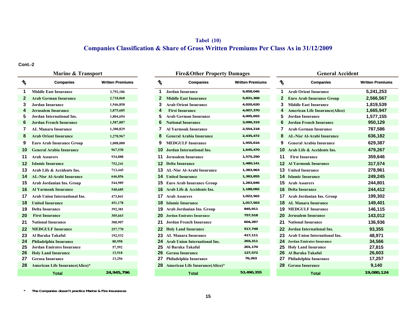# **Tabel (10) Companies Classification & Share of Gross Written Premiums Per Class As in 31/12/2009**

**Cont.-2**

|                                                                | <b>Marine &amp; Transport</b>          |                         |  |               | <b>Fire&amp;Other Property Damages</b> |                         |                                             | <b>General Accident</b>                |                        |  |  |  |
|----------------------------------------------------------------|----------------------------------------|-------------------------|--|---------------|----------------------------------------|-------------------------|---------------------------------------------|----------------------------------------|------------------------|--|--|--|
| $\boldsymbol{\mathcal{U}}_{\!\!\scriptscriptstyle\mathcal{O}}$ | <b>Companies</b>                       | <b>Written Premiums</b> |  | $\frac{1}{6}$ | <b>Companies</b>                       | <b>Written Premiums</b> | $\textbf{\textit{h}}_{\textbf{\textit{O}}}$ | <b>Companies</b>                       | <b>Written Premium</b> |  |  |  |
|                                                                | <b>Middle East Insurance</b>           | 3,792,186               |  |               | <b>Jordan Insurance</b>                | 9,858,046               |                                             | <b>Arab Orient Insurance</b>           | 5,241,253              |  |  |  |
| $\mathbf{2}$                                                   | <b>Arab German Insurance</b>           | 2,718,060               |  | $\mathbf{2}$  | <b>Middle East Insurance</b>           | 5,831,368               | 2                                           | <b>Euro Arab Insurance Group</b>       | 2,566,567              |  |  |  |
| 3                                                              | <b>Jordan Insurance</b>                | 1,946,858               |  | 3             | <b>Arab Orient Insurance</b>           | 4,020,620               | 3                                           | <b>Middle East Insurance</b>           | 1,819,539              |  |  |  |
| 4                                                              | <b>Jerusalem Insurance</b>             | 1,875,685               |  | 4             | <b>First Insurance</b>                 | 4,007,370               |                                             | <b>American Life Insurance (Alico)</b> | 1,665,947              |  |  |  |
| 5                                                              | Jordan International Ins.              | 1,804,694               |  | 5             | <b>Arab German Insurance</b>           | 4,005,693               | 5                                           | Jordan Insurance                       | 1,577,155              |  |  |  |
| 6                                                              | <b>Jordan French Insurance</b>         | 1,587,887               |  | 6             | <b>National Insurance</b>              | 3,090,319               | 6                                           | <b>Jordan French Insurance</b>         | 950,129                |  |  |  |
|                                                                | AL Manara Insurance                    | 1,300,829               |  |               | <b>Al Yarmouk Insurance</b>            | 2,554,218               |                                             | <b>Arab German Insurance</b>           | 787,586                |  |  |  |
| 8                                                              | <b>Arab Orient Insurance</b>           | 1,270,967               |  | 8             | <b>General Arabia Insurance</b>        | 2,435,472               | 8                                           | <b>AL-Nisr Al-Arabi Insurance</b>      | 636,182                |  |  |  |
| 9                                                              | <b>Euro Arab Insurance Group</b>       | 1,008,000               |  | 9             | <b>MEDGULF Insurance</b>               | 1,955,616               | 9                                           | <b>General Arabia Insurance</b>        | 629,387                |  |  |  |
| 10                                                             | <b>General Arabia Insurance</b>        | 967,530                 |  | 10            | Jordan International Ins.              | 1,645,470               |                                             | <b>10</b> Arab Life & Accidents Ins.   | 479,267                |  |  |  |
| 11                                                             | <b>Arab Assurers</b>                   | 934,888                 |  |               | <b>11</b> Jerusalem Insurance          | 1,575,250               | 11                                          | <b>First Insurance</b>                 | 359,646                |  |  |  |
| 12                                                             | <b>Islamic Insurance</b>               | 752,241                 |  |               | <b>12 Delta Insurance</b>              | 1,480,141               |                                             | <b>12</b> Al Yarmouk Insurance         | 317,574                |  |  |  |
| 13                                                             | Arab Life & Accidents Ins.             | 713,445                 |  |               | <b>13 AL-Nisr Al-Arabi Insurance</b>   | 1,383,963               |                                             | <b>13</b> United Insurance             | 278,961                |  |  |  |
| 14                                                             | <b>AL-Nisr Al-Arabi Insurance</b>      | 646,856                 |  |               | <b>14</b> United Insurance             | 1,383,855               |                                             | <b>14 Islamic Insurance</b>            | 249,245                |  |  |  |
| 15                                                             | Arab Jordanian Ins. Group              | 544,989                 |  |               | <b>15</b> Euro Arab Insurance Group    | 1,283,846               |                                             | <b>15 Arab Assurers</b>                | 244,801                |  |  |  |
| 16                                                             | <b>Al Yarmouk Insurance</b>            | 540,685                 |  |               | 16 Arab Life & Accidents Ins.          | 1,188,092               |                                             | <b>16 Delta Insurance</b>              | 244,412                |  |  |  |
| 17                                                             | <b>Arab Union International Ins.</b>   | 473,841                 |  |               | <b>17</b> Arab Assurers                | 1,022,562               |                                             | <b>17</b> Arab Jordanian Ins. Group    | 199,302                |  |  |  |
| 18                                                             | <b>United Insurance</b>                | 451,178                 |  |               | <b>18 Islamic Insurance</b>            | 1,017,563               |                                             | <b>18 AL Manara Insurance</b>          | 149,401                |  |  |  |
| 19                                                             | <b>Delta Insurance</b>                 | 392,381                 |  |               | <b>19</b> Arab Jordanian Ins. Group    | 845,911                 |                                             | <b>19 MEDGULF Insurance</b>            | 146,115                |  |  |  |
| 20                                                             | <b>First Insurance</b>                 | 305,663                 |  |               | <b>20</b> Jordan Emirates Insurance    | 757,518                 |                                             | <b>20</b> Jerusalem Insurance          | 143,012                |  |  |  |
| 21                                                             | <b>National Insurance</b>              | 300,907                 |  |               | <b>21</b> Jordan French Insurance      | 604,287                 | 21.                                         | <b>National Insurance</b>              | 136,936                |  |  |  |
| 22                                                             | <b>MEDGULF Insurance</b>               | 257,770                 |  |               | <b>22 Holy Land Insurance</b>          | 517,748                 |                                             | <b>22</b> Jordan International Ins.    | 93,355                 |  |  |  |
| 23                                                             | Al Baraka Takaful                      | 192,532                 |  | 23            | <b>AL Manara Insurance</b>             | 417,111                 | 23                                          | <b>Arab Union International Ins.</b>   | 48,971                 |  |  |  |
| 24                                                             | Philadelphia Insurance                 | 80,958                  |  | 24            | <b>Arab Union International Ins.</b>   | 203,311                 |                                             | <b>24 Jordan Emirates Insurance</b>    | 34,566                 |  |  |  |
| 25                                                             | <b>Jordan Emirates Insurance</b>       | 57,592                  |  | 25            | Al Baraka Takaful.                     | 201,170                 | 25                                          | <b>Holy Land Insurance</b>             | 27,815                 |  |  |  |
| 26                                                             | <b>Holy Land Insurance</b>             | 13,918                  |  |               | 26 Gerasa Insurance                    | 127,572                 | 26                                          | Al Baraka Takaful                      | 26,603                 |  |  |  |
| 27                                                             | <b>Gerasa Insurance</b>                | 13,256                  |  |               | Philadelphia Insurance                 | 76,263                  |                                             | Philadelphia Insurance                 | 17,257                 |  |  |  |
| 28                                                             | <b>American Life Insurance(Alico)*</b> |                         |  |               | 28 American Life Insurance(Alico)*     |                         |                                             | 28 Gerasa Insurance                    | 9,140                  |  |  |  |
|                                                                | Total                                  | 24,945,796              |  |               | Total                                  | 53,490,355              |                                             | Total                                  | 19,080,124             |  |  |  |

| <b>Marine &amp; Transport</b> |                         |                   | <b>Fire&amp;Other Property Damages</b>  |                         | <b>General Accident</b> |                                       |
|-------------------------------|-------------------------|-------------------|-----------------------------------------|-------------------------|-------------------------|---------------------------------------|
| <b>Companies</b>              | <b>Written Premiums</b> | $\frac{1}{6}$     | <b>Companies</b>                        | <b>Written Premiums</b> | $\frac{1}{6}$           | <b>Companies</b>                      |
| t Insurance                   | 3,792,186               | 1                 | <b>Jordan Insurance</b>                 | 9,858,046               | 1                       | <b>Arab Orient Insurance</b>          |
| an Insurance                  | 2,718,060               | $\mathbf{2}$      | <b>Middle East Insurance</b>            | 5,831,368               | 2                       | <b>Euro Arab Insurance Group</b>      |
| ırance                        | 1,946,858               | 3                 | <b>Arab Orient Insurance</b>            | 4,020,620               | 3                       | <b>Middle East Insurance</b>          |
| nsurance                      | 1,875,685               | 4                 | <b>First Insurance</b>                  | 4,007,370               | 4                       | <b>American Life Insurance(Alico)</b> |
| rnational Ins.                | 1,804,694               | 5                 | <b>Arab German Insurance</b>            | 4,005,693               | 5                       | <b>Jordan Insurance</b>               |
| nch Insurance                 | 1,587,887               | 6                 | <b>National Insurance</b>               | 3,090,319               | 6                       | <b>Jordan French Insurance</b>        |
| <b>Insurance</b>              | 1,300,829               | 7                 | <b>Al Yarmouk Insurance</b>             | 2,554,218               | 7                       | <b>Arab German Insurance</b>          |
| t Insurance                   | 1,270,967               | 8                 | <b>General Arabia Insurance</b>         | 2,435,472               | 8                       | <b>AL-Nisr Al-Arabi Insurance</b>     |
| <b>Insurance Group</b>        | 1,008,000               | 9                 | <b>MEDGULF Insurance</b>                | 1,955,616               | 9                       | <b>General Arabia Insurance</b>       |
| abia Insurance                | 967,530                 | 10                | Jordan International Ins.               | 1,645,470               | 10.                     | Arab Life & Accidents Ins.            |
| ers                           | 934,888                 | 11                | <b>Jerusalem Insurance</b>              | 1,575,250               | 11                      | <b>First Insurance</b>                |
| ırance                        | 752,241                 | $12 \overline{ }$ | <b>Delta Insurance</b>                  | 1,480,141               | 12.                     | <b>Al Yarmouk Insurance</b>           |
| z Accidents Ins.              | 713,445                 | 13                | <b>AL-Nisr Al-Arabi Insurance</b>       | 1,383,963               | 13                      | <b>United Insurance</b>               |
| <b>Arabi Insurance</b>        | 646,856                 | 14.               | <b>United Insurance</b>                 | 1,383,855               |                         | <b>14 Islamic Insurance</b>           |
| nian Ins. Group               | 544,989                 | 15.               | <b>Euro Arab Insurance Group</b>        | 1,283,846               | 15                      | <b>Arab Assurers</b>                  |
| k Insurance                   | 540,685                 | 16.               | Arab Life & Accidents Ins.              | 1,188,092               |                         | <b>16</b> Delta Insurance             |
| International Ins.            | 473,841                 | 17                | <b>Arab Assurers</b>                    | 1,022,562               | 17                      | Arab Jordanian Ins. Group             |
| rance                         | 451,178                 | 18                | <b>Islamic Insurance</b>                | 1,017,563               | 18                      | <b>AL Manara Insurance</b>            |
| ance                          | 392,381                 |                   | <b>19</b> Arab Jordanian Ins. Group     | 845,911                 |                         | <b>19 MEDGULF Insurance</b>           |
| ance                          | 305,663                 | 20                | <b>Jordan Emirates Insurance</b>        | 757,518                 | 20                      | <b>Jerusalem Insurance</b>            |
| surance                       | 300,907                 | 21                | Jordan French Insurance                 | 604,287                 | 21.                     | <b>National Insurance</b>             |
| Insurance                     | 257,770                 | $22 \,$           | <b>Holy Land Insurance</b>              | 517,748                 | 22.                     | Jordan International Ins.             |
| <b>Fakaful</b>                | 192,532                 | 23                | <b>AL Manara Insurance</b>              | 417,111                 | 23                      | Arab Union International Ins.         |
| a Insurance                   | 80,958                  | 24                | <b>Arab Union International Ins.</b>    | 203,311                 | 24                      | <b>Jordan Emirates Insurance</b>      |
| irates Insurance              | 57,592                  | 25                | Al Baraka Takaful.                      | 201,170                 | 25.                     | <b>Holy Land Insurance</b>            |
| Insurance                     | 13,918                  | 26                | <b>Gerasa Insurance</b>                 | 127,572                 | 26                      | Al Baraka Takaful                     |
| ırance                        | 13,256                  | 27                | Philadelphia Insurance                  | 76,263                  | 27                      | Philadelphia Insurance                |
| ife Insurance(Alico)*         |                         | 28                | <b>American Life Insurance (Alico)*</b> |                         | 28.                     | <b>Gerasa Insurance</b>               |
| <b>Total</b>                  | 24,945,796              |                   | <b>Total</b>                            | 53,490,355              |                         | Total                                 |

|                |               | <b>Fire&amp;Other Property Damages</b> |                         |                 | <b>General Accident</b>               |                         |
|----------------|---------------|----------------------------------------|-------------------------|-----------------|---------------------------------------|-------------------------|
| itten Premiums | $\frac{1}{2}$ | <b>Companies</b>                       | <b>Written Premiums</b> | $\mathcal{U}_0$ | <b>Companies</b>                      | <b>Written Premiums</b> |
| 3,792,186      |               | <b>Jordan Insurance</b>                | 9,858,046               | 1               | <b>Arab Orient Insurance</b>          | 5,241,253               |
| 2,718,060      | 2             | <b>Middle East Insurance</b>           | 5,831,368               | $\mathbf{2}$    | <b>Euro Arab Insurance Group</b>      | 2,566,567               |
| 1,946,858      | 3             | <b>Arab Orient Insurance</b>           | 4,020,620               | 3               | <b>Middle East Insurance</b>          | 1,819,539               |
| 1,875,685      | 4             | <b>First Insurance</b>                 | 4,007,370               | 4               | <b>American Life Insurance(Alico)</b> | 1,665,947               |
| 1,804,694      | 5             | <b>Arab German Insurance</b>           | 4,005,693               | 5               | Jordan Insurance                      | 1,577,155               |
| 1,587,887      | 6             | <b>National Insurance</b>              | 3,090,319               | 6               | <b>Jordan French Insurance</b>        | 950,129                 |
| 1,300,829      | 7             | <b>Al Yarmouk Insurance</b>            | 2,554,218               | 7               | <b>Arab German Insurance</b>          | 787,586                 |
| 1,270,967      | 8             | <b>General Arabia Insurance</b>        | 2,435,472               | 8               | <b>AL-Nisr Al-Arabi Insurance</b>     | 636,182                 |
| 1,008,000      | 9             | <b>MEDGULF Insurance</b>               | 1,955,616               | 9               | <b>General Arabia Insurance</b>       | 629,387                 |
| 967,530        | 10            | Jordan International Ins.              | 1,645,470               | 10              | Arab Life & Accidents Ins.            | 479,267                 |
| 934,888        | 11            | <b>Jerusalem Insurance</b>             | 1,575,250               | 11              | <b>First Insurance</b>                | 359,646                 |
| 752,241        | 12            | <b>Delta Insurance</b>                 | 1,480,141               | $12 \,$         | <b>Al Yarmouk Insurance</b>           | 317,574                 |
| 713,445        | 13            | <b>AL-Nisr Al-Arabi Insurance</b>      | 1,383,963               | 13              | <b>United Insurance</b>               | 278,961                 |
| 646,856        | 14            | <b>United Insurance</b>                | 1,383,855               | 14              | <b>Islamic Insurance</b>              | 249,245                 |
| 544,989        | 15            | <b>Euro Arab Insurance Group</b>       | 1,283,846               | 15              | <b>Arab Assurers</b>                  | 244,801                 |
| 540,685        | 16            | Arab Life & Accidents Ins.             | 1,188,092               | 16              | <b>Delta Insurance</b>                | 244,412                 |
| 473,841        | 17            | <b>Arab Assurers</b>                   | 1,022,562               | 17              | <b>Arab Jordanian Ins. Group</b>      | 199,302                 |
| 451,178        | 18            | <b>Islamic Insurance</b>               | 1,017,563               | 18              | <b>AL Manara Insurance</b>            | 149,401                 |
| 392,381        | 19            | Arab Jordanian Ins. Group              | 845,911                 | 19              | <b>MEDGULF Insurance</b>              | 146,115                 |
| 305,663        | 20            | <b>Jordan Emirates Insurance</b>       | 757,518                 | 20              | <b>Jerusalem Insurance</b>            | 143,012                 |
| 300,907        | 21            | Jordan French Insurance                | 604,287                 | 21              | <b>National Insurance</b>             | 136,936                 |
| 257,770        | 22            | <b>Holy Land Insurance</b>             | 517,748                 | 22              | <b>Jordan International Ins.</b>      | 93,355                  |
| 192,532        | 23            | <b>AL Manara Insurance</b>             | 417,111                 | 23              | <b>Arab Union International Ins.</b>  | 48,971                  |
| 80,958         | 24            | <b>Arab Union International Ins.</b>   | 203,311                 | 24              | <b>Jordan Emirates Insurance</b>      | 34,566                  |
| 57,592         | 25            | Al Baraka Takaful.                     | 201,170                 | 25              | <b>Holy Land Insurance</b>            | 27,815                  |
| 13,918         | 26            | <b>Gerasa Insurance</b>                | 127,572                 | 26              | Al Baraka Takaful                     | 26,603                  |
| 13,256         | 27            | Philadelphia Insurance                 | 76,263                  | 27              | Philadelphia Insurance                | 17,257                  |
|                | 28            | <b>American Life Insurance(Alico)*</b> |                         | 28              | <b>Gerasa Insurance</b>               | 9,140                   |
| 24,945,796     |               | <b>Total</b>                           | 53,490,355              |                 | Total                                 | 19,080,124              |

**\*The Companies dosen't practice Marine & Fire Insurances**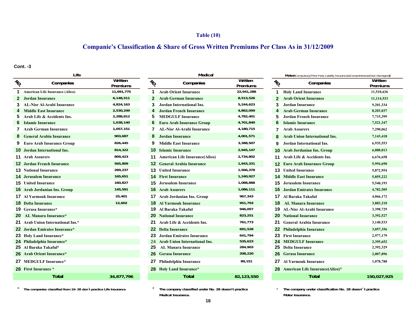### **Table (10)**

# **Companie's Classification & Share of Gross Written Premiums Per Class As in 31/12/2009**

**Cont. -3**

\*

|                   | Life                                   |                            |                 | Medical                                  |                     |                         | Motor(Compulsory(Third Party Liability Insurance)&Comprehensive(Own Damage |                    |  |  |  |
|-------------------|----------------------------------------|----------------------------|-----------------|------------------------------------------|---------------------|-------------------------|----------------------------------------------------------------------------|--------------------|--|--|--|
| $v_{\mathcal{O}}$ | Companies                              | Written<br><b>Premiums</b> | $\mathcal{U}_O$ | Companies                                | Written<br>Premiums | $\mathcal{U}_Q$         | Companies                                                                  | Written<br>Premium |  |  |  |
|                   | <b>American Life Insurance (Alico)</b> | 11,691,775                 |                 | <b>Arab Orient Insurance</b>             | 22,941,288          | $\overline{1}$          | <b>Holy Land Insurance</b>                                                 | 11,510,63          |  |  |  |
| 2                 | Jordan Insurance                       | 6,148,511                  |                 | <b>Arab German Insurance</b>             | 8,513,526           | $\overline{\mathbf{2}}$ | <b>Arab Orient Insurance</b>                                               | 11,114,53          |  |  |  |
|                   | <b>AL-Nisr Al-Arabi Insurance</b>      | 4,824,163                  |                 | Jordan International Ins.                | 5,244,623           |                         | Jordan Insurance                                                           | 9,201,334          |  |  |  |
|                   | <b>Middle East Insurance</b>           | 2,530,249                  |                 | <b>Jordan French Insurance</b>           | 4,862,059           |                         | <b>Arab German Insurance</b>                                               | 8,203,037          |  |  |  |
| 5.                | Arab Life & Accidents Ins.             | 2,288,812                  |                 | <b>MEDGULF Insurance</b>                 | 4,782,401           | 5.                      | <b>Jordan French Insurance</b>                                             | 7,715,399          |  |  |  |
| 6                 | <b>Islamic Insurance</b>               | 1,638,140                  |                 | <b>Euro Arab Insurance Group</b>         | 4,701,840           | 6                       | <b>Islamic Insurance</b>                                                   | 7,521,347          |  |  |  |
|                   | <b>7</b> Arab German Insurance         | 1,057,151                  |                 | <b>AL-Nisr Al-Arabi Insurance</b>        | 4,180,715           | 7                       | <b>Arab Assurers</b>                                                       | 7,290,062          |  |  |  |
|                   | <b>General Arabia Insurance</b>        | 903,687                    |                 | <b>Jordan Insurance</b>                  | 4,001,571           | 8                       | <b>Arab Union International Ins.</b>                                       | 7,143,418          |  |  |  |
|                   | <b>Euro Arab Insurance Group</b>       | 826,445                    |                 | <b>Middle East Insurance</b>             | 3,388,507           | 9                       | Jordan International Ins.                                                  | 6,935,553          |  |  |  |
|                   | <b>10</b> Jordan International Ins.    | 814,322                    |                 | <b>10 Islamic Insurance</b>              | 2,945,147           |                         | <b>10</b> Arab Jordanian Ins. Group                                        | 6,880,013          |  |  |  |
|                   | <b>11 Arab Assurers</b>                | 809,423                    |                 | <b>11</b> American Life Insurance(Alico) | 2,734,802           |                         | 11 Arab Life & Accidents Ins.                                              | 6,676,658          |  |  |  |
|                   | <b>12 Jordan French Insurance</b>      | 565,809                    |                 | <b>12 General Arabia Insurance</b>       | 1,943,331           |                         | <b>12 Euro Arab Insurance Group</b>                                        | 5,994,690          |  |  |  |
|                   | <b>13</b> National Insurance           | 269,237                    |                 | <b>13</b> United Insurance               | 1,566,378           |                         | <b>13</b> United Insurance                                                 | 5,872,954          |  |  |  |
|                   | <b>14</b> Jerusalem Insurance          | 165,651                    |                 | <b>14</b> First Insurance                | 1,240,927           |                         | <b>14 Middle East Insurance</b>                                            | 5,855,222          |  |  |  |
|                   | <b>15</b> United Insurance             | 160,827                    |                 | <b>15</b> Jerusalem Insurance            | 1,088,888           |                         | <b>15</b> Jerusalem Insurance                                              | 5,540,193          |  |  |  |
|                   | <b>16</b> Arab Jordanian Ins. Group    | 145,591                    |                 | <b>16 Arab Assurers</b>                  | 1,086,111           |                         | <b>16</b> Jordan Emirates Insurance                                        | 4,782,505          |  |  |  |
|                   | <b>17</b> Al Yarmouk Insurance         | 25,401                     |                 | <b>17</b> Arab Jordanian Ins. Group      | 967,343             |                         | 17 Al Baraka Takaful                                                       | 4,066,172          |  |  |  |
|                   | <b>18 Delta Insurance</b>              | 12,602                     |                 | <b>18 Al Yarmouk Insurance</b>           | 951,793             |                         | <b>18</b> AL Manara Insurance                                              | 3,883,210          |  |  |  |
|                   | <b>19 Gerasa Insurance*</b>            |                            |                 | 19 Al Baraka Takaful                     | 946,057             |                         | <b>19</b> AL-Nisr Al-Arabi Insurance                                       | 3,398,729          |  |  |  |
|                   | 20 AL Manara Insurance*                |                            |                 | <b>20 National Insurance</b>             | 823,251             |                         | <b>20 National Insurance</b>                                               | 3,392,527          |  |  |  |
|                   | 21 Arab Union International Ins.*      |                            | 21              | Arab Life & Accidents Ins.               | 761,773             | 21.                     | <b>General Arabia Insurance</b>                                            | 3,140,533          |  |  |  |
|                   | 22 Jordan Emirates Insurance*          |                            |                 | <b>22 Delta Insurance</b>                | 691,528             |                         | 22 Philadelphia Insurance                                                  | 3,057,356          |  |  |  |
|                   | 23 Holy Land Insurance*                |                            |                 | Jordan Emirates Insurance                | 641,794             |                         | 23 First Insurance                                                         | 2,977,179          |  |  |  |
|                   | 24 Philadelphia Insurance*             |                            |                 | 24 Arab Union International Ins.         | 535,623             |                         | <b>24 MEDGULF Insurance</b>                                                | 2,395,652          |  |  |  |
|                   | 25 Al Baraka Takaful*                  |                            | 25              | <b>AL Manara Insurance</b>               | 284,903             |                         | 25 Delta Insurance                                                         | 2,392,329          |  |  |  |
|                   | 26 Arab Orient Insurance*              |                            |                 | <b>26 Gerasa Insurance</b>               | 208,220             |                         | <b>26 Gerasa Insurance</b>                                                 | 2,007,896          |  |  |  |
|                   | 27 MEDGULF Insurance*                  |                            |                 | Philadelphia Insurance                   | 89,151              |                         | <b>Al Yarmouk Insurance</b>                                                | 1,078,788          |  |  |  |
|                   | 28 First Insurance *                   |                            |                 | 28 Holy Land Insurance*                  |                     |                         | 28 American Life Insurance(Alico)*                                         |                    |  |  |  |
|                   | Total                                  | 34.877.796                 |                 | Total                                    | 82.123.550          |                         | Total                                                                      | 150.027.9          |  |  |  |

| Life              |                     |                 | Medical                               |                     | Motor(Compulsory(Third F |                               |
|-------------------|---------------------|-----------------|---------------------------------------|---------------------|--------------------------|-------------------------------|
| Companies         | Written<br>Premiums | $\mathcal{U}_O$ | Companies                             | Written<br>Premiums | $\frac{\eta}{\sigma}$    | Comp                          |
| urance (Alico)    | 11,691,775          | 1               | <b>Arab Orient Insurance</b>          | 22,941,288          | 1                        | <b>Holy Land Insurand</b>     |
| ee                | 6,148,511           | $\mathbf{2}$    | <b>Arab German Insurance</b>          | 8,513,526           | $\mathbf{2}$             | <b>Arab Orient Insural</b>    |
| bi Insurance      | 4,824,163           | 3               | Jordan International Ins.             | 5,244,623           | 3                        | <b>Jordan Insurance</b>       |
| urance            | 2,530,249           | 4               | <b>Jordan French Insurance</b>        | 4,862,059           | 4                        | <b>Arab German Insur</b>      |
| cidents Ins.      | 2,288,812           | 5               | <b>MEDGULF Insurance</b>              | 4,782,401           | 5                        | <b>Jordan French Insu</b>     |
| ce                | 1,638,140           | 6               | <b>Euro Arab Insurance Group</b>      | 4,701,840           | 6                        | <b>Islamic Insurance</b>      |
| nsurance          | 1,057,151           | 7               | <b>AL-Nisr Al-Arabi Insurance</b>     | 4,180,715           | 7                        | <b>Arab Assurers</b>          |
| <b>Insurance</b>  | 903,687             | 8               | <b>Jordan Insurance</b>               | 4,001,571           | 8                        | <b>Arab Union Interna</b>     |
| rance Group       | 826,445             | 9               | <b>Middle East Insurance</b>          | 3,388,507           | 9                        | <b>Jordan Internationa</b>    |
| ional Ins.        | 814,322             | 10              | <b>Islamic Insurance</b>              | 2,945,147           | 10                       | <b>Arab Jordanian Ins.</b>    |
|                   | 809,423             | 11              | <b>American Life Insurance(Alico)</b> | 2,734,802           | 11                       | Arab Life & Accide            |
| Insurance         | 565,809             | 12              | <b>General Arabia Insurance</b>       | 1,943,331           | 12                       | <b>Euro Arab Insurano</b>     |
| nce               | 269,237             | 13              | <b>United Insurance</b>               | 1,566,378           | 13                       | <b>United Insurance</b>       |
| ance <sup>.</sup> | 165,651             |                 | <b>14 First Insurance</b>             | 1,240,927           |                          | <b>14 Middle East Insural</b> |
| e:                | 160,827             | 15              | <b>Jerusalem Insurance</b>            | 1,088,888           | 15                       | Jerusalem Insuranc            |
| <b>Ins. Group</b> | 145,591             | 16              | <b>Arab Assurers</b>                  | 1,086,111           |                          | <b>16</b> Jordan Emirates Ins |
| urance            | 25,401              | 17              | Arab Jordanian Ins. Group             | 967,343             | 17.                      | Al Baraka Takaful             |
|                   | 12,602              | 18              | <b>Al Yarmouk Insurance</b>           | 951,793             | 18                       | <b>AL Manara Insural</b>      |
| $ce^*$            |                     | 19              | Al Baraka Takaful                     | 946,057             | 19                       | AL-Nisr Al-Arabi Iı           |
| urance*           |                     | 20              | <b>National Insurance</b>             | 823,251             | 20                       | <b>National Insurance</b>     |
| ernational Ins.*  |                     | 21              | Arab Life & Accidents Ins.            | 761,773             | 21                       | <b>General Arabia Insu</b>    |
| s Insurance*      |                     | 22              | <b>Delta Insurance</b>                | 691,528             | 22                       | Philadelphia Insura           |
| rance*            |                     | 23              | <b>Jordan Emirates Insurance</b>      | 641,794             | 23                       | <b>First Insurance</b>        |
| urance*           |                     | 24              | <b>Arab Union International Ins.</b>  | 535,623             | 24                       | <b>MEDGULF Insurar</b>        |
| ful*              |                     | 25              | <b>AL Manara Insurance</b>            | 284,903             | 25                       | <b>Delta Insurance</b>        |
| urance*           |                     | 26              | <b>Gerasa Insurance</b>               | 208,220             | 26                       | <b>Gerasa Insurance</b>       |
| urance*           |                     | 27              | Philadelphia Insurance                | 89,151              | 27                       | Al Yarmouk Insura             |
| $\star$           |                     |                 | 28 Holy Land Insurance*               |                     |                          | 28 American Life Insur        |
| Total             | 34,877,796          |                 | <b>Total</b>                          | 82,123,550          |                          | Total                         |

 \* \***The company classified under No. 28 doesn't practice Medical Insurance. Motor Insurance.**

|                     |                                              | Medical                               |                     |                | Motor(Compulsory(Third Party Liability Insurance)&Comprehensive(Own Damages)) |                     |
|---------------------|----------------------------------------------|---------------------------------------|---------------------|----------------|-------------------------------------------------------------------------------|---------------------|
| Written<br>Premiums | $v_{\!\scriptscriptstyle\!\! Q}$             | Companies                             | Written<br>Premiums | $v_{\rm Q}$    | Companies                                                                     | Written<br>Premiums |
| 11,691,775          | 1<br><b>Arab Orient Insurance</b>            |                                       | 22,941,288          | 1              | <b>Holy Land Insurance</b>                                                    | 11,510,636          |
| 6,148,511           | $\mathbf{2}$<br><b>Arab German Insurance</b> |                                       | 8,513,526           | $\overline{2}$ | <b>Arab Orient Insurance</b>                                                  | 11,114,533          |
| 4,824,163           | 3<br><b>Jordan International Ins.</b>        |                                       | 5,244,623           | 3              | Jordan Insurance                                                              | 9,201,334           |
| 2,530,249           | <b>Jordan French Insurance</b><br>4          |                                       | 4,862,059           | 4              | <b>Arab German Insurance</b>                                                  | 8,203,037           |
| 2,288,812           | <b>MEDGULF Insurance</b><br>5                |                                       | 4,782,401           | 5              | <b>Jordan French Insurance</b>                                                | 7,715,399           |
| 1,638,140           | 6                                            | <b>Euro Arab Insurance Group</b>      | 4,701,840           | 6              | <b>Islamic Insurance</b>                                                      | 7,521,347           |
| 1,057,151           | 7                                            | <b>AL-Nisr Al-Arabi Insurance</b>     | 4,180,715           | 7              | <b>Arab Assurers</b>                                                          | 7,290,062           |
| 903,687             | 8<br><b>Jordan Insurance</b>                 |                                       | 4,001,571           | 8              | <b>Arab Union International Ins.</b>                                          | 7,143,418           |
| 826,445             | 9<br><b>Middle East Insurance</b>            |                                       | 3,388,507           | 9              | Jordan International Ins.                                                     | 6,935,553           |
| 814,322             | <b>Islamic Insurance</b><br>10               |                                       | 2,945,147           | 10             | <b>Arab Jordanian Ins. Group</b>                                              | 6,880,013           |
| 809,423             | 11                                           | <b>American Life Insurance(Alico)</b> | 2,734,802           | 11             | Arab Life & Accidents Ins.                                                    | 6,676,658           |
| 565,809             | <b>General Arabia Insurance</b><br>12        |                                       | 1,943,331           | 12             | <b>Euro Arab Insurance Group</b>                                              | 5,994,690           |
| 269,237             | 13<br><b>United Insurance</b>                |                                       | 1,566,378           | 13             | <b>United Insurance</b>                                                       | 5,872,954           |
| 165,651             | 14<br><b>First Insurance</b>                 |                                       | 1,240,927           | 14             | <b>Middle East Insurance</b>                                                  | 5,855,222           |
| 160,827             | <b>Jerusalem Insurance</b><br>15             |                                       | 1,088,888           | 15             | <b>Jerusalem Insurance</b>                                                    | 5,540,193           |
| 145,591             | <b>Arab Assurers</b><br>16.                  |                                       | 1,086,111           | 16             | <b>Jordan Emirates Insurance</b>                                              | 4,782,505           |
| 25,401              | Arab Jordanian Ins. Group<br>17.             |                                       | 967,343             | 17             | Al Baraka Takaful                                                             | 4,066,172           |
| 12,602              | <b>Al Yarmouk Insurance</b><br>18            |                                       | 951,793             | 18             | <b>AL Manara Insurance</b>                                                    | 3,883,210           |
|                     | Al Baraka Takaful<br>19                      |                                       | 946,057             | 19             | <b>AL-Nisr Al-Arabi Insurance</b>                                             | 3,398,729           |
|                     | 20<br><b>National Insurance</b>              |                                       | 823,251             | 20             | <b>National Insurance</b>                                                     | 3,392,527           |
|                     | 21<br>Arab Life & Accidents Ins.             |                                       | 761,773             | 21             | <b>General Arabia Insurance</b>                                               | 3,140,533           |
|                     | 22<br><b>Delta Insurance</b>                 |                                       | 691,528             | 22             | Philadelphia Insurance                                                        | 3,057,356           |
|                     | <b>Jordan Emirates Insurance</b><br>23       |                                       | 641,794             | 23             | <b>First Insurance</b>                                                        | 2,977,179           |
|                     | 24                                           | <b>Arab Union International Ins.</b>  | 535,623             | 24             | <b>MEDGULF Insurance</b>                                                      | 2,395,652           |
|                     | 25<br><b>AL Manara Insurance</b>             |                                       | 284,903             | 25             | <b>Delta Insurance</b>                                                        | 2,392,329           |
|                     | <b>Gerasa Insurance</b><br>26                |                                       | 208,220             | 26             | <b>Gerasa Insurance</b>                                                       | 2,007,896           |
|                     | Philadelphia Insurance<br>27                 |                                       | 89,151              | 27             | <b>Al Yarmouk Insurance</b>                                                   | 1,078,788           |
|                     | 28 Holy Land Insurance*                      |                                       |                     | 28             | <b>American Life Insurance(Alico)*</b>                                        |                     |
| 34,877,796          |                                              | <b>Total</b>                          | 82,123,550          |                | <b>Total</b>                                                                  | 150,027,925         |
|                     |                                              |                                       |                     |                |                                                                               |                     |

**The company under classification No. 28 doesn'´t practice**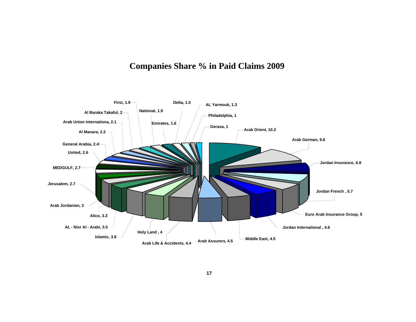# **Companies Share % in Paid Claims 2009**

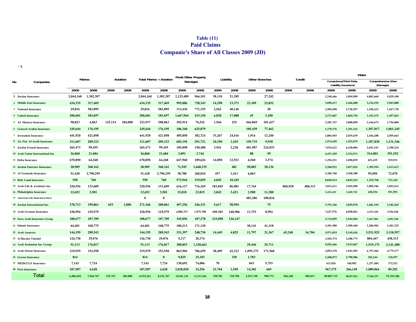| Table $(11)$                                     |  |
|--------------------------------------------------|--|
| <b>Paid Claims</b>                               |  |
| <b>Companie's Share of All Classes 2009 (JD)</b> |  |

**-1**

|                           |                                   |           |           |         |          |           |                         | <b>Fire&amp; Other Property</b> |            |         |           |                       |         |         |         |            | Motor                                                  |            |                    |
|---------------------------|-----------------------------------|-----------|-----------|---------|----------|-----------|-------------------------|---------------------------------|------------|---------|-----------|-----------------------|---------|---------|---------|------------|--------------------------------------------------------|------------|--------------------|
| No                        | Companies                         |           | Marine    |         | Aviation |           | Total Marine + Aviation |                                 | Damages    |         | Liability | <b>Other Branches</b> |         |         | Credit  |            | <b>Compulsory</b> (Third Party<br>Liability Insurance) | (Damages   | Comprehensive (Own |
|                           |                                   | 2009      | 2008      | 2009    | 2008     | 2009      | 2008                    | 2009                            | 2008       | 2009    | 2008      | 2009                  | 2008    | 2009    | 2008    | 2009       | 2008                                                   | 2009       | 2008               |
|                           | 1 Jordan Insurance                | 2.044.160 | 1.302.307 |         |          | 2.044.160 | 1,302,307               | 2,125,489                       | 966,101    | 38,110  | 21,285    |                       | 27,242  |         |         | 2,240,466  | 1,894,989                                              | 4,802,660  | 5,029,100          |
|                           | 2 Middle East Insurance           | 434,335   | 317,469   |         |          | 434,335   | 317,469                 | 995,886                         | 728,343    | 14,290  | 13,371    | 23,109                | 23,832  |         |         | 3,050,417  | 2,446,600                                              | 3,234,529  | 2,963,880          |
|                           | 3 National Insurance              | 29,816    | 583,895   |         |          | 29,816    | 583,895                 | 313,436                         | 771,155    | 2,562   | 40,146    |                       | 20      |         |         | 2,585,698  | 2,730,297                                              | 1,240,432  | 1,267,738          |
|                           | 4 United Insurance                | 200,681   | 183,697   |         |          | 200.681   | 183,697                 | 1,667,964                       | 433,150    | 6.028   | 17,088    | 45                    | 1.180   |         |         | 2,273,687  | 1,854,794                                              | 1,343,475  | 1,497,843          |
|                           | 5 AL Manara Insurance             | 98,823    | 4,863     | 125,114 | 284,000  | 223,937   | 288,863                 | 302,914                         | 76,542     | 1,566   | 225       | 466,869               | 181,627 |         |         | 2,281,747  | 2,008,850                                              | 2,166,672  | 1,756,800          |
|                           | 6 General Arabia Insurance        | 245,644   | 176,195   |         |          | 245,644   | 176,195                 | 186,340                         | 625,879    |         |           | 105,439               | 77,462  |         |         | 1,370,376  | 1,301,163                                              | 1,307,017  | 1,061,245          |
|                           | 7 Jerusalem Insurance             | 441,920   | 421,058   |         |          | 441,920   | 421,058                 | 485,850                         | 382,724    | 33,267  | 24,616    | 1,916                 | 12,240  |         |         | 2,884,503  | 2,835,639                                              | 2,446,288  | 2,055,663          |
|                           | 8 AL-Nisr Al-Arabi Insurance      | 311,607   | 209,323   |         |          | 311,607   | 209.323                 | 602,194                         | 291,721    | 10,250  | 1,425     | 159,719               | 9.938   |         |         | 1,974,459  | 1,553,079                                              | 1,187,838  | 1,131,346          |
|                           | 9 Jordan French Insurance         | 265,473   | 99,455    |         |          | 265,473   | 99,455                  | 185,898                         | 158,400    | 3,941   | 2,228     | 401,987               | 224,033 |         |         | 7,076,622  | 6,438,006                                              | 2,843,243  | 2,300,224          |
|                           | 10 Arab Union International Ins.  | 26,860    | 21,684    |         |          | 26,860    | 21,684                  | 3,091                           | 3,744      |         |           | 88                    | 59      |         |         | 4,431,269  | 3,234,511                                              | 514,801    | 391,552            |
| 11 Delta Insurance        |                                   | 670,850   | 64,268    |         |          | 670,850   | 64,268                  | 647,960                         | 189,626    | 14,850  | 12,921    | 6,560                 | 3,374   |         |         | 1,294,251  | 1,058,839                                              | 651,435    | 519,931            |
|                           | 12 Jordan Emirates Insurance      | 28,905    | 368,162   |         |          | 28,905    | 368,162                 | 71,545                          | 1,668,335  |         | 481       | 50,883                | 38,136  |         |         | 2,268,922  | 3,017,024                                              | 1,305,594  | 1,613,613          |
|                           | 13 Al Yarmouk Insurance           | 51,428    | 2,790,259 |         |          | 51,428    | 2,790,259               | 38,780                          | 260,034    | 457     | 1,411     | 6,063                 |         |         |         | 2,206,768  | 3,568,388                                              | 95,050     | 72,070             |
|                           | <b>14 Holy Land Insurance</b>     | 550       | 760       |         |          | 550       | 760                     | 573,944                         | 319,029    | 4,045   | 10,245    |                       |         |         |         | 8,838,514  | 5,043,543                                              | 1,329,768  | 721,165            |
|                           | 15 Arab Life & Accidents Ins.     | 220,556   | 133,609   |         |          | 220,556   | 133,609                 | 616,127                         | 716,269    | 183,845 | 86,881    | 17,764                |         | 860.920 | 488,313 | 3,031,611  | 3,965,098                                              | 3,085,546  | 2,893,612          |
|                           | 16 Philadelphia Insurance         | 12,652    | 3,501     |         |          | 12.652    | 3,501                   | 32,818                          | 23,815     | 2,842   | 3,421     | 2,500                 | 11.300  |         |         | 2,412,421  | 2,269,743                                              | 438.354    | 551,591            |
|                           | 17 American Life Insurance(Alico) |           |           |         |          | $\bf{0}$  | $\mathbf{0}$            |                                 |            |         |           | 483,286               | 100,834 |         |         |            |                                                        |            |                    |
|                           | 18 Jordan International Ins.      | 270,713   | 199,861   | 653     | 1,000    | 271,366   | 200,861                 | 497,256                         | 246,331    | 5,617   | 58,994    |                       | 75      |         |         | 3,791,166  | 3,829,070                                              | 1,681,194  | 2,182,265          |
|                           | 19 Arab German Insurance          | 220,994   | 129,579   |         |          | 220,994   | 129,579                 | 4,886,767                       | 1,875,788  | 109,303 | 240,906   | 13,753                | 8,994   |         |         | 7,627,576  | 6,858,061                                              | 4,433,160  | 5,556,968          |
|                           | 20 Euro Arab Insurance Group      | 108,677   | 107,709   |         |          | 108,677   | 107,709                 | 345,056                         | 107,278    | 215,090 | 126,147   |                       |         |         |         | 2,714,059  | 2.944.584                                              | 5,467,984  | 4,051,540          |
|                           | 21 Islamic Insurance              | 64,401    | 168,775   |         |          | 64,401    | 168,775                 | 180,213                         | 171,130    |         |           | 38,141                | 41,318  |         |         | 4,381,580  | 3,389,460                                              | 2,286,502  | 2,401,225          |
| 22 Arab Assurers          |                                   | 144,195   | 289,543   |         |          | 144,195   | 289,543                 | 331,397                         | 248,730    | 14,445  | 4,825     | 11,797                | 21,367  | 65,248  | 16,704  | 5,971,819  | 5,145,626                                              | 3,531,925  | 3,118,557          |
|                           | 23 Al Baraka Takaful              | 126,738   | 29,076    |         |          | 126,738   | 29,076                  | 5,117                           | 20,374     |         |           |                       |         |         |         | 3,565,374  | 4,208,773                                              | 804,447    | 458,313            |
|                           | 24 Arab Jordanian Ins. Group      | 51,113    | 176,817   |         |          | 51,113    | 176,817                 | 380,853                         | 1,328,662  |         |           | 29,446                | 29,711  |         |         | 5,052,466  | 3,933,067                                              | 1,519,175  | 2,141,488          |
|                           | 25 Arab Orient Insurance          | 219,939   | 152,550   |         |          | 219,939   | 152,550                 | 863,904                         | 786,659    | 38,499  | 42,312    | 1,095,375             | 171,568 |         |         | 2,893,470  | 1,942,583                                              | 6,797,466  | 4,775,277          |
|                           | 26 Gerasa Insurance               | 814       |           |         |          | 814       | $\bf{0}$                | 9,825                           | 15,103     |         | 320       | 1,783                 |         |         |         | 2,288,073  | 2,798,986                                              | 202,244    | 318,557            |
|                           | 27 MEDGULF Insurance              | 7,143     | 7,724     |         |          | 7,143     | 7,724                   | 130,692                         | 74,006     | 70      |           | 843                   | 5,793   |         |         | 413,026    | 160,902                                                | 1,257,484  | 372,521            |
| <b>28 First Insurance</b> |                                   | 107.507   | 4,628     |         |          | 107,507   | 4,628                   | 2,020,020                       | 24,256     | 21,704  | 1,550     | 14,382                | 669     |         |         | 967,375    | 266,149                                                | 1,089,064  | 89,202             |
|                           | Total                             | 6.406.494 | 7.946.767 | 125,767 | 285,000  | 6.532.261 | 8.231.767               | 18.501.336                      | 12.513.184 | 720.781 | 710,798   | 2.931.748             | 990.772 | 926.168 | 505.017 | 89.887.715 | 80,697,824                                             | 57,063,347 | 51.293.286         |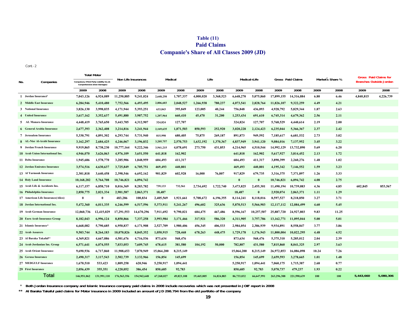| Table $(11)$                                     |
|--------------------------------------------------|
| <b>Paid Claims</b>                               |
| <b>Companie's Share of All Classes 2009 (JD)</b> |

Cont.-2

|     |                                   |                                          | <b>Total Motor</b>          |                     |             |            |            |            |            |            |              |              |                   |       |                  |                                | <b>Gross</b> Paid Claims for |
|-----|-----------------------------------|------------------------------------------|-----------------------------|---------------------|-------------|------------|------------|------------|------------|------------|--------------|--------------|-------------------|-------|------------------|--------------------------------|------------------------------|
| No. | Companies                         | Compulsory (Third Party Liability Ins.)& | Comprehensive (Own Damages) | Non Life Insurances |             | Medical    |            |            | Life       |            | Medical+Life |              | Gross Paid Claims |       | Market s Share % | <b>Branches Outside Jordan</b> |                              |
|     |                                   | 2009                                     | 2008                        | 2009                | 2008        | 2009       | 2008       | 2009       | 2008       | 2009       | 2008         | 2009         | 2008              | 2009  | 2008             | 2009                           | 2008                         |
|     | 1 Jordan Insurance                | 7,043,126                                | 6,924,089                   | 11,250,885          | 9,241,024   | 2,648,250  | 1,707,337  | 4,000,020  | 3,368,523  | 6,648,270  | 5,075,860    | 17,899,155   | 14,316,884        | 6.80  | 6.46             | 4,840,815                      | 4,226,739                    |
|     | 2 Middle East Insurance           | 6,284,946                                | 5,410,480                   | 7,752,566           | 6,493,495   | 2,806,603  | 2,048,527  | 1,266,938  | 780,237    | 4,073,541  | 2,828,764    | 11,826,107   | 9,322,259         | 4.49  | 4.21             |                                |                              |
|     | 3 National Insurance              | 3,826,130                                | 3,998,035                   | 4,171,944           | 5,393,251   | 633,843    | 395,849    | 123,005    | 40,244     | 756,848    | 436,093      | 4,928,792    | 5,829,344         | 1.87  | 2.63             |                                |                              |
|     | 4 United Insurance                | 3,617,162                                | 3,352,637                   | 5,491,880           | 3,987,752   | 1,207,964  | 660,410    | 45,470     | 31,200     | 1,253,434  | 691,610      | 6,745,314    | 4,679,362         | 2.56  | 2.11             |                                |                              |
|     | 5 AL Manara Insurance             | 4,448,419                                | 3,765,650                   | 5,443,705           | 4,312,907   | 324,824    | 127,707    |            |            | 324,824    | 127,707      | 5,768,529    | 4,440,614         | 2.19  | 2.00             |                                |                              |
|     | <b>6</b> General Arabia Insurance | 2,677,393                                | 2,362,408                   | 3,214,816           | 3,241,944   | 2,169,635  | 1,871,503  | 850,593    | 252,920    | 3,020,228  | 2,124,423    | 6,235,044    | 5,366,367         | 2.37  | 2.42             |                                |                              |
|     | 7 Jerusalem Insurance             | 5,330,791                                | 4,891,302                   | 6,293,744           | 5,731,940   | 815,998    | 680,405    | 75,875     | 269,187    | 891,873    | 949,592      | 7,185,617    | 6,681,532         | 2.73  | 3.02             |                                |                              |
|     | 8 AL-Nisr Al-Arabi Insurance      | 3,162,297                                | 2,684,425                   | 4,246,067           | 3,196,832   | 3,205,757  | 2,570,753  | 1,632,192  | 1,370,367  | 4,837,949  | 3,941,120    | 9,084,016    | 7,137,952         | 3.45  | 3.22             |                                |                              |
|     | 9 Jordan French Insurance         | 9,919,865                                | 8,738,230                   | 10,777,164          | 9,222,346   | 3,941,215  | 4,078,691  | 273,750    | 431,853    | 4,214,965  | 4,510,544    | 14,992,129   | 13,732,890        | 5.69  | 6.20             |                                |                              |
|     | 10 Arab Union International Ins.  | 4.946.070                                | 3.626.063                   | 4,976,109           | 3,651,550   | 641,818    | 162,902    |            |            | 641.818    | 162,902      | 5,617,927    | 3,814,452         | 2.13  | 1.72             |                                |                              |
|     | 11 Delta Insurance                | 1,945,686                                | 1,578,770                   | 3,285,906           | 1,848,959   | 604,493    | 411,317    |            |            | 604,493    | 411,317      | 3,890,399    | 2,260,276         | 1.48  | 1.02             |                                |                              |
|     | 12 Jordan Emirates Insurance      | 3,574,516                                | 4,630,637                   | 3,725,849           | 6,705,751   | 469,493    | 440,801    |            |            | 469,493    | 440,801      | 4,195,342    | 7,146,552         | 1.59  | 3.23             |                                |                              |
|     | 13 Al Yarmouk Insurance           | 2,301,818                                | 3,640,458                   | 2,398,546           | 6,692,162   | 901,829    | 602,928    | 16,000     | 76,807     | 917,829    | 679,735      | 3,316,375    | 7,371,897         | 1.26  | 3.33             |                                |                              |
|     | <b>14 Holy Land Insurance</b>     | 10,168,282                               | 5,764,708                   | 10,746,821          | 6,094,742   |            |            |            |            | $\theta$   | $\mathbf{0}$ | 10,746,821   | 6,094,742         | 4.08  | 2.75             |                                |                              |
|     | 15 Arab Life & Accidents Ins.     | 6,117,157                                | 6,858,710                   | 8,016,369           | 8,283,782   | 739,133    | 732,561    | 2,734,692  | 1,722,740  | 3,473,825  | 2,455,301    | 11,490,194   | 10,739,083        | 4.36  | 4.85             | 602,845                        | 853,567                      |
|     | 16 Philadelphia Insurance         | 2,850,775                                | 2,821,334                   | 2,901,587           | 2,863,371   | 18,487     |            |            |            | 18,487     | $\mathbf{0}$ | 2,920,074    | 2,863,371         | 1.11  | 1.29             |                                |                              |
|     | 17 American Life Insurance(Alico) | $\mathbf{0}$                             | $\theta$                    | 483,286             | 100,834     | 2,405,569  | 1,921,661  | 5,708,672  | 6,196,355  | 8,114,241  | 8.118.016    | 8,597,527    | 8,218,850         | 3.27  | 3.71             |                                |                              |
|     | 18 Jordan International Ins.      | 5,472,360                                | 6,011,335                   | 6,246,599           | 6,517,596   | 5,373,911  | 5,241,267  | 496,602    | 325,636    | 5,870,513  | 5,566,903    | 12, 117, 112 | 12,084,499        | 4.60  | 5.45             |                                |                              |
|     | 19 Arab German Insurance          | 12,060,736                               | 12,415,029                  | 17,291,553          | 14,670,296  | 7,911,692  | 9,790,021  | 684,475    | 467,486    | 8,596,167  | 10,257,507   | 25,887,720   | 24,927,803        | 9.83  | 11.25            |                                |                              |
|     | 20 Euro Arab Insurance Group      | 8,182,043                                | 6,996,124                   | 8,850,866           | 7,337,258   | 3,993,984  | 3,171,466  | 317,921    | 586,320    | 4,311,905  | 3,757,786    | 13,162,771   | 11,095,044        | 5.00  | 5.01             |                                |                              |
|     | 21 Islamic Insurance*             | 6,668,082                                | 5,790,685                   | 6,950,837           | 6,171,908   | 2,527,709  | 1,980,406  | 456,345    | 406,533    | 2,984,054  | 2,386,939    | 9,934,891    | 8,558,847         | 3.77  | 3.86             |                                |                              |
|     | 22 Arab Assurers                  | 9,503,744                                | 8,264,183                   | 10,070,826          | 8,845,352   | 1,050,915  | 728,468    | 678,263    | 448,475    | 1,729,178  | 1,176,943    | 11,800,004   | 10,022,295        | 4.48  | 4.52             |                                |                              |
|     | 23 Al Baraka Takaful**            | 4,369,821                                | 4,667,086                   | 4,501,676           | 4,716,536   | 873,634    | 568,476    |            |            | 873,634    | 568,476      | 5,375,310    | 5,285,012         | 2.04  | 2.39             |                                |                              |
|     | 24 Arab Jordanian Ins. Group      | 6,571,641                                | 6,074,555                   | 7,033,053           | 7,609,745   | 678,615    | 381,580    | 104,192    | 50,000     | 782,807    | 431,580      | 7,815,860    | 8,041,325         | 2.97  | 3.63             |                                |                              |
|     | 25 Arab Orient Insurance          | 9,690,936                                | 6,717,860                   | 11,908,653          | 7,870,949   | 15,064,200 | 8,215,149  |            |            | 15,064,200 | 8,215,149    | 26,972,853   | 16,086,098        | 10.24 | 7.26             |                                |                              |
|     | 26 Gerasa Insurance               | 2,490,317                                | 3,117,543                   | 2,502,739           | 3,132,966   | 156,854    | 145,699    |            |            | 156,854    | 145,699      | 2,659,593    | 3,278,665         | 1.01  | 1.48             |                                |                              |
|     | 27 MEDGULF Insurance              | 1,670,510                                | 533,423                     | 1,809,258           | 620,946     | 5,250,917  | 1,094,441  |            |            | 5,250,917  | 1,094,441    | 7,060,175    | 1,715,387         | 2.68  | 0.77             |                                |                              |
|     | 29 First Insurance                | 2,056,439                                | 355,351                     | 4,220,052           | 386,454     | 850,685    | 92,783     |            |            | 850,685    | 92,783       | 5,070,737    | 479,237           | 1.93  | 0.22             |                                |                              |
|     | <b>Total</b>                      | 146.951.062                              | 131.991.110                 | 176.563.356         | 154,942,648 | 67.268.027 | 49.823.108 | 19.465.005 | 16,824,883 | 86,733,032 | 66.647.991   | 263.296.388  | 221.590.639       | 100   | 100              | 5,443,660                      | 5,080,306                    |

\* **Both Jordan Insurance company and Islamic Insurance company paid claims in 2008 include recoveries which was not presented in JOIF report in 2008**

**\*\* Al Baraka Takaful paid claims for Motor insurance in 2009 included an amount of JD 298.794 from the old portfolio of the company**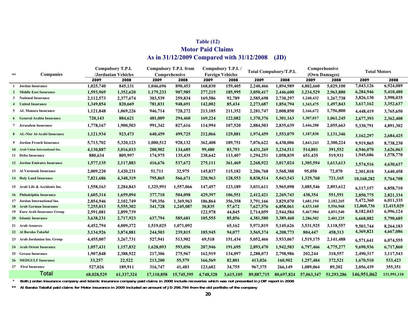### **Table (12) Motor Paid Claims As in 31/12/2009 Compared with 31/12/2008 (JD)**

#### **2009 2008 2009 2008 2009 2008 2009 2008 2009 2008 2009 2008 1 Jordan Insurance 1,025,740 845,131 1,046,696 890,453 168,030 159,405 2,240,466 1,894,989 4,802,660 5,029,100 7,043,126 6,924,089** 2 Middle East Insurance 2 Middle East Insurance 1,593,969 1,352,620 1,179,233 907,985 277,215 185,995 3,050,417 2,446,600 3,234,529 2,963,880 6,284,946 5,410,480 **3 National Insurance 2,112,573 2,377,674 303,539 259,834 169,586 92,789 2,585,698 2,730,297 1,240,432 1,267,738 3,826,130 3,998,035 4 United Insurance 1,349,854 820,669 781,831 948,691 142,002 85,434 2,273,687 1,854,794 1,343,475 1,497,843 3,617,162 3,352,637 5 AL Manara Insurance AL Manara Insurance 1,121,848 1,069,226 946,714 728,272 213,185 211,352 2,281,747 2,008,850 2,166,672 1,756,800 4,448,419 3,765,650 6 General Arabia Insurance 720,143 884,621 481,009 294,460 169,224 122,082 1,370,376 1,301,163 1,307,017 1,061,245 2,677,393 2,362,408 7 Jerusalem Insurance 1,778,167 1,900,503 991,342 827,616 114,994 107,520 2,884,503 2,835,639 2,446,288 2,055,663 5,330,791 4,891,302** 8 AL-Nisr Al-Arabi Insurance 1,121,934 923,473 640,459 499,725 212,066 129,881 1,974,459 1,553,079 1,187,838 1,131,346 <sub>3,162,297</sub> <sub>2,684,425</sub> **9** Jordan French Insurance 9 Jordan French Insurance 5,713,702 5,320,123 1,000,512 928,132 362,408 189,751 7,076,622 6,438,006 2,843,243 2,300,224 9,919,865 8,738,230 **10** Arab Union International Ins. 0 Arab Union International Ins. 4,130,887 3,016,033 200,902 134,685 99,480 83,793 4,431,269 3,234,511 514,801 391,552 4,946,070 3,626,063 **11 Delta Insurance 880,634 809,997 174,975 135,435 238,642 113,407 1,294,251 1,058,839 651,435 519,931 1,945,686 1,578,770** 12 Jordan Emirates Insurance 1,577,135 2,117,883 416,676 537,672 275,111 361,469 2,268,922 3,017,024 1,305,594 1,613,613 <sub>3,5</sub>74,516 4,630,637 13 Al Yarmouk Insurance **Al Yarmouk Insurance 2,009,220 3,420,231 51,711 32,975 145,837 115,182 2,206,768 3,568,388 95,050 72,070 2,301,818 3,640,458 14 Holy Land Insurance Holy Land Insurance 7,821,686 4,348,319 795,865 566,671 220,963 128,553 8,838,514 5,043,543 1,329,768 721,165 10,168,282 5,764,708 6,117,157 6,858,710 <sup>15</sup> Arab Life & Accidents Ins. 1,558,163 2,284,843 1,325,991 1,557,066 147,457 123,189 3,031,611 3,965,098 3,085,546 2,893,612** 16 Philadelphia Insurance **Philadelphia Insurance 1,605,314 1,659,094 377,710 504,098 429,397 106,551 2,412,421 2,269,743 438,354 551,591 2,850,775 2,821,334 17** Jordan International Ins. 7 Jordan International Ins. 2,854,946 2,102,749 749,356 1,369,963 186,864 356,358 3,791,166 3,829,070 1,681,194 2,182,265 5,472,360 6,011,335 **18** Arab German Insurance 8 Arab German Insurance 7,255,013 5,555,302 341,728 1,245,087 30,835 57,672 7,627,576 6,858,061 4,433,160 5,556,968 12,060,736 12,415,029 **19 Euro Arab Insurance Group 2,591,081 2,899,739 122,978 44,845 2,714,059 2,944,584 5,467,984 4,051,540 8,182,043 6,996,124 20 Islamic Insurance 3,638,231 2,717,923 637,794 585,681 105,555 85,856 4,381,580 3,389,460 2,286,502 2,401,225 6,668,082 5,790,685** 21 Arab Assurers **Arab Assurers 4,452,794 4,009,372 1,519,025 1,071,092 65,162 5,971,819 5,145,626 3,531,925 3,118,557 9,503,744 8,264,183** 22 Al Baraka Takaful **ِAl Baraka Takaful 3,134,926 3,874,881 244,503 239,815 185,945 94,077 3,565,374 4,208,773 804,447 458,313 4,369,821 4,667,086** 23 Arab Jordanian Ins. Group 4,455,007 3,267,731 527,941 513,902 69,518 151,434 5,052,466 3,933,067 1,519,175 2,141,488 <sub>6,5</sub>71,641 6,074,555 24 **Arab Orient Insurance** 4 Arab Orient Insurance 1,057,431 1,157,832 1,628,093 593,056 207,946 191,695 2,893,470 1,942,583 6,797,466 4,775,277 9,690,936 6,717,860 25 **Gerasa Insurance Gerasa Insurance 1,907,848 2,388,922 217,306 275,967 162,919 134,097 2,288,073 2,798,986 202,244 318,557 2,490,317 3,117,543 26 MEDGULF Insurance MEDGULF Insurance 33,257 22,522 213,200 55,579 166,569 82,801 413,026 160,902 1,257,484 372,521 1,670,510 533,423 27 First Insurance 527,026 189,911 316,747 41,483 123,602 34,755 967,375 266,149 1,089,064 89,202 2,056,439 355,351 68,028,529 61,337,324 17,110,858 15,745,395 4,748,328 3,615,105 89,887,715 80,697,824 57,063,347 51,293,286 146,951,062 131,991,110 Compulsory T.P.L /Jordanian Vehicles Compulsory T.P.L from Comprehensive Compulsory T.P.L / Foreign Vehicles Total Compulsory/T.P.L Comprehensive (Own Damages) Total Motors** Total **NOCompanies**

 $\star$ **Both Jordan Insurance company and Islamic Insurance company paid claims in 2008 include recoveries which was not presented in JOIF report in 2008**

**\*\*Al Baraka Takaful paid claims for Motor insurance in 2009 included an amount of JD 298.794 from the old portfolio of the company**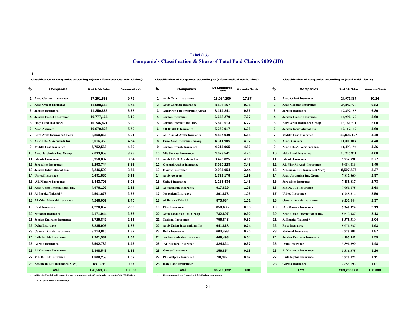### **Tabel (13) Companie's Classification & Share of Total Paid Claims 2009 (JD)**

**-1**

### **Classification of companies according to(Non Life Insurances Paid Claims) Classification of companies according to (Total Paid Claims)**

**Classification of companies according to (Life & Medical Paid Claims)**

| %<br><b>Companies</b>                     | <b>Non Life Paid Claims</b> | <b>Companies Share%</b> | ู∕∿             | <b>Companies</b>                      | <b>Life &amp; Midical Paid</b><br>Claims | <b>Companies Share%</b> | h,           | <b>Companies</b>                      | <b>Total Paid Claims</b> | <b>Companies S</b> |
|-------------------------------------------|-----------------------------|-------------------------|-----------------|---------------------------------------|------------------------------------------|-------------------------|--------------|---------------------------------------|--------------------------|--------------------|
| <b>1</b> Arab German Insurance            | 17,291,553                  | 9.79                    |                 | <b>1</b> Arab Orient Insurance        | 15,064,200                               | 17.37                   | 1            | <b>Arab Orient Insurance</b>          | 26,972,853               | 10.24              |
| 2 Arab Orient Insurance                   | 11,908,653                  | 6.74                    | $\mathbf{2}$    | <b>Arab German Insurance</b>          | 8,596,167                                | 9.91                    | $\mathbf{2}$ | <b>Arab German Insurance</b>          | 25,887,720               | 9.83               |
| 3 Jordan Insurance                        | 11.250.885                  | 6.37                    | 3               | <b>American Life Insurance(Alico)</b> | 8,114,241                                | 9.36                    | 3            | <b>Jordan Insurance</b>               | 17,899,155               | 6.80               |
| 4 Jordan French Insurance                 | 10,777,164                  | 6.10                    | 4               | Jordan Insurance                      | 6,648,270                                | 7.67                    | 4            | <b>Jordan French Insurance</b>        | 14,992,129               | 5.69               |
| <b>5</b> Holy Land Insurance              | 10,746,821                  | 6.09                    | 5               | Jordan International Ins.             | 5,870,513                                | 6.77                    | 5            | <b>Euro Arab Insurance Group</b>      | 13, 162, 771             | 5.00               |
| <b>6</b> Arab Assurers                    | 10,070,826                  | 5.70                    | 6               | <b>MEDGULF Insurance</b>              | 5,250,917                                | 6.05                    | 6            | Jordan International Ins.             | 12,117,112               | 4.60               |
| <b>7</b> Euro Arab Insurance Group        | 8,850,866                   | 5.01                    |                 | <b>7</b> AL-Nisr Al-Arabi Insurance   | 4,837,949                                | 5.58                    | 7            | <b>Middle East Insurance</b>          | 11,826,107               | 4.49               |
| 8 Arab Life & Accidents Ins.              | 8,016,369                   | 4.54                    | 8               | <b>Euro Arab Insurance Group</b>      | 4,311,905                                | 4.97                    | 8            | <b>Arab Assurers</b>                  | 11,800,004               | 4.48               |
| <b>9</b> Middle East Insurance            | 7,752,566                   | 4.39                    | 9               | <b>Jordan French Insurance</b>        | 4,214,965                                | 4.86                    | 9            | Arab Life & Accidents Ins.            | 11,490,194               | 4.36               |
| <b>10</b> Arab Jordanian Ins. Group       | 7,033,053                   | 3.98                    |                 | <b>10</b> Middle East Insurance       | 4,073,541                                | 4.70                    | 10           | <b>Holy Land Insurance</b>            | 10,746,821               | 4.08               |
| <b>11 Islamic Insurance</b>               | 6,950,837                   | 3.94                    |                 | 11 Arab Life & Accidents Ins.         | 3,473,825                                | 4.01                    | 11           | <b>Islamic Insurance</b>              | 9,934,891                | 3.77               |
| <b>12</b> Jerusalem Insurance             | 6,293,744                   | 3.56                    | 12 <sup>1</sup> | <b>General Arabia Insurance</b>       | 3,020,228                                | 3.48                    | 12           | <b>AL-Nisr Al-Arabi Insurance</b>     | 9,084,016                | 3.45               |
| <b>13</b> Jordan International Ins.       | 6,246,599                   | 3.54                    | 13              | <b>Islamic Insurance</b>              | 2,984,054                                | 3.44                    | 13           | <b>American Life Insurance(Alico)</b> | 8,597,527                | 3.27               |
| <b>14</b> United Insurance                | 5,491,880                   | 3.11                    | 14              | <b>Arab Assurers</b>                  | 1,729,178                                | 1.99                    | 14           | Arab Jordanian Ins. Group             | 7,815,860                | 2.97               |
| <b>15</b> AL Manara Insurance             | 5,443,705                   | 3.08                    |                 | <b>15</b> United Insurance            | 1,253,434                                | 1.45                    | 15           | <b>Jerusalem Insurance</b>            | 7,185,617                | 2.73               |
| <b>16</b> Arab Union International Ins.   | 4,976,109                   | 2.82                    | 16              | <b>Al Yarmouk Insurance</b>           | 917,829                                  | 1.06                    | 16           | <b>MEDGULF Insurance</b>              | 7.060.175                | 2.68               |
| 17 Al Baraka Takaful*                     | 4,501,676                   | 2.55                    |                 | <b>17</b> Jerusalem Insurance         | 891,873                                  | 1.03                    | 17           | <b>United Insurance</b>               | 6,745,314                | 2.56               |
| <b>18 AL-Nisr Al-Arabi Insurance</b>      | 4,246,067                   | 2.40                    | 18              | Al Baraka Takaful                     | 873,634                                  | 1.01                    | 18           | <b>General Arabia Insurance</b>       | 6,235,044                | 2.37               |
| <b>19 First Insurance</b>                 | 4,220,052                   | 2.39                    |                 | <b>19</b> First Insurance             | 850,685                                  | 0.98                    | 19           | <b>AL Manara Insurance</b>            | 5,768,529                | 2.19               |
| <b>20 National Insurance</b>              | 4,171,944                   | 2.36                    |                 | 20 Arab Jordanian Ins. Group          | 782,807                                  | 0.90                    | 20           | <b>Arab Union International Ins.</b>  | 5,617,927                | 2.13               |
| 21 Jordan Emirates Insurance              | 3,725,849                   | 2.11                    |                 | <b>21</b> National Insurance          | 756,848                                  | 0.87                    | 21           | Al Baraka Takaful*                    | 5,375,310                | 2.04               |
| <b>22 Delta Insurance</b>                 | 3,285,906                   | 1.86                    | 22              | <b>Arab Union International Ins.</b>  | 641,818                                  | 0.74                    | 22           | <b>First Insurance</b>                | 5,070,737                | 1.93               |
| 23 General Arabia Insurance               | 3,214,816                   | 1.82                    | 23              | <b>Delta Insurance</b>                | 604,493                                  | 0.70                    | 23           | <b>National Insurance</b>             | 4,928,792                | 1.87               |
| 24 Philadelphia Insurance                 | 2,901,587                   | 1.64                    | 24              | <b>Jordan Emirates Insurance</b>      | 469,493                                  | 0.54                    | 24           | <b>Jordan Emirates Insurance</b>      | 4,195,342                | 1.59               |
| 25 Gerasa Insurance                       | 2,502,739                   | 1.42                    | 25              | <b>AL Manara Insurance</b>            | 324,824                                  | 0.37                    | 25           | <b>Delta Insurance</b>                | 3,890,399                | 1.48               |
| <b>26 Al Yarmouk Insurance</b>            | 2,398,546                   | 1.36                    | 26              | <b>Gerasa Insurance</b>               | 156,854                                  | 0.18                    | 26           | <b>Al Yarmouk Insurance</b>           | 3,316,375                | 1.26               |
| <b>27 MEDGULF Insurance</b>               | 1,809,258                   | 1.02                    | 27              | Philadelphia Insurance                | 18,487                                   | 0.02                    | 27           | Philadelphia Insurance                | 2,920,074                | 1.11               |
| <b>28 American Life Insurance (Alico)</b> | 483,286                     | 0.27                    | 28              | <b>Holy Land Insurance*</b>           |                                          |                         | 28           | <b>Gerasa Insurance</b>               | 2,659,593                | 1.01               |
| <b>Total</b>                              | 176,563,356                 | 100.00                  |                 | <b>Total</b>                          | 86,733,032                               | 100                     |              | <b>Total</b>                          | 263,296,388              | 100.00             |
|                                           |                             |                         |                 |                                       |                                          |                         |              |                                       |                          |                    |

| panies         | <b>Non Life Paid Claims</b> | <b>Companies Share%</b> | $\boldsymbol{\mathrm{\mathit{v}}}_{\mathrm{\mathrm{o}}}$ | <b>Companies</b>                       | Life & Midical Paid<br><b>Claims</b> | <b>Companies Share%</b> | $\boldsymbol{\mathrm{v}}_{\mathrm{o}}$ |                | <b>Companies</b>                      | <b>Total Paid Claim</b> |
|----------------|-----------------------------|-------------------------|----------------------------------------------------------|----------------------------------------|--------------------------------------|-------------------------|----------------------------------------|----------------|---------------------------------------|-------------------------|
| surance        | 17,291,553                  | 9.79                    | 1.                                                       | <b>Arab Orient Insurance</b>           | 15,064,200                           | 17.37                   | 1                                      |                | <b>Arab Orient Insurance</b>          | 26,972,853              |
| rance          | 11,908,653                  | 6.74                    |                                                          | 2 Arab German Insurance                | 8,596,167                            | 9.91                    | $\mathbf{2}$                           |                | <b>Arab German Insurance</b>          | 25,887,720              |
|                | 11,250,885                  | 6.37                    | 3                                                        | <b>American Life Insurance (Alico)</b> | 8,114,241                            | 9.36                    | 3                                      |                | <b>Jordan Insurance</b>               | 17,899,155              |
| <b>surance</b> | 10,777,164                  | 6.10                    |                                                          | <b>Jordan Insurance</b>                | 6,648,270                            | 7.67                    | 4                                      |                | <b>Jordan French Insurance</b>        | 14,992,129              |
| ance           | 10,746,821                  | 6.09                    | 5                                                        | Jordan International Ins.              | 5,870,513                            | 6.77                    |                                        | 5              | Euro Arab Insurance Group             | 13, 162, 771            |
|                | 10,070,826                  | 5.70                    | 6                                                        | <b>MEDGULF Insurance</b>               | 5,250,917                            | 6.05                    | 6                                      |                | <b>Jordan International Ins.</b>      | 12, 117, 112            |
| ance Group     | 8,850,866                   | 5.01                    |                                                          | <b>AL-Nisr Al-Arabi Insurance</b>      | 4,837,949                            | 5.58                    |                                        | $\overline{7}$ | <b>Middle East Insurance</b>          | 11,826,107              |
| dents Ins.     | 8,016,369                   | 4.54                    | 8                                                        | <b>Euro Arab Insurance Group</b>       | 4,311,905                            | 4.97                    | 8                                      |                | <b>Arab Assurers</b>                  | 11,800,004              |
| rance          | 7,752,566                   | 4.39                    | 9                                                        | Jordan French Insurance                | 4,214,965                            | 4.86                    | 9                                      |                | Arab Life & Accidents Ins.            | 11,490,194              |
| ns. Group      | 7,033,053                   | 3.98                    |                                                          | <b>Middle East Insurance</b><br>10     | 4,073,541                            | 4.70                    | 10                                     |                | <b>Holy Land Insurance</b>            | 10,746,821              |
|                | 6,950,837                   | 3.94                    |                                                          | 11 Arab Life & Accidents Ins.          | 3,473,825                            | 4.01                    | 11                                     |                | <b>Islamic Insurance</b>              | 9,934,891               |
| nce            | 6,293,744                   | 3.56                    |                                                          | <b>12</b> General Arabia Insurance     | 3,020,228                            | 3.48                    |                                        | 12             | <b>AL-Nisr Al-Arabi Insurance</b>     | 9,084,016               |
| onal Ins.      | 6,246,599                   | 3.54                    |                                                          | <b>13</b> Islamic Insurance            | 2,984,054                            | 3.44                    | 13                                     |                | <b>American Life Insurance(Alico)</b> | 8,597,527               |
|                | 5,491,880                   | 3.11                    |                                                          | <b>14</b> Arab Assurers                | 1,729,178                            | 1.99                    | 14                                     |                | Arab Jordanian Ins. Group             | 7,815,860               |
| rance          | 5,443,705                   | 3.08                    |                                                          | <b>United Insurance</b><br>15          | 1,253,434                            | 1.45                    | 15                                     |                | <b>Jerusalem Insurance</b>            | 7,185,617               |
| national Ins.  | 4,976,109                   | 2.82                    |                                                          | <b>16</b> Al Yarmouk Insurance         | 917,829                              | 1.06                    | 16                                     |                | <b>MEDGULF Insurance</b>              | 7,060,175               |
| ul *           | 4,501,676                   | 2.55                    |                                                          | <b>17</b> Jerusalem Insurance          | 891,873                              | 1.03                    | 17                                     |                | <b>United Insurance</b>               | 6,745,314               |
| i Insurance    | 4,246,067                   | 2.40                    |                                                          | <b>18</b> Al Baraka Takaful            | 873,634                              | 1.01                    | 18                                     |                | <b>General Arabia Insurance</b>       | 6,235,044               |
|                | 4,220,052                   | 2.39                    |                                                          | <b>19</b> First Insurance              | 850,685                              | 0.98                    | 19                                     |                | <b>AL Manara Insurance</b>            | 5,768,529               |
| ce             | 4,171,944                   | 2.36                    |                                                          | 20 Arab Jordanian Ins. Group           | 782,807                              | 0.90                    | 20                                     |                | <b>Arab Union International Ins.</b>  | 5,617,927               |
| Insurance      | 3,725,849                   | 2.11                    |                                                          | <b>21</b> National Insurance           | 756,848                              | 0.87                    | 21                                     |                | Al Baraka Takaful*                    | 5,375,310               |
|                | 3,285,906                   | 1.86                    |                                                          | 22 Arab Union International Ins.       | 641,818                              | 0.74                    | 22                                     |                | <b>First Insurance</b>                | 5,070,737               |
| nsurance       | 3,214,816                   | 1.82                    |                                                          | 23<br><b>Delta Insurance</b>           | 604,493                              | 0.70                    | 23                                     |                | <b>National Insurance</b>             | 4,928,792               |
| rance          | 2,901,587                   | 1.64                    |                                                          | <b>Jordan Emirates Insurance</b><br>24 | 469,493                              | 0.54                    | 24                                     |                | <b>Jordan Emirates Insurance</b>      | 4,195,342               |
|                | 2,502,739                   | 1.42                    | 25                                                       | <b>AL Manara Insurance</b>             | 324,824                              | 0.37                    | 25                                     |                | <b>Delta Insurance</b>                | 3,890,399               |
| rance          | 2,398,546                   | 1.36                    |                                                          | <b>26 Gerasa Insurance</b>             | 156,854                              | 0.18                    | 26                                     |                | <b>Al Yarmouk Insurance</b>           | 3,316,375               |
| rance          | 1,809,258                   | 1.02                    | 27                                                       | Philadelphia Insurance                 | 18,487                               | 0.02                    | 27                                     |                | Philadelphia Insurance                | 2,920,074               |
| surance(Alico) | 483,286                     | 0.27                    |                                                          | 28 Holy Land Insurance*                |                                      |                         | 28                                     |                | <b>Gerasa Insurance</b>               | 2,659,593               |
|                | 176,563,356                 | 100.00                  |                                                          | <b>Total</b>                           | 86,733,032                           | 100                     |                                        |                | <b>Total</b>                          | 263,296,38              |
|                |                             |                         |                                                          |                                        |                                      |                         |                                        |                |                                       |                         |

| <b>Companies Share%</b> |              |                                        | Claims                                                                                                                                                                                                                                                                                | <b>Companies Share%</b> |              |                                       | <b>Total Paid Claims</b> | <b>Companies Share%</b> |
|-------------------------|--------------|----------------------------------------|---------------------------------------------------------------------------------------------------------------------------------------------------------------------------------------------------------------------------------------------------------------------------------------|-------------------------|--------------|---------------------------------------|--------------------------|-------------------------|
| 9.79                    | 1.           | <b>Arab Orient Insurance</b>           | 15,064,200                                                                                                                                                                                                                                                                            | 17.37                   | 1            | <b>Arab Orient Insurance</b>          | 26,972,853               | 10.24                   |
| 6.74                    | $\mathbf{2}$ | <b>Arab German Insurance</b>           | 8,596,167                                                                                                                                                                                                                                                                             | 9.91                    | $\mathbf{2}$ | <b>Arab German Insurance</b>          | 25,887,720               | 9.83                    |
| 6.37                    | 3            | <b>American Life Insurance (Alico)</b> | 8,114,241                                                                                                                                                                                                                                                                             | 9.36                    | 3            | <b>Jordan Insurance</b>               | 17,899,155               | 6.80                    |
| 6.10                    | 4            | <b>Jordan Insurance</b>                | 6,648,270                                                                                                                                                                                                                                                                             | 7.67                    | 4            | <b>Jordan French Insurance</b>        | 14,992,129               | 5.69                    |
| 6.09                    | 5            | <b>Jordan International Ins.</b>       | 5,870,513                                                                                                                                                                                                                                                                             | 6.77                    | 5            | Euro Arab Insurance Group             | 13, 162, 771             | 5.00                    |
| 5.70                    | 6            | <b>MEDGULF Insurance</b>               | 5,250,917                                                                                                                                                                                                                                                                             | 6.05                    | 6            | <b>Jordan International Ins.</b>      | 12,117,112               | 4.60                    |
| 5.01                    | 7            | <b>AL-Nisr Al-Arabi Insurance</b>      | 4,837,949                                                                                                                                                                                                                                                                             | 5.58                    | 7            | <b>Middle East Insurance</b>          | 11.826.107               | 4.49                    |
| 4.54                    | 8            | <b>Euro Arab Insurance Group</b>       | 4,311,905                                                                                                                                                                                                                                                                             | 4.97                    | 8            | <b>Arab Assurers</b>                  | 11,800,004               | 4.48                    |
| 4.39                    | 9            | <b>Jordan French Insurance</b>         | 4,214,965                                                                                                                                                                                                                                                                             | 4.86                    | 9            | Arab Life & Accidents Ins.            | 11,490,194               | 4.36                    |
| 3.98                    |              |                                        | 4,073,541                                                                                                                                                                                                                                                                             | 4.70                    | 10           | <b>Holy Land Insurance</b>            | 10,746,821               | 4.08                    |
| 3.94                    |              | Arab Life & Accidents Ins.             | 3,473,825                                                                                                                                                                                                                                                                             | 4.01                    | 11           | <b>Islamic Insurance</b>              | 9,934,891                | 3.77                    |
| 3.56                    |              |                                        | 3,020,228                                                                                                                                                                                                                                                                             | 3.48                    | $12 \,$      | <b>AL-Nisr Al-Arabi Insurance</b>     | 9,084,016                | 3.45                    |
| 3.54                    |              | <b>Islamic Insurance</b>               | 2,984,054                                                                                                                                                                                                                                                                             | 3.44                    | 13           | <b>American Life Insurance(Alico)</b> | 8,597,527                | 3.27                    |
| 3.11                    |              |                                        | 1,729,178                                                                                                                                                                                                                                                                             | 1.99                    | 14           | Arab Jordanian Ins. Group             | 7,815,860                | 2.97                    |
| 3.08                    |              | <b>United Insurance</b>                | 1,253,434                                                                                                                                                                                                                                                                             | 1.45                    | 15           | Jerusalem Insurance                   | 7,185,617                | 2.73                    |
| 2.82                    |              |                                        | 917,829                                                                                                                                                                                                                                                                               | 1.06                    | 16           | <b>MEDGULF Insurance</b>              | 7,060,175                | 2.68                    |
| 2.55                    |              | Jerusalem Insurance                    | 891,873                                                                                                                                                                                                                                                                               | 1.03                    | 17           | <b>United Insurance</b>               | 6,745,314                | 2.56                    |
| 2.40                    |              |                                        | 873,634                                                                                                                                                                                                                                                                               | 1.01                    | 18           | <b>General Arabia Insurance</b>       | 6,235,044                | 2.37                    |
| 2.39                    |              |                                        | 850,685                                                                                                                                                                                                                                                                               | 0.98                    | 19           | <b>AL Manara Insurance</b>            | 5,768,529                | 2.19                    |
| 2.36                    |              | <b>Arab Jordanian Ins. Group</b>       | 782,807                                                                                                                                                                                                                                                                               | 0.90                    | 20           | <b>Arab Union International Ins.</b>  | 5,617,927                | 2.13                    |
| 2.11                    | 21           | <b>National Insurance</b>              | 756,848                                                                                                                                                                                                                                                                               | 0.87                    | 21           | Al Baraka Takaful*                    | 5,375,310                | 2.04                    |
| 1.86                    |              | <b>Arab Union International Ins.</b>   | 641,818                                                                                                                                                                                                                                                                               | 0.74                    | 22           | <b>First Insurance</b>                | 5,070,737                | 1.93                    |
| 1.82                    |              | <b>Delta Insurance</b>                 | 604,493                                                                                                                                                                                                                                                                               | 0.70                    | 23           | <b>National Insurance</b>             | 4,928,792                | 1.87                    |
| 1.64                    |              | <b>Jordan Emirates Insurance</b>       | 469,493                                                                                                                                                                                                                                                                               | 0.54                    | 24           | <b>Jordan Emirates Insurance</b>      | 4,195,342                | 1.59                    |
| 1.42                    | 25           | <b>AL Manara Insurance</b>             | 324,824                                                                                                                                                                                                                                                                               | 0.37                    | 25           | <b>Delta Insurance</b>                | 3,890,399                | 1.48                    |
| 1.36                    |              | <b>Gerasa Insurance</b>                | 156,854                                                                                                                                                                                                                                                                               | 0.18                    | 26           | <b>Al Yarmouk Insurance</b>           | 3,316,375                | 1.26                    |
| 1.02                    |              | Philadelphia Insurance                 | 18,487                                                                                                                                                                                                                                                                                | 0.02                    | 27           | Philadelphia Insurance                | 2,920,074                | 1.11                    |
| 0.27                    |              |                                        |                                                                                                                                                                                                                                                                                       |                         | 28           | <b>Gerasa Insurance</b>               | 2,659,593                | 1.01                    |
| 100.00                  |              | <b>Total</b>                           | 86,733,032                                                                                                                                                                                                                                                                            | 100                     |              | <b>Total</b>                          | 263,296,388              | 100.000                 |
|                         |              |                                        | <b>10</b> Middle East Insurance<br>11<br><b>12</b> General Arabia Insurance<br>13<br><b>14</b> Arab Assurers<br>15<br><b>16</b> Al Yarmouk Insurance<br>17<br><b>18</b> Al Baraka Takaful<br><b>19</b> First Insurance<br>20<br>22<br>23<br>24<br>26<br>27<br>28 Holy Land Insurance* | n,<br>Companies         |              |                                       |                          | ″্<br><b>Companies</b>  |

#### \* \* **Al Baraka Takaful paid claims for motor insurance in 2009 includedan amount of JD 298.794 from The company doesn't practice Life& Medical Insurances**

 **the old portfolio of the company**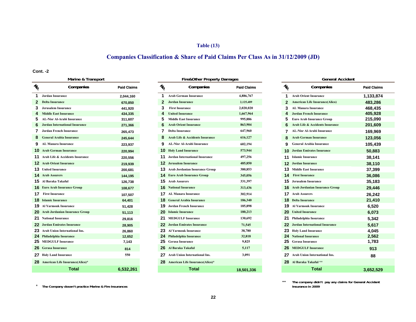### **Table (13)**

# **Companies Classification & Share of Paid Claims Per Class As in 31/12/2009 (JD)**

#### **Cont. -2**

|                        | $m$ allic $\alpha$ italispult             |                    |               | <b>FIFOLITIEL FIUPEITY DAINAYES</b> |                    |               | OCHCLAI ACCIUCIII                        |                    |
|------------------------|-------------------------------------------|--------------------|---------------|-------------------------------------|--------------------|---------------|------------------------------------------|--------------------|
| $\frac{\eta}{\varrho}$ | Companies                                 | <b>Paid Claims</b> | $\frac{1}{6}$ | Companies                           | <b>Paid Claims</b> | $\frac{1}{2}$ | Companies                                | <b>Paid Claims</b> |
| 1.                     | <b>Jordan Insurance</b>                   | 2,044,160          |               | <b>Arab German Insurance</b>        | 4,886,767          | 1.            | <b>Arab Orient Insurance</b>             | 1,133,874          |
| 2                      | <b>Delta Insurance</b>                    | 670,850            |               | <b>Jordan Insurance</b>             | 2,125,489          |               | <b>American Life Insurance(Alico)</b>    | 483,286            |
|                        | <b>Jerusalem Insurance</b>                | 441,920            |               | <b>First Insurance</b>              | 2,020,020          |               | <b>AL Manara Insurance</b>               | 468,435            |
|                        | <b>Middle East Insurance</b>              | 434,335            |               | <b>United Insurance</b>             | 1,667,964          |               | <b>Jordan French Insurance</b>           | 405,928            |
| 5.                     | <b>AL-Nisr Al-Arabi Insurance</b>         | 311,607            |               | <b>Middle East Insurance</b>        | 995,886            |               | <b>Euro Arab Insurance Group</b>         | 215,090            |
| 6                      | <b>Jordan International Insurance</b>     | 271,366            |               | <b>Arab Orient Insurance</b>        | 863,904            |               | Arab Life & Accidents Insurance          | 201,609            |
|                        | <b>Jordan French Insurance</b>            | 265,473            |               | <b>Delta Insurance</b>              | 647,960            |               | AL-Nisr Al-Arabi Insurance               | 169,969            |
| 8                      | <b>General Arabia Insurance</b>           | 245.644            |               | Arab Life & Accidents Insurance     | 616,127            |               | <b>Arab German Insurance</b>             | 123,056            |
|                        | <b>AL Manara Insurance</b>                | 223,937            |               | <b>AL-Nisr Al-Arabi Insurance</b>   | 602,194            |               | <b>General Arabia Insurance</b>          | 105,439            |
|                        | <b>10</b> Arab German Insurance           | 220.994            |               | <b>10</b> Holy Land Insurance       | 573,944            |               | <b>10</b> Jordan Emirates Insurance      | 50,883             |
|                        | <b>11</b> Arab Life & Accidents Insurance | 220,556            |               | Jordan International Insurance      | 497,256            |               | 11 Islamic Insurance                     | 38,141             |
|                        | <b>12</b> Arab Orient Insurance           | 219,939            | 12.           | <b>Jerusalem Insurance</b>          | 485,850            |               | <b>12</b> Jordan Insurance               | 38,110             |
|                        | <b>13</b> United Insurance                | 200,681            | 13            | Arab Jordanian Insurance Group      | 380,853            |               | <b>13</b> Middle East Insurance          | 37,399             |
|                        | <b>14</b> Arab Assurers                   | 144,195            |               | <b>14</b> Euro Arab Insurance Group | 345,056            |               | <b>14</b> First Insurance                | 36,086             |
|                        | 15 Al Baraka Takaful                      | 126,738            | 15            | <b>Arab Assurers</b>                | 331,397            |               | <b>15</b> Jerusalem Insurance            | 35,183             |
|                        | <b>16</b> Euro Arab Insurance Group       | 108,677            |               | <b>16</b> National Insurance        | 313,436            |               | <b>16</b> Arab Jordanian Insurance Group | 29,446             |
|                        | <b>17</b> First Insurance                 | 107,507            |               | <b>17</b> AL Manara Insurance       | 302,914            |               | <b>17</b> Arab Assurers                  | 26,242             |
|                        | <b>18</b> Islamic Insurance               | 64,401             |               | <b>General Arabia Insurance</b>     | 186,340            |               | <b>18</b> Delta Insurance                | 21,410             |
|                        | <b>19</b> Al Yarmouk Insurance            | 51,428             |               | Jordan French Insurance             | 185,898            |               | <b>19</b> Al Yarmouk Insurance           | 6,520              |
|                        | <b>20</b> Arab Jordanian Insurance Group  | 51,113             | 20            | <b>Islamic Insurance</b>            | 180,213            |               | <b>20</b> United Insurance               | 6,073              |
|                        | 21 National Insurance                     | 29,816             | 21            | <b>MEDGULF Insurance</b>            | 130,692            |               | 21 Philadelphia Insurance                | 5,342              |
|                        | <b>22</b> Jordan Emirates Insurance       | 28,905             | 22            | <b>Jordan Emirates Insurance</b>    | 71,545             |               | 22 Jordan International Insurance        | 5,617              |
|                        | 23 Arab Union International Ins.          | 26,860             | 23.           | <b>Al Yarmouk Insurance</b>         | 38,780             |               | 23 Holy Land Insurance                   | 4,045              |
|                        | 24 Philadelphia Insurance                 | 12,652             |               | <b>Philadelphia Insurance</b>       | 32,818             |               | 24 National Insurance                    | 2,562              |
|                        | 25 MEDGULF Insurance                      | 7,143              |               | <b>Gerasa Insurance</b>             | 9,825              |               | 25 Gerasa Insurance                      | 1,783              |
|                        | 26 Gerasa Insurance                       | 814                | 26            | Al Baraka Takaful                   | 5,117              |               | <b>26 MEDGULF Insurance</b>              | 913                |
|                        | <b>27</b> Holy Land Insurance             | 550                |               | Arab Union International Ins.       | 3,091              |               | 27 Arab Union International Ins.         | 88                 |
|                        | 28 American Life Insurance(Alico)*        |                    |               | 28 American Life Insurance(Alico)*  |                    |               | 28 Al Baraka Takaful **                  |                    |
|                        | <b>Total</b>                              | 6,532,261          |               | <b>Total</b>                        | 18.501.336         |               | <b>Total</b>                             | 3.652.529          |

| Marine & Transport     |                    |               | <b>Fire&amp;Other Property Damages</b>   |                    |               | <b>General Accident</b>               |                    |
|------------------------|--------------------|---------------|------------------------------------------|--------------------|---------------|---------------------------------------|--------------------|
| Companies              | <b>Paid Claims</b> | $\frac{1}{2}$ | Companies                                | <b>Paid Claims</b> | $\frac{1}{6}$ | Companies                             | <b>Paid Claims</b> |
|                        | 2,044,160          |               | <b>Arab German Insurance</b>             | 4,886,767          | 1             | <b>Arab Orient Insurance</b>          | 1,133,874          |
|                        | 670,850            | 2             | <b>Jordan Insurance</b>                  | 2,125,489          | 2             | <b>American Life Insurance(Alico)</b> | 483,286            |
| ınce                   | 441,920            |               | <b>First Insurance</b>                   | 2,020,020          |               | <b>AL Manara Insurance</b>            | 468,435            |
| rance                  | 434,335            |               | <b>United Insurance</b>                  | 1,667,964          |               | <b>Jordan French Insurance</b>        | 405,928            |
| i Insurance            | 311,607            |               | <b>Middle East Insurance</b>             | 995,886            | 5             | <b>Euro Arab Insurance Group</b>      | 215,090            |
| onal Insurance         | 271,366            |               | <b>Arab Orient Insurance</b>             | 863,904            | 6             | Arab Life & Accidents Insurance       | 201,609            |
| ısurance               | 265,473            |               | <b>Delta Insurance</b>                   | 647,960            |               | <b>AL-Nisr Al-Arabi Insurance</b>     | 169,969            |
| nsurance               | 245,644            |               | Arab Life & Accidents Insurance          | 616,127            | 8             | <b>Arab German Insurance</b>          | 123,056            |
| rance                  | 223,937            | 9             | <b>AL-Nisr Al-Arabi Insurance</b>        | 602,194            | 9             | <b>General Arabia Insurance</b>       | 105,439            |
| surance                | 220,994            |               | <b>10</b> Holy Land Insurance            | 573,944            |               | <b>Jordan Emirates Insurance</b>      | 50,883             |
| idents Insurance       | 220,556            | 11            | <b>Jordan International Insurance</b>    | 497,256            |               | <b>Islamic Insurance</b>              | 38,141             |
| ırance                 | 219,939            |               | <b>12</b> Jerusalem Insurance            | 485,850            |               | <b>12</b> Jordan Insurance            | 38,110             |
|                        | 200,681            |               | <b>13</b> Arab Jordanian Insurance Group | 380,853            | 13            | <b>Middle East Insurance</b>          | 37,399             |
|                        | 144,195            |               | <b>14</b> Euro Arab Insurance Group      | 345,056            | 14            | <b>First Insurance</b>                | 36,086             |
| ul                     | 126,738            |               | 15 Arab Assurers                         | 331,397            | 15            | Jerusalem Insurance                   | 35,183             |
| ance Group             | 108,677            |               | <b>16</b> National Insurance             | 313,436            |               | <b>Arab Jordanian Insurance Group</b> | 29,446             |
|                        | 107,507            |               | <b>17</b> AL Manara Insurance            | 302,914            |               | <b>17</b> Arab Assurers               | 26,242             |
|                        | 64,401             |               | <b>18</b> General Arabia Insurance       | 186,340            |               | <b>18</b> Delta Insurance             | 21,410             |
| ırance                 | 51,428             | 19            | Jordan French Insurance                  | 185,898            | 19            | <b>Al Yarmouk Insurance</b>           | 6,520              |
| <b>Insurance Group</b> | 51,113             |               | <b>20</b> Islamic Insurance              | 180,213            |               | <b>20</b> United Insurance            | 6,073              |
| ce                     | 29,816             | 21            | <b>MEDGULF Insurance</b>                 | 130,692            |               | 21 Philadelphia Insurance             | 5,342              |
| <b>Insurance</b>       | 28,905             | 22            | <b>Jordan Emirates Insurance</b>         | 71,545             |               | 22 Jordan International Insurance     | 5,617              |
| rnational Ins.         | 26,860             | 23            | <b>Al Yarmouk Insurance</b>              | 38,780             | 23            | <b>Holy Land Insurance</b>            | 4,045              |
| ırance                 | 12,652             | 24            | <b>Philadelphia Insurance</b>            | 32,818             |               | <b>24</b> National Insurance          | 2,562              |
| rance                  | 7,143              | 25            | <b>Gerasa Insurance</b>                  | 9,825              | 25            | <b>Gerasa Insurance</b>               | 1,783              |
|                        | 814                | 26.           | Al Baraka Takaful                        | 5,117              | 26            | <b>MEDGULF Insurance</b>              | 913                |
| ance                   | 550                |               | 27 Arab Union International Ins.         | 3,091              |               | 27 Arab Union International Ins.      | 88                 |
| surance(Alico)*        |                    |               | 28 American Life Insurance(Alico)*       |                    |               | 28 Al Baraka Takaful **               |                    |
| <b>Total</b>           | 6,532,261          |               | <b>Total</b>                             | 18,501,336         |               | <b>Total</b>                          | 3,652,529          |

|                         | <b>General Accident</b>               |                    |
|-------------------------|---------------------------------------|--------------------|
| $\frac{1}{2}$           | Companies                             | <b>Paid Claims</b> |
| 1                       | <b>Arab Orient Insurance</b>          | 1,133,874          |
| $\overline{2}$          | <b>American Life Insurance(Alico)</b> | 483,286            |
| 3                       | AL Manara Insurance                   | 468.435            |
| $\overline{\mathbf{4}}$ | <b>Jordan French Insurance</b>        | 405,928            |
| 5                       | <b>Euro Arab Insurance Group</b>      | 215,090            |
| 6                       | Arab Life & Accidents Insurance       | 201,609            |
| 7                       | <b>AL-Nisr Al-Arabi Insurance</b>     | 169,969            |
| 8                       | <b>Arab German Insurance</b>          | 123,056            |
| 9                       | <b>General Arabia Insurance</b>       | 105,439            |
| 10                      | <b>Jordan Emirates Insurance</b>      | 50,883             |
| 11                      | <b>Islamic Insurance</b>              | 38,141             |
| 12                      | <b>Jordan Insurance</b>               | 38,110             |
| 13 <sup>1</sup>         | <b>Middle East Insurance</b>          | 37,399             |
| 14                      | <b>First Insurance</b>                | 36,086             |
| 15 <sub>1</sub>         | <b>Jerusalem Insurance</b>            | 35,183             |
| 16.                     | <b>Arab Jordanian Insurance Group</b> | 29,446             |
| 17 <sup>1</sup>         | <b>Arab Assurers</b>                  | 26,242             |
| 18                      | <b>Delta Insurance</b>                | 21,410             |
| 19                      | <b>Al Yarmouk Insurance</b>           | 6,520              |
| 20                      | <b>United Insurance</b>               | 6,073              |
| 21                      | Philadelphia Insurance                | 5,342              |
| 22                      | <b>Jordan International Insurance</b> | 5,617              |
| 23                      | <b>Holy Land Insurance</b>            | 4.045              |
| 24                      | <b>National Insurance</b>             | 2,562              |
| 25                      | <b>Gerasa Insurance</b>               | 1,783              |
| 26 <sup>°</sup>         | <b>MEDGULF Insurance</b>              | 913                |
|                         | 27 Arab Union International Ins.      | 88                 |
| 28.                     | Al Baraka Takaful **                  |                    |
|                         | Total                                 | 3 652 520          |

**\*\*The company didn't pay any claims for General Accident Insurance in 2009**

\* **The Company dosen't practice Marine & Fire Insurances**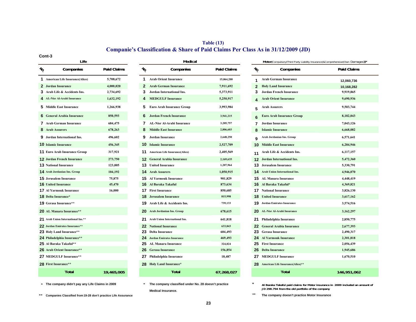### **Companie's Classification & Share of Paid Claims Per Class As in 31/12/2009 (JD) Table (13)**

#### **Cont-3**

|                                     | Life                                  |                    |                 | Medical                              |                    |               | Motor(Compulsory(Third Party Liability Insurance)&Comprehensive(Own Damages)) |                    |
|-------------------------------------|---------------------------------------|--------------------|-----------------|--------------------------------------|--------------------|---------------|-------------------------------------------------------------------------------|--------------------|
| $\mathcal{U}_O$                     | Companies                             | <b>Paid Claims</b> | $\mathcal{U}_O$ | Companies                            | <b>Paid Claims</b> | $\frac{1}{6}$ | Companies                                                                     | <b>Paid Claims</b> |
| 1.                                  | <b>American Life Insurance(Alico)</b> | 5,708,672          |                 | <b>1</b> Arab Orient Insurance       | 15,064,200         |               | <b>Arab German Insurance</b>                                                  | 12,060,736         |
| 2 Jordan Insurance                  |                                       | 4.000.020          | 2               | <b>Arab German Insurance</b>         | 7,911,692          | $\mathbf{2}$  | <b>Holy Land Insurance</b>                                                    | 10,168,282         |
| 3 Arab Life & Accidents Ins.        |                                       | 2,734,692          |                 | Jordan International Ins.            | 5,373,911          | 3.            | Jordan French Insurance                                                       | 9,919,865          |
| 4 AL-Nisr Al-Arabi Insurance        |                                       | 1,632,192          |                 | <b>MEDGULF Insurance</b>             | 5,250,917          |               | <b>Arab Orient Insurance</b>                                                  | 9,690,936          |
| 5 Middle East Insurance             |                                       | 1.266.938          | 5.              | <b>Euro Arab Insurance Group</b>     | 3,993,984          | 5.            | <b>Arab Assurers</b>                                                          | 9,503,744          |
| 6 General Arabia Insurance          |                                       | 850,593            | 6               | <b>Jordan French Insurance</b>       | 3,941,215          |               | <b>Euro Arab Insurance Group</b>                                              | 8,182,043          |
| <b>7</b> Arab German Insurance      |                                       | 684,475            |                 | <b>AL-Nisr Al-Arabi Insurance</b>    | 3,205,757          |               | 7 Jordan Insurance                                                            | 7,043,126          |
| <b>8</b> Arab Assurers              |                                       | 678,263            |                 | <b>Middle East Insurance</b>         | 2,806,603          |               | <b>Islamic Insurance</b>                                                      | 6,668,082          |
| <b>9</b> Jordan International Ins.  |                                       | 496,602            | 9               | <b>Jordan Insurance</b>              | 2,648,250          | Q             | Arab Jordanian Ins. Group                                                     | 6,571,641          |
| <b>10 Islamic Insurance</b>         |                                       | 456,345            |                 | <b>10</b> Islamic Insurance          | 2,527,709          |               | <b>10</b> Middle East Insurance                                               | 6,284,946          |
| <b>11 Euro Arab Insurance Group</b> |                                       | 317,921            |                 | 11 American Life Insurance(Alico)    | 2,405,569          |               | 11 Arab Life & Accidents Ins.                                                 | 6,117,157          |
| <b>12 Jordan French Insurance</b>   |                                       | 273,750            |                 | <b>12</b> General Arabia Insurance   | 2,169,635          |               | <b>12</b> Jordan International Ins.                                           | 5,472,360          |
| <b>13 National Insurance</b>        |                                       | 123,005            |                 | <b>13</b> United Insurance           | 1,207,964          |               | <b>13</b> Jerusalem Insurance                                                 | 5,330,791          |
| <b>14</b> Arab Jordanian Ins. Group |                                       | 104,192            |                 | <b>14</b> Arab Assurers              | 1,050,915          |               | <b>14</b> Arab Union International Ins.                                       | 4,946,070          |
| <b>15 Jerusalem Insurance</b>       |                                       | 75,875             |                 | <b>15</b> Al Yarmouk Insurance       | 901,829            |               | <b>15</b> AL Manara Insurance                                                 | 4,448,419          |
| <b>16 United Insurance</b>          |                                       | 45,470             |                 | 16 Al Baraka Takaful                 | 873,634            |               | 16 Al Baraka Takaful*                                                         | 4,369,821          |
| <b>17 Al Yarmouk Insurance</b>      |                                       | 16,000             |                 | <b>17</b> First Insurance            | 850,685            |               | <b>17</b> National Insurance                                                  | 3,826,130          |
| <b>18 Delta Insurance*</b>          |                                       |                    |                 | <b>18</b> Jerusalem Insurance        | 815,998            |               | <b>18</b> United Insurance                                                    | 3,617,162          |
| 19 Gerasa Insurance**               |                                       |                    |                 | <b>19</b> Arab Life & Accidents Ins. | 739,133            |               | <b>19</b> Jordan Emirates Insurance                                           | 3,574,516          |
| 20 AL Manara Insurance**            |                                       |                    |                 | 20 Arab Jordanian Ins. Group         | 678,615            |               | 20 AL-Nisr Al-Arabi Insurance                                                 | 3,162,297          |
| 21 Arab Union International Ins.**  |                                       |                    | 21              | <b>Arab Union International Ins.</b> | 641,818            |               | 21 Philadelphia Insurance                                                     | 2,850,775          |
| 22 Jordan Emirates Insurance**      |                                       |                    |                 | <b>22</b> National Insurance         | 633,843            |               | 22 General Arabia Insurance                                                   | 2,677,393          |
| 23 Holy Land Insurance**            |                                       |                    |                 | 23 Delta Insurance                   | 604,493            |               | 23 Gerasa Insurance                                                           | 2,490,317          |
| 24 Philadelphia Insurance**         |                                       |                    |                 | 24 Jordan Emirates Insurance         | 469,493            |               | 24 Al Yarmouk Insurance                                                       | 2,301,818          |
| 25 Al Baraka Takaful**              |                                       |                    |                 | 25 AL Manara Insurance               | 324,824            |               | 25 First Insurance                                                            | 2,056,439          |
| 26 Arab Orient Insurance**          |                                       |                    |                 | <b>26</b> Gerasa Insurance           | 156,854            |               | <b>26</b> Delta Insurance                                                     | 1,945,686          |
| 27 MEDGULF Insurance**              |                                       |                    |                 | 27 Philadelphia Insurance            | 18,487             |               | <b>27</b> MEDGULF Insurance                                                   | 1,670,510          |
| 28 First Insurance**                |                                       |                    |                 | 28 Holy Land Insurance*              |                    |               | 28 American Life Insurance(Alico)**                                           |                    |
|                                     | <b>Total</b>                          | 19,465,005         |                 | <b>Total</b>                         | 67,268,027         |               | <b>Total</b>                                                                  | 146,951,062        |
|                                     |                                       |                    |                 |                                      |                    |               |                                                                               |                    |

**\*The company didn't pay any Life Claims in 2009**

**\*\*** \*\* **Companies Classified from 19-28 don't practice Life Assurance The company doesn't practice Motor Insurance**

```
 * *
The company classified under No. 28 doesn't practice 
                                   Medical Insurance.
```
**Al Baraka Takaful paid claims for Motor insurance in 2009 included an amount of JD 298.794 from the old portfolio of the company**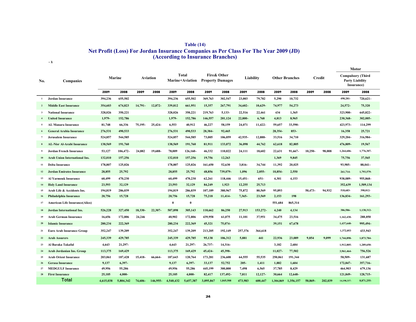| <b>Table (14)</b>                                                                    |
|--------------------------------------------------------------------------------------|
| Net Profit (Loss) For Jordan Insurance Companies as Per Class For The Year 2009 (JD) |
| (According to Insurance Branches)                                                    |

**-1**

|                 |                                       |           |           |           |          |           |                                 |                         |             |            |           |           |                       |            |         |                        | Motor                                  |
|-----------------|---------------------------------------|-----------|-----------|-----------|----------|-----------|---------------------------------|-------------------------|-------------|------------|-----------|-----------|-----------------------|------------|---------|------------------------|----------------------------------------|
| No.             | Companies                             |           | Marine    | Aviation  |          |           | Total<br><b>Marine+Aviation</b> | <b>Property Damages</b> | Fire& Other | Liability  |           |           | <b>Other Branches</b> | Credit     |         | <b>Party Liability</b> | <b>Compulsory (Third</b><br>Insurance) |
|                 |                                       | 2009      | 2008      | 2009      | 2008     | 2009      | 2008                            | 2009                    | 2008        | 2009       | 2008      | 2009      | 2008                  | 2009       | 2008    | 2009                   | 2008                                   |
|                 | <b>Jordan Insurance</b>               | 394,236   | 655,502   |           |          | 394,236   | 655,502                         | 369,763                 | 302,547     | 23,003     | 79,782    | 5,290     | 10,732                |            |         | 498,281-               | 720,621-                               |
|                 | <b>Middle East Insurance</b>          | 354,603   | 674,823   | $14,791-$ | 12,872-  | 339,812   | 661,951                         | 15,357                  | 267,791     | 34,602-    | 10,629-   | 74,977    | 54,273                |            |         | $24,572-$              | 75,320                                 |
| $\mathbf{3}$    | <b>National Insurance</b>             | 328,026   | 350,221   |           |          | 328,026   | 350,221                         | 219,763                 | 5,133-      | 22,516     | 22,461    | 434       | 1,365                 |            |         | 323,900-               | 645,822-                               |
|                 | <b>United Insurance</b>               | 1,979-    | 152,786   |           |          | 1,979-    | 152,786                         | 146,557                 | 201,124     | 22,800     | 6,768     | 4,813     | 8,965                 |            |         | 230,368-               | 302,005-                               |
| 5               | <b>AL Manara Insurance</b>            | 81,748    | 66,336    | 75,195-   | 25,424-  | 6,553     | 40,912                          | 46,227                  | 58,159      | 24,071     | 11,422-   | 59,657    | 33,590-               |            |         | 423,973-               | 114,299                                |
|                 | <b>General Arabia Insurance</b>       | 276,531   | 490,533   |           |          | 276,531   | 490,533                         | 28,384-                 | 92,465      |            |           | 28,354-   | $853 -$               |            |         | 16,358                 | 25,721                                 |
| $7\phantom{.0}$ | <b>Jerusalem Insurance</b>            | 524,857   | 544,585   |           |          | 524,857   | 544,585                         | 73,005                  | 106,059     | 42,935-    | 12,888-   | 33,516    | 34,710                |            |         | 329,204-               | 316,984-                               |
|                 | <b>AL-Nisr Al-Arabi Insurance</b>     | 138,569   | 191,760   |           |          | 138,569   | 191,760                         | 81,911                  | 133,072     | 36,098     | 44,762    | 62,618    | 82,805                |            |         | 476,809-               | 19,567                                 |
| 9               | <b>Jordan French Insurance</b>        | 53,127    | 106,472-  | 24,882    | 19,688   | 78,009    | 126,160-                        | 46,332                  | 110,022     | 24,111     | 18,602    | 22,631    | 91,667-               | $10,250 -$ | 98,008  | 1,264,606-             | 1,776,307-                             |
| 10              | <b>Arab Union International Ins.</b>  | 132,010   | 157,256   |           |          | 132,010   | 157,256                         | 19,756                  | 12,263      |            |           | 1,369     | 9,845                 |            |         | 75,756                 | 37,565                                 |
| 11              | <b>Delta Insurance</b>                | 178,807   | 125,026   |           |          | 178,807   | 125,026                         | 161,650                 | 52,630      | $3,816-$   | 34,744    | 11,392    | 20,025                |            |         | 93,985-                | $88,041-$                              |
| 12              | <b>Jordan Emirates Insurance</b>      | 28,855    | 25,792    |           |          | 28,855    | 25,792                          | 48,856                  | 739,079-    | 1,096      | $2,055 -$ | 10,854-   | 2,550                 |            |         | 261,714-               | 1,793,579-                             |
| 13              | <b>Al Yarmouk Insurance</b>           | 60,499    | 470,230   |           |          | 60,499    | 470,230                         | 62,261                  | 118,446     | $15,451 -$ | 651-      | 4,301     | 4,153                 |            |         | 938,089-               | 955,868-                               |
| 14              | <b>Holy Land Insurance</b>            | 23,593    | 32,129    |           |          | 23,593    | 32,129                          | 84,249                  | 1,923       | 12,255     | 25,713    |           |                       |            |         | 352,639                | 1,509,134                              |
| 15              | Arab Life & Accidents Ins.            | 194,819   | 286,039   |           |          | 194.819   | 286,039                         | 107,189                 | 380,967     | 75,872     | 80,569    | 95,893    |                       | 50,473-    | 94,932  | 518,683-               | 398,012-                               |
| 16              | Philadelphia Insurance                | 20,756    | 15,728    |           |          | 20,756    | 15,728                          | 75,218                  | 11,414-     | $7,365-$   | 23,569    | 2,153     | 198                   |            |         | 136,834-               | 161,293-                               |
| 17              | <b>American Life Insurance(Alico)</b> |           |           |           |          | $\bf{0}$  | $\bf{0}$                        |                         |             |            |           | 551,684   | 865,314               |            |         |                        |                                        |
| 18              | <b>Jordan International Ins.</b>      | 526,228   | 327,450   | 18,330-   | 22,307-  | 507,898   | 305,143                         | 110,662                 | 86,250      | 27.913     | 153,272-  | 4,240     | 4,134                 |            |         | 386,586-               | 1,138,312-                             |
| 19              | <b>Arab German Insurance</b>          | 16,656    | 172,806   | 24,246    |          | 40,902    | 172,806                         | 439,958                 | 61,075      | 11,101     | 37,951    | 34,475    | 23,516                |            |         | 1,162,430-             | 288,050                                |
| 20              | <b>Islamic Insurance</b>              | 280,234   | 222,369   |           |          | 280,234   | 222,369                         | 45,321                  | 75,074-     |            |           | 39,151    | 67,678                |            |         | 1,437,640-             | 995,494-                               |
| 21              | Euro Arab Insurance Group             | 352,247   | 139,209   |           |          | 352,247   | 139,209                         | 213,205                 | 192,149     | 257,376    | 364,618   |           |                       |            |         | 1,372,053              | 433,943                                |
| 22              | <b>Arab Assurers</b>                  | 245,339   | 429,785   |           |          | 245,339   | 429,785                         | 95,138                  | 106,312     | 5,881      | 441       | 22,936    | 23,089                | 9,854      | 9.099   | 1,744,898-             | 1,873,784-                             |
| 23              | Al Baraka Takaful                     | 4,643     | 21,297-   |           |          | 4,643     | 21.297-                         | 26,737-                 | 14,316-     |            |           | 3,182     | 2,684                 |            |         | 1,912,805-             | 1,289,650-                             |
| 24              | Arab Jordanian Ins. Group             | 113,375   | 169,429   |           |          | 113,375   | 169,429                         | 45,424-                 | 45,398-     |            |           | 11,027-   | 77,502                |            |         | 3,961,464-             | 756,526                                |
| 25              | <b>Arab Orient Insurance</b>          | 203,061   | 187,428   | 15,418-   | 66,664-  | 187,643   | 120,764                         | 173,281                 | 236,608     | 64,555     | 55,535    | 250,061   | 191,344               |            |         | 58,509-                | 131,687                                |
| 26              | <b>Gerasa Insurance</b>               | 9,137     | 6,397-    |           |          | 9,137     | 6,397-                          | 33,137                  | 52,752      | $205 -$    | 1,411     | 1,882     | 1,604                 |            |         | 172,847-               | 357,716-                               |
| 27              | <b>MEDGULF Insurance</b>              | 49,956    | 55,286    |           |          | 49,956    | 55,286                          | 445,199                 | 300,800     | 7,498      | 6,565     | 37,785    | 8,429                 |            |         | 464,903                | 679,136                                |
| 28              | <b>First Insurance</b>                | 25,105    | $4,000 -$ |           |          | 25,105    | $4,000 -$                       | 82,417                  | 137,492-    | 7,811      | 12,127    | 30,664    | 12,648-               |            |         | 121,849-               | 128,715-                               |
|                 | Total                                 | 4,615,038 | 5.804.342 | 74,606-   | 146,955- | 4.540.432 | 5.657.387                       | 3.095.867               | 1.845.508   | 473.983    | 600.447   | 1,304,869 | 1,356,157             | 50.869-    | 202.039 | 14,198,337-            | 8,871,255-                             |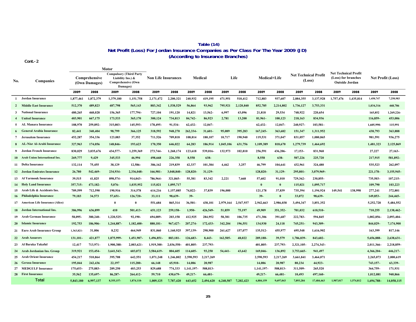### **Net Profit (Loss) For Jordan Insurance Companies as Per Class For The Year 2009 (JD) Table (14) (According to Insurance Branches)**

 **Cont.-2**

|              |                                       |             |                                | Motor                                                                                 |            |                            |            |            |            |           |           |              |              |                             |            |                                                                      |           |            |                          |
|--------------|---------------------------------------|-------------|--------------------------------|---------------------------------------------------------------------------------------|------------|----------------------------|------------|------------|------------|-----------|-----------|--------------|--------------|-----------------------------|------------|----------------------------------------------------------------------|-----------|------------|--------------------------|
| No.          | <b>Companies</b>                      |             | Comprehensive<br>(Own Damages) | <b>Compulsory (Third Party</b><br>Liability Ins.) &<br>Comprehensive (Own<br>Damages) |            | <b>Non Life Insurances</b> |            |            | Medical    |           | Life      | Medical+Life |              | <b>Net Technical Profit</b> | (Loss)     | <b>Net Technical Profit</b><br>(Loss) for branches<br>Outside Jordan |           |            | <b>Net Profit (Loss)</b> |
|              |                                       | 2009        | 2008                           | 2009                                                                                  | 2008       | 2009                       | 2008       | 2009       | 2008       | 2009      | 2008      | 2009         | 2008         | 2009                        | 2008       | 2009                                                                 | 2008      | 2009       | 2008                     |
|              | 1 Jordan Insurance                    | 1,877,461   | 1,872,379                      | 1,379,180                                                                             | 1,151,758  | 2,171,472                  | 2,200,321  | 240,932    | 419,195    | 471,951   | 518,412   | 712,883      | 937,607      | 2,884,355                   | 3,137,928  | 1,757,476                                                            | 1,435,814 | 1,450,747  | 7,250,983                |
|              | 2 Middle East Insurance               | 512,370     | 489,823                        | 487,798                                                                               | 565,143    | 883,342                    | 1,538,529  | 56,864     | 93,962     | 795,921   | 2,120,840 | 852,785      | 2,214,802    | 1,736,127                   | 3,753,331  |                                                                      |           | 1,034,316  | 468,786                  |
|              | 3 National Insurance                  | 480,265     | 468,028                        | 156.365                                                                               | 177,794-   | 727,104                    | 191.120    | 14,821     | 13.562-    | 6.997     | 43,096    | 21,818       | 29.534       | 748.922                     | 220.654    |                                                                      |           | 165,852    | 1.269.226                |
| $\mathbf{4}$ | <b>United Insurance</b>               | 403,901     | 667,175                        | 173,533                                                                               | 365,170    | 300,124                    | 734,813    | 84,742-    | 86,923     | 2,781     | 13,200    | 81,961-      | 100,123      | 218,163                     | 834,936    |                                                                      |           | 116,859-   | 453,006                  |
| 5.           | AL Manara Insurance                   | 108,970     | 259,892-                       | 315,003                                                                               | 145,593-   | 178.495                    | 91.534-    | 62,432-    | $12.047 -$ |           |           | 62,432-      | $12.047 -$   | 240.927-                    | 103,581-   |                                                                      |           | 1,605,990- | 115,991                  |
|              | <b>General Arabia Insurance</b>       | 82,441      | 340,404                        | 98.799                                                                                | 366,125    | 318,592                    | 948,270    | 262,334    | $31,601 -$ | 95,089    | 395.283   | 167, 245 -   | 363,682      | 151.347                     | 1,311,952  |                                                                      |           | 438,793    | 363,888                  |
|              | 7 Jerusalem Insurance                 | 452,287     | 354,336                        | 123,083                                                                               | 37,352     | 711,526                    | 709,818    | 108,814    | 180,107    | 10,717    | 190,940   | 119,531      | 371,047      | 831,057                     | 1,080,865  |                                                                      |           | 981,591    | 936,275                  |
|              | <b>AL-Nisr Al-Arabi Insurance</b>     | 327,963     | 174,056                        | 148,846-                                                                              | 193,623    | 170,350                    | 646,022    | 64,283     | 186,914    | 1.045.106 | 631,756   | 1,109,389    | 818,670      | 1,279,739                   | 1,464,692  |                                                                      |           | 1,481,323  | 2,125,869                |
| - 9          | Jordan French Insurance               | 830,029     | 3,035,676                      | 434,577-                                                                              | 1,259,369  | 273,744-                   | 1,268,174  | 123,618    | 539,016-   | 132,973   | 102,810   | 256,591      | 436,206-     | 17,153-                     | 831,968    |                                                                      |           | 27,227     | 27,163-                  |
|              | 10 Arab Union International Ins.      | 269,777     | 9,429                          | 345,533                                                                               | 46,994     | 498,668                    | 226,358    | 8,558      | 638-       |           |           | 8,558        | 638-         | 507,226                     | 225,720    |                                                                      |           | 217,915    | 581,892-                 |
|              | 11 Delta Insurance                    | 132,114     | 75,455                         | 38,129                                                                                | 12,586-    | 386,162                    | 219,839    | 42,337     | 101,384    | 4,462     | 3,257     | 46,799       | 104,641      | 432,961                     | 324,480    |                                                                      |           | 535,523    | 262,097                  |
|              | 12 Jordan Emirates Insurance          | 26,780      | 542,469-                       | 234,934-                                                                              | 2,336,048  | 166,981-                   | 3.048.840- | 128,820    | 31,129-    |           |           | 128,820-     | 31,129-      | 295,801                     | 3,079,969- |                                                                      |           | 221,178-   | 3,155,945                |
|              | 13 Al Yarmouk Insurance               | 39,515      | 41,825                         | 898,574-                                                                              | 914,043-   | 786,964-                   | 321,865-   | 55,381     | 83,342     | 2,221     | 7,668     | 57,602       | 91,010       | 729,362                     | 230,855-   |                                                                      |           | 735,503-   | 107,215                  |
|              | 14 Holy Land Insurance                | 357,715-    | 473,182-                       | 5,076-                                                                                | 1,035,952  | 115,021                    | 1,095,717  |            |            |           |           | $\mathbf{0}$ | $\bf{0}$     | 115.021                     | 1,095,717  |                                                                      |           | 109,790    | 103,223                  |
| 15           | <b>Arab Life &amp; Accidents Ins.</b> | 709,599     | 712,590                        | 190.916                                                                               | 314,578    | 614.216                    | 1,157,085  | 74,822-    | 37,839     | 196,000   |           | 121.178      | 37,839       | 735,394                     | 1.194.924  | 149.541                                                              | 138,998   | 277,241    | 372,801                  |
| 16           | Philadelphia Insurance                | 79,183      | 34,573                         | 57,651-                                                                               | 126,720    | 33,111                     | 98,639-    | $39-$      |            |           |           | $39-$        | $\mathbf{0}$ | 33,072                      | 98,639-    |                                                                      |           | 149,853-   | 244,465                  |
|              | 17 American Life Insurance (Alico)    |             |                                | $\bf{0}$                                                                              | $\bf{0}$   | 551,684                    | 865,314    | 36,501-    | 438,101    | 2,979,164 | 2,547,937 | 2,942,663    | 2,986,038    | 3,494,347                   | 3,851,352  |                                                                      |           | 5,252,728  | 5,484,552                |
|              | 18 Jordan International Ins.          | 386,996     | 636,899                        | 410                                                                                   | 501,413-   | 651,123                    | 259,158-   | 1,950-     | 426,549-   | 51,859    | 75,197    | 49,909       | 351,352-     | 701,032                     | 610,510-   |                                                                      |           | 710,255    | 2,138,462                |
| 19           | Arab German Insurance                 | 58,095-     | 380,240                        | 1,220,525-                                                                            | 92,190-    | 694,089-                   | 203,158    | 412,925    | 284,952    | 58,381    | 106,735   | 471,306      | 391,687      | 222,783                     | 594,845    |                                                                      |           | 1,002,856  | 2,093,404                |
|              | 20 Islamic Insurance                  | 192,753     | 186,906-                       | 1.244.887                                                                             | 1,182,400  | 880.181-                   | 967,427-   | 207,274-   | 172,433-   | 342,204   | 196,551   | 134,930      | 24,118       | 745,251-                    | 943,309-   |                                                                      |           | 844,029-   | 7,174,900                |
|              | 21 Euro Arab Insurance Group          | 1,363,821-  | 31,006                         | 8,232                                                                                 | 464,949    | 831,060                    | 1,160,925  | 397,139-   | 298,900    | 261,627   | 157,077   | 135,512-     | 455,977      | 695,548                     | 1,616,902  |                                                                      |           | 163,399    | 817,146                  |
| 22           | <b>Arab Assurers</b>                  | $131,101 -$ | 421,877                        | 1,875,999.                                                                            | 1,451,907- | 1,496,851.                 | 883,181-   | 126,683-   | 8,443-     | 162,505-  | 48,022    | 289,188-     | 39,579       | 1,786,039-                  | 843,602-   |                                                                      |           | 5,656,888  | 2,638,631                |
|              | 23 Al Baraka Takaful                  | 12,417      | 713,971-                       | 1,900,388-                                                                            | 2,003,621- | 1.919.300-                 | 2.036.550- | 401,805-   | 237,793    |           |           | 401,805-     | 237,793-     | 2,321,105-                  | 2,274,343- |                                                                      |           | 2,011,366- | 2,218,859                |
|              | 24 Arab Jordanian Ins. Group          | 319,921     | 153,454-                       | 3,641,543-                                                                            | 603,072    | 3,584,619-                 | 804,605    | 114,605-   | 93,250     | 54,441-   | 43,642    | 169,046-     | 136,892      | 3,753,665-                  | 941,497    |                                                                      |           | 4,366,204- | 446,217-                 |
| 25           | <b>Arab Orient Insurance</b>          | 454,217     | 510,864                        | 395,708                                                                               | 642,551    | 1,071,248                  | 1,246,802  | 2,590,593  | 2.217.269  |           |           | 2,590,593    | 2,217,269    | 3,661,841                   | 3,464,071  |                                                                      |           | 2,265,073  | 2,000,619                |
| 26           | <b>Gerasa Insurance</b>               | 195,044     | 242,436                        | 22,197                                                                                | 115,280-   | 66,148                     | 65,910-    | 14,086     | 20,987     |           |           | 14,086       | 20,987       | 80,234                      | 44,923-    |                                                                      |           | 743,157-   | 63,339-                  |
| 27           | <b>MEDGULF Insurance</b>              | 175,653-    | 275,883-                       | 289,250                                                                               | 403,253    | 829,688                    | 774,333    | 1,141,197- | 508,813-   |           |           | 1,141,197-   | 508,813-     | 311,509                     | 265,520    |                                                                      |           | 364,759-   | 171,931                  |
|              | 28 First Insurance                    | 35,562      | 135,697-                       | 86,287-                                                                               | 264,412-   | 59,710                     | 430,679-   | $49,217-$  | 66,481-    |           |           | 49,217-      | 66,481-      | 10,493                      | 497,160-   |                                                                      |           | 1,012,081  | 940,866                  |
|              | Total                                 | 5.843.180   | 6.997.137                      | 8.355.157-                                                                            | 1.874.118- | 1.009.125                  | 7.787.420  | 643,652    | 2.494.620  | 6.240.507 | 7.202.423 | 6.884.159    | 9.697.043    | 7.893.284                   | 17,484,463 | 1.907.017                                                            | 1.574.812 | 1.694.788- | 14,058,115               |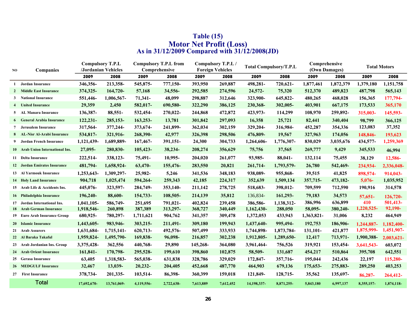| NO | Companies                         |             | <b>Compulsory T.P.L</b><br>/Jordanian Vehicles |            | <b>Compulsory T.P.L from</b><br>Comprehensive |           | Compulsory T.P.L /<br><b>Foreign Vehicles</b> |             | <b>Total Compulsory/T.P.L</b> | Comprehensive<br>(Own Damages) |           |            | <b>Total Motors</b> |
|----|-----------------------------------|-------------|------------------------------------------------|------------|-----------------------------------------------|-----------|-----------------------------------------------|-------------|-------------------------------|--------------------------------|-----------|------------|---------------------|
|    |                                   | 2009        | 2008                                           | 2009       | 2008                                          | 2009      | 2008                                          | 2009        | 2008                          | 2009                           | 2008      | 2009       | 2008                |
| 1  | Jordan Insurance                  | 346,356-    | 213,358-                                       | 545,875-   | 777,150-                                      | 393,950   | 269,887                                       | 498,281-    | 720,621-                      | 1,877,461                      | 1,872,379 | 1,379,180  | 1,151,758           |
|    | 2 Middle East Insurance           | 374,325-    | 164,720-                                       | 57,168     | 34,556-                                       | 292,585   | 274,596                                       | 24,572-     | 75,320                        | 512,370                        | 489,823   | 487,798    | 565,143             |
|    | 3 National Insurance              | 551,446-    | 1,006,567-                                     | 71,341-    | 48,099                                        | 298,887   | 312,646                                       | 323,900-    | 645,822-                      | 480,265                        | 468,028   | 156,365    | 177,794-            |
| 4  | <b>United Insurance</b>           | 29,359      | 2,450                                          | 582,017-   | 690,580-                                      | 322,290   | 386,125                                       | 230,368-    | 302,005-                      | 403,901                        | 667,175   | 173,533    | 365,170             |
|    | 5 AL Manara Insurance             | 136,387-    | 88,551-                                        | 532,454-   | 270,022-                                      | 244,868   | 472,872                                       | 423,973-    | 114,299                       | 108,970                        | 259,892-  | 315,003-   | 145,593-            |
| 6  | <b>General Arabia Insurance</b>   | 122,231-    | 285, 153-                                      | 163,253-   | 13,781                                        | 301,842   | 297,093                                       | 16,358      | 25,721                        | 82,441                         | 340,404   | 98,799     | 366,125             |
|    | 7 Jerusalem Insurance             | 317,564-    | 377,244-                                       | 373,674-   | 241,899-                                      | 362,034   | 302,159                                       | 329,204-    | 316,984-                      | 452,287                        | 354,336   | 123,083    | 37,352              |
| 8  | <b>AL-Nisr Al-Arabi Insurance</b> | 534,817-    | 321,916-                                       | 268,390-   | 42,977                                        | 326,398   | 298,506                                       | 476,809-    | 19,567                        | 327,963                        | 174,056   | 148,846-   | 193,623             |
| 9  | Jordan French Insurance           | 1,121,439-  | 1,689,889-                                     | 167,467-   | 391,151-                                      | 24,300    | 304,733                                       | 1,264,606-  | 1,776,307-                    | 830,029                        | 3,035,676 | 434,577-   | 1,259,369           |
|    | 10 Arab Union International Ins.  | 27,095-     | 280,830-                                       | 105,423-   | 38,234-                                       | 208,274   | 356,629                                       | 75,756      | 37,565                        | 269,777                        | 9,429     | 345,533    | 46,994              |
|    | 11 Delta Insurance                | 222,514-    | 338,123-                                       | 75,491-    | 10,995-                                       | 204,020   | 261,077                                       | 93,985-     | 88,041-                       | 132,114                        | 75,455    | 38,129     | 12,586-             |
|    | 12 Jordan Emirates Insurance      | 481,794-    | 1,658,924-                                     | 63,470-    | 155,476-                                      | 283,550   | 20,821                                        | 261,714-    | 1,793,579-                    | 26,780                         | 542,469-  | 234,934-   | 2,336,048-          |
|    | 13 Al Yarmouk Insurance           | 1,253,643-  | 1,309,297-                                     | 25,982-    | 5,246                                         | 341,536   | 348,183                                       | 938,089-    | 955,868-                      | 39,515                         | 41,825    | 898,574-   | 914,043-            |
|    | <b>14 Holy Land Insurance</b>     | 904,718     | 1,025,474                                      | 594,264-   | 259,343                                       | 42,185    | 224,317                                       | 352,639     | 1,509,134                     | 357,715-                       | 473,182-  | $5,076-$   | 1,035,952           |
|    | 15 Arab Life & Accidents Ins.     | 445,076-    | 323,597-                                       | 284,749-   | 353,140-                                      | 211,142   | 278,725                                       | 518,683-    | 398,012-                      | 709,599                        | 712,590   | 190,916    | 314,578             |
|    | 16 Philadelphia Insurance         | 196,240-    | 88,600-                                        | 154,733-   | 108,505-                                      | 214,139   | 35,812                                        | 136,834-    | 161,293-                      | 79,183                         | 34,573    | $57,651-$  | 126,720-            |
|    | 17 Jordan International Ins.      | 1,041,105-  | 586,749-                                       | 251,695    | 791,021-                                      | 402,824   | 239,458                                       | 386,586-    | 1,138,312-                    | 386,996                        | 636,899   | 410        | 501,413-            |
|    | 18 Arab German Insurance          | 1,918,546-  | 260,898                                        | 387,389    | 313,297-                                      | 368,727   | 340,449                                       | 1,162,430-  | 288,050                       | 58,095-                        | 380,240-  | 1,220,525- | 92,190-             |
|    | 19 Euro Arab Insurance Group      | 680,925-    | 780,297-                                       | 1,711,621  | 904,762                                       | 341,357   | 309,478                                       | 1,372,053   | 433,943                       | 1,363,821-                     | 31,006    | 8,232      | 464,949             |
|    | 20 Islamic Insurance              | 1,443,605-  | 983,946-                                       | 303,215-   | 211,491-                                      | 309,180   | 199,943                                       | 1,437,640-  | 995,494-                      | 192,753                        | 186,906-  | 1,244,887- | 1,182,400-          |
|    | 21 Arab Assurers                  | 1,631,684-  | 1,715,141-                                     | 620,713-   | 492,576-                                      | 507,499   | 333,933                                       | 1,744,898-  | 1,873,784-                    | 131,101-                       | 421,877   | 1,875,999- | 1,451,907-          |
|    | 22 Al Baraka Takaful              | 1,959,824-  | 1,495,790-                                     | 169,838-   | 96,098-                                       | 216,857   | 302,238                                       | 1,912,805-  | 1,289,650-                    | 12,417                         | 713,971-  | 1,900,388- | 2,003,621-          |
|    | 23 Arab Jordanian Ins. Group      | 3,375,428-  | 362,556                                        | 440,768-   | 29,890                                        | 145,268-  | 364,080                                       | 3,961,464-  | 756,526                       | 319,921                        | 153,454-  | 3,641,543- | 603,072             |
|    | 24 Arab Orient Insurance          | 161,841-    | 170,798-                                       | 295,528-   | 199,610                                       | 398,860   | 102,875                                       | 58,509-     | 131,687                       | 454,217                        | 510,864   | 395,708    | 642,551             |
|    | 25 Gerasa Insurance               | 63,405      | 1,318,583-                                     | 565,038-   | 631,838                                       | 328,786   | 329,029                                       | 172,847-    | 357,716-                      | 195,044                        | 242,436   | 22,197     | 115,280-            |
|    | <b>26 MEDGULF Insurance</b>       | 32,467      | 13,039-                                        | $20,232-$  | 204,405                                       | 452,668   | 487,770                                       | 464,903     | 679,136                       | 175,653-                       | 275,883-  | 289,250    | 403,253             |
|    | 27 First Insurance                | 378,734-    | 201,335-                                       | 103,514-   | 86,398-                                       | 360,399   | 159,018                                       | 121,849-    | 128,715-                      | 35,562                         | 135,697-  | 86,287-    | 264,412-            |
|    | <b>Total</b>                      | 17,692,670- | 13,761,069-                                    | 4,119,556- | 2,722,638-                                    | 7,613,889 | 7,612,452                                     | 14,198,337- | 8,871,255-                    | 5,843,180                      | 6,997,137 | 8,355,157- | 1,874,118-          |

## **As in 31/12/2009 Compared with 31/12/2008(JD) Table (15) Motor Net Profit (Loss)**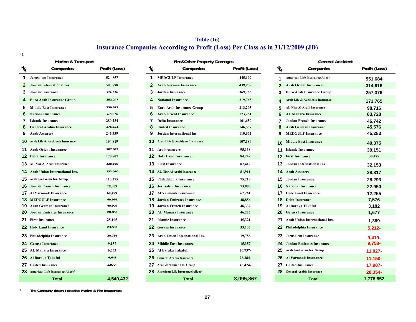# **Table (16) Insurance Companies According to Profit (Loss) Per Class as in 31/12/2009 (JD)**

**-1**

|                 | Marine & Transport                         |                |
|-----------------|--------------------------------------------|----------------|
| No              | Companies                                  | Profit (Loss)  |
| 1               | Jerusalem Insurance                        | 524,857        |
| $\overline{2}$  | <b>Jordan International Ins</b>            | 507,898        |
| 3               | <b>Jordan Insurance</b>                    | 394,236        |
| 4               | <b>Euro Arab Insurance Group</b>           | 352,247        |
| 5               | <b>Middle East Insurance</b>               | 339,812        |
| 6               | <b>National Insurance</b>                  | 328,026        |
| 7               | <b>Islamic Insurance</b>                   | 280,234        |
| 8               | <b>General Arabia Insurance</b>            | 276,531        |
| 9               | <b>Arab Assurers</b>                       | 245,339        |
| 10              | <b>Arab Life &amp; Accidents Insurance</b> | 194,819        |
| 11              | <b>Arab Orient Insurance</b>               | 187,643        |
| 12              | <b>Delta Insurance</b>                     | 178,807        |
| 13 <sup>1</sup> | <b>AL-Nisr Al-Arabi Insurance</b>          | 138,569        |
| 14              | <b>Arab Union International Ins.</b>       | 132,010        |
| 15              | Arab Jordanian Ins. Group                  | 113,375        |
| 16              | <b>Jordan French Insurance</b>             | 78,009         |
| 17              | <b>Al Varmouk Insurance</b>                | 60.499         |
| 18              | <b>MEDGULF Insurance</b>                   | 49,956         |
| 19              | <b>Arab German Insurance</b>               | 40,902         |
| 20              | <b>Jordan Emirates Insurance</b>           | 28,855         |
| 21              | <b>First Insurance</b>                     | 25,105         |
| 22              | <b>Holy Land Insurance</b>                 | 23,593         |
| 23              | Philadelphia Insurance                     | 20,756         |
| 24              | <b>Gerasa Insurance</b>                    | 9,137          |
| 25              | <b>AL Manara Insurance</b>                 | 6,553          |
| 26              | Al Baraka Takaful                          | 4,643          |
| 27              | <b>United Insurance</b>                    | 1,979-         |
| 28              | American Life Insurance(Alico)*            |                |
|                 | Total                                      | <b>4540432</b> |

|    | Marine & Transport                       |               |                           | <b>Fire&amp;Other Property Damages</b>    |               |                 | <b>General Accident</b>                 |               |
|----|------------------------------------------|---------------|---------------------------|-------------------------------------------|---------------|-----------------|-----------------------------------------|---------------|
| ъ  | Companies                                | Profit (Loss) | $\tilde{\mathcal{U}}_{0}$ | Companies                                 | Profit (Loss) | $\mathcal{U}_0$ | Companies                               | Profit (Loss) |
| 1. | <b>Jerusalem Insurance</b>               | 524,857       | 1                         | <b>MEDGULF Insurance</b>                  | 445,199       |                 | <b>American Life Insurance(Alico)</b>   | 551,684       |
|    | 2 Jordan International Ins               | 507,898       | $\mathbf{2}$              | <b>Arab German Insurance</b>              | 439,958       | $\mathbf{2}$    | <b>Arab Orient Insurance</b>            | 314,616       |
| 3. | Jordan Insurance                         | 394,236       |                           | <b>Jordan Insurance</b>                   | 369,763       |                 | <b>Euro Arab Insurance Group</b>        | 257,376       |
|    | 4 Euro Arab Insurance Group              | 352,247       |                           | <b>National Insurance</b>                 | 219,763       |                 | Arab Life & Accidents Insurance         | 171,765       |
|    | 5 Middle East Insurance                  | 339,812       |                           | <b>Euro Arab Insurance Group</b>          | 213,205       |                 | AL-Nisr Al-Arabi Insurance              | 98,716        |
|    | <b>6</b> National Insurance              | 328,026       |                           | <b>Arab Orient Insurance</b>              | 173,281       |                 | <b>AL Manara Insurance</b>              | 83,728        |
|    | <b>Islamic Insurance</b>                 | 280,234       |                           | <b>Delta Insurance</b>                    | 161,650       |                 | <b>Jordan French Insurance</b>          | 46,742        |
|    | <b>8</b> General Arabia Insurance        | 276,531       |                           | <b>United Insurance</b>                   | 146,557       |                 | <b>Arab German Insurance</b>            | 45,576        |
|    | <b>9</b> Arab Assurers                   | 245,339       |                           | <b>Jordan International Ins</b>           | 110,662       |                 | <b>MEDGULF Insurance</b>                | 45,283        |
|    | <b>Q</b> Arab Life & Accidents Insurance | 194,819       |                           | <b>10</b> Arab Life & Accidents Insurance | 107,189       | 10 <sup>1</sup> | <b>Middle East Insurance</b>            | 40,375        |
|    | <b>1</b> Arab Orient Insurance           | 187,643       |                           | <b>11</b> Arab Assurers                   | 95,138        |                 | <b>11</b> Islamic Insurance             | 39,151        |
|    | 2 Delta Insurance                        | 178,807       |                           | <b>12</b> Holy Land Insurance             | 84,249        |                 | <b>12</b> First Insurance               | 38,475        |
|    | 3 AL-Nisr Al-Arabi Insurance             | 138,569       |                           | <b>13</b> First Insurance                 | 82,417        |                 | <b>13</b> Jordan International Ins      | 32,153        |
|    | 4 Arab Union International Ins.          | 132,010       |                           | <b>14</b> AL-Nisr Al-Arabi Insurance      | 81,911        |                 | <b>14</b> Arab Assurers                 | 28,817        |
|    | 5 Arab Jordanian Ins. Group              | 113,375       |                           | <b>15</b> Philadelphia Insurance          | 75,218        |                 | <b>15</b> Jordan Insurance              | 28,293        |
|    | <b>6</b> Jordan French Insurance         | 78,009        |                           | <b>16</b> Jerusalem Insurance             | 73,005        |                 | <b>16</b> National Insurance            | 22,950        |
|    | 7 Al Yarmouk Insurance                   | 60,499        |                           | <b>17</b> Al Yarmouk Insurance            | 62,261        |                 | <b>17</b> Holy Land Insurance           | 12,255        |
|    | <b>8</b> MEDGULF Insurance               | 49,956        | 18.                       | <b>Jordan Emirates Insurance</b>          | 48,856        |                 | <b>18</b> Delta Insurance               | 7,576         |
|    | 9 Arab German Insurance                  | 40,902        |                           | <b>19</b> Jordan French Insurance         | 46,332        |                 | <b>19</b> Al Baraka Takaful.            | 3,182         |
|    | <b>20</b> Jordan Emirates Insurance      | 28,855        |                           | <b>20</b> AL Manara Insurance             | 46,227        |                 | <b>20</b> Gerasa Insurance              | 1,677         |
|    | 21 First Insurance                       | 25,105        |                           | 21 Islamic Insurance                      | 45,321        |                 | <b>21</b> Arab Union International Ins. | 1,369         |
|    | 22 Holy Land Insurance                   | 23,593        |                           | <b>22</b> Gerasa Insurance                | 33,137        |                 | <b>22</b> Philadelphia Insurance        | $5,212-$      |
|    | 23 Philadelphia Insurance                | 20,756        |                           | 23 Arab Union International Ins.          | 19,756        |                 | 23 Jerusalem Insurance                  | $9,419-$      |
|    | 24 Gerasa Insurance                      | 9,137         |                           | <b>24</b> Middle East Insurance           | 15,357        |                 | <b>24</b> Jordan Emirates Insurance     | $9,758-$      |
|    | 25 AL Manara Insurance                   | 6,553         |                           | 25 Al Baraka Takaful                      | 26,737-       |                 | 25 Arab Jordanian Ins. Group            | 11,027-       |
|    | 26 Al Baraka Takaful                     | 4,643         |                           | 26 General Arabia Insurance               | 28,384-       |                 | <b>26</b> Al Yarmouk Insurance          | $11,150 -$    |
|    | 27 United Insurance                      | $1,979-$      |                           | 27 Arab Jordanian Ins. Group              | 45,424-       |                 | <b>27</b> United Insurance              | 17,987-       |
|    | 28 American Life Insurance(Alico)*       |               |                           | 28 American Life Insurance(Alico)*        |               |                 | 28 General Arabia Insurance             | 28,354-       |
|    | <b>Total</b>                             | 4,540,432     |                           | <b>Total</b>                              | 3,095,867     |                 | <b>Total</b>                            | 1,778,852     |

| No.            | Companies                                  | Profit (Loss) |
|----------------|--------------------------------------------|---------------|
| 1              | American Life Insurance(Alico)             | 551,684       |
| $\overline{2}$ | <b>Arab Orient Insurance</b>               | 314,616       |
| 3              | <b>Euro Arab Insurance Group</b>           | 257,376       |
| 4              | <b>Arab Life &amp; Accidents Insurance</b> | 171,765       |
| 5              | AL-Nisr Al-Arabi Insurance                 | 98,716        |
| 6              | <b>AL Manara Insurance</b>                 | 83,728        |
| 7              | <b>Jordan French Insurance</b>             | 46,742        |
| 8              | <b>Arab German Insurance</b>               | 45,576        |
| 9              | <b>MEDGULF Insurance</b>                   | 45,283        |
| 10             | <b>Middle East Insurance</b>               | 40,375        |
| 11             | <b>Islamic Insurance</b>                   | 39,151        |
| 12             | <b>First Insurance</b>                     | 38,475        |
| 13             | <b>Jordan International Ins</b>            | 32,153        |
| 14             | <b>Arab Assurers</b>                       | 28,817        |
| 15             | <b>Jordan Insurance</b>                    | 28,293        |
| 16             | <b>National Insurance</b>                  | 22,950        |
| 17             | <b>Holy Land Insurance</b>                 | 12,255        |
| 18             | <b>Delta Insurance</b>                     | 7,576         |
| 19             | Al Baraka Takaful.                         | 3,182         |
| 20             | <b>Gerasa Insurance</b>                    | 1,677         |
| 21             | <b>Arab Union International Ins.</b>       | 1,369         |
| 22             | <b>Philadelphia Insurance</b>              | $5,212-$      |
| 23             | <b>Jerusalem Insurance</b>                 | 9,419-        |
| 24             | <b>Jordan Emirates Insurance</b>           | 9,758-        |
| 25             | Arab Jordanian Ins. Group                  | 11,027-       |
| 26             | <b>Al Yarmouk Insurance</b>                | 11,150-       |
| 27             | <b>United Insurance</b>                    | 17,987-       |
| 28             | <b>General Arabia Insurance</b>            | 28,354-       |
|                | Total                                      | 1,778,852     |

\***The Company dosen't practice Marine & Fire Insurances**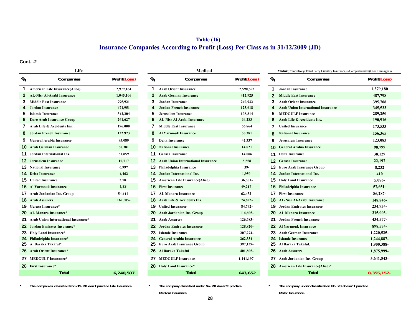# **Table (16) Insurance Companies According to Profit (Loss) Per Class as in 31/12/2009 (JD)**

**Cont. -2**

|               | Life                                  |              |               | <b>Medical</b>                               |              |               | <b>Motor</b> (Compulsory(Third Party Liability Insurance)&Comprehensive(Own Damage |             |
|---------------|---------------------------------------|--------------|---------------|----------------------------------------------|--------------|---------------|------------------------------------------------------------------------------------|-------------|
| $\frac{1}{6}$ | Companies                             | Profit(Loss) | $\frac{1}{6}$ | Companies                                    | Profit(Loss) | $\frac{1}{2}$ | Companies                                                                          | Profit(Loss |
|               | <b>American Life Insurance(Alico)</b> | 2,979,164    | 1.            | <b>Arab Orient Insurance</b>                 | 2,590,593    | 1             | <b>Jordan Insurance</b>                                                            | 1,379,180   |
|               | <b>AL-Nisr Al-Arabi Insurance</b>     | 1,045,106    |               | <b>Arab German Insurance</b>                 | 412,925      |               | <b>Middle East Insurance</b>                                                       | 487,798     |
| 3             | <b>Middle East Insurance</b>          | 795,921      | 3             | <b>Jordan Insurance</b>                      | 240,932      | 3             | <b>Arab Orient Insurance</b>                                                       | 395,708     |
|               | <b>Jordan Insurance</b>               | 471,951      |               | <b>Jordan French Insurance</b>               | 123,618      | 4             | <b>Arab Union International Insurance</b>                                          | 345,533     |
|               | <b>Islamic Insurance</b>              | 342,204      |               | <b>Jerusalem Insurance</b>                   | 108,814      | 5             | <b>MEDGULF Insurance</b>                                                           | 289,250     |
|               | <b>Euro Arab Insurance Group</b>      | 261,627      |               | <b>AL-Nisr Al-Arabi Insurance</b>            | 64,283       |               | Arab Life & Accidents Ins.                                                         | 190,916     |
|               | Arab Life & Accidents Ins.            | 196,000      |               | <b>Middle East Insurance</b>                 | 56,864       | 7             | <b>United Insurance</b>                                                            | 173,533     |
|               | <b>Jordan French Insurance</b>        | 132,973      |               | <b>Al Yarmouk Insurance</b>                  | 55,381       |               | <b>National Insurance</b>                                                          | 156,365     |
|               | <b>General Arabia Insurance</b>       | 95,089       | 9             | <b>Delta Insurance</b>                       | 42,337       | 9             | Jerusalem Insurance                                                                | 123,083     |
|               | <b>Arab German Insurance</b>          | 58,381       |               | <b>10</b> National Insurance                 | 14,821       |               | <b>10 General Arabia Insurance</b>                                                 | 98,799      |
|               | Jordan International Ins.             | 51,859       | 11            | <b>Gerasa Insurance</b>                      | 14,086       | 11            | <b>Delta Insurance</b>                                                             | 38,129      |
|               | <b>Jerusalem Insurance</b>            | 10,717       |               | <b>12</b> Arab Union International Insurance | 8,558        |               | <b>Gerasa Insurance</b>                                                            | 22,197      |
| 13.           | <b>National Insurance</b>             | 6,997        | 13            | Philadelphia Insurance                       | $39-$        | 13.           | <b>Euro Arab Insurance Group</b>                                                   | 8,232       |
| 14.           | <b>Delta Insurance</b>                | 4,462        | 14.           | Jordan International Ins.                    | 1,950-       | 14            | Jordan International Ins.                                                          | 410         |
|               | <b>15</b> United Insurance            | 2,781        |               | <b>15</b> American Life Insurance(Alico)     | 36,501-      |               | <b>15</b> Holy Land Insurance                                                      | 5,076-      |
| 16.           | <b>Al Yarmouk Insurance</b>           | 2,221        | 16.           | <b>First Insurance</b>                       | 49,217-      | 16            | <b>Philadelphia Insurance</b>                                                      | 57,651-     |
| 17            | Arab Jordanian Ins. Group             | 54,441-      | 17.           | <b>AL Manara Insurance</b>                   | 62,432-      |               | <b>17</b> First Insurance                                                          | 86,287-     |
|               | <b>18</b> Arab Assurers               | 162,505-     |               | <b>18</b> Arab Life & Accidents Ins.         | 74,822-      |               | <b>18</b> AL-Nisr Al-Arabi Insurance                                               | 148,846-    |
| 19            | Gerasa Insurance*                     |              | 19            | <b>United Insurance</b>                      | 84,742-      |               | <b>19</b> Jordan Emirates Insurance                                                | 234,934-    |
| 20            | <b>AL Manara Insurance*</b>           |              | 20            | <b>Arab Jordanian Ins. Group</b>             | 114,605-     |               | <b>20</b> AL Manara Insurance                                                      | 315,003-    |
| 21            | Arab Union International Insurance*   |              |               | 21 Arab Assurers                             | 126,683-     |               | 21 Jordan French Insurance                                                         | 434,577-    |
| 22.           | Jordan Emirates Insurance*            |              | 22.           | <b>Jordan Emirates Insurance</b>             | 128,820-     |               | <b>22</b> Al Yarmouk Insurance                                                     | 898,574     |
|               | 23 Holy Land Insurance*               |              | 23            | <b>Islamic Insurance</b>                     | 207,274-     |               | 23 Arab German Insurance                                                           | 1,220,525   |
|               | 24 Philadelphia Insurance*            |              |               | 24 General Arabia Insurance                  | 262,334-     |               | 24 Islamic Insurance                                                               | 1,244,887-  |
|               | 25 Al Baraka Takaful*                 |              | 25            | <b>Euro Arab Insurance Group</b>             | 397,139-     |               | 25 Al Baraka Takaful                                                               | 1,900,388-  |
| 26.           | <b>Arab Orient Insurance*</b>         |              | 26            | Al Baraka Takaful                            | 401,805-     |               | 26 Arab Assurers                                                                   | 1,875,999-  |
|               | 27 MEDGULF Insurance*                 |              | 27            | <b>MEDGULF Insurance</b>                     | 1,141,197-   |               | 27 Arab Jordanian Ins. Group                                                       | 3,641,543-  |
|               | 28 First Insurance*                   |              |               | 28 Holy Land Insurance*                      |              |               | 28 American Life Insurance(Alico)*                                                 |             |
|               | <b>Total</b>                          | 6,240,507    |               | <b>Total</b>                                 | 643,652      |               | <b>Total</b>                                                                       | 8.355.157   |

|              |                                                                  | Medical                                   |              |                                                    | <b>Motor</b> (Compulsory(Third Party Liabil |
|--------------|------------------------------------------------------------------|-------------------------------------------|--------------|----------------------------------------------------|---------------------------------------------|
| Profit(Loss) | $\ensuremath{\mathnormal{v}}_{\!\!\scriptscriptstyle\mathrm{Q}}$ | Companies                                 | Profit(Loss) | $\ensuremath{\mathnormal{v}}_{\!\!\mathnormal{Q}}$ | Companies                                   |
| 2,979,164    | 1                                                                | <b>Arab Orient Insurance</b>              | 2,590,593    | 1                                                  | <b>Jordan Insurance</b>                     |
| 1,045,106    | $\mathbf{2}$                                                     | <b>Arab German Insurance</b>              | 412,925      | $\overline{2}$                                     | <b>Middle East Insurance</b>                |
| 795,921      | 3                                                                | Jordan Insurance                          | 240,932      | 3                                                  | <b>Arab Orient Insurance</b>                |
| 471,951      | 4                                                                | <b>Jordan French Insurance</b>            | 123,618      | 4                                                  | <b>Arab Union International Insur</b>       |
| 342,204      | 5                                                                | <b>Jerusalem Insurance</b>                | 108,814      | 5                                                  | <b>MEDGULF Insurance</b>                    |
| 261,627      | 6                                                                | <b>AL-Nisr Al-Arabi Insurance</b>         | 64,283       | 6                                                  | Arab Life & Accidents Ins.                  |
| 196,000      | 7                                                                | <b>Middle East Insurance</b>              | 56,864       | 7                                                  | <b>United Insurance</b>                     |
| 132,973      | 8                                                                | <b>Al Yarmouk Insurance</b>               | 55,381       | 8                                                  | <b>National Insurance</b>                   |
| 95,089       | 9                                                                | <b>Delta Insurance</b>                    | 42,337       | 9                                                  | <b>Jerusalem Insurance</b>                  |
| 58,381       | 10                                                               | <b>National Insurance</b>                 | 14,821       | 10                                                 | <b>General Arabia Insurance</b>             |
| 51,859       | 11                                                               | <b>Gerasa Insurance</b>                   | 14,086       | 11                                                 | <b>Delta Insurance</b>                      |
| 10,717       | 12                                                               | <b>Arab Union International Insurance</b> | 8,558        | 12                                                 | <b>Gerasa Insurance</b>                     |
| 6.997        | 13                                                               | Philadelphia Insurance                    | 39-          | 13                                                 | <b>Euro Arab Insurance Group</b>            |
| 4,462        | 14                                                               | Jordan International Ins.                 | 1,950-       | 14                                                 | Jordan International Ins.                   |
| 2,781        | 15                                                               | American Life Insurance(Alico)            | $36,501 -$   | 15                                                 | <b>Holy Land Insurance</b>                  |
| 2,221        | 16                                                               | <b>First Insurance</b>                    | 49,217-      | 16                                                 | <b>Philadelphia Insurance</b>               |
| 54,441-      | 17                                                               | <b>AL Manara Insurance</b>                | 62,432-      | 17                                                 | <b>First Insurance</b>                      |
| $162,505 -$  | 18                                                               | Arab Life & Accidents Ins.                | 74,822-      | 18                                                 | <b>AL-Nisr Al-Arabi Insurance</b>           |
|              | 19                                                               | <b>United Insurance</b>                   | 84,742-      | 19                                                 | <b>Jordan Emirates Insurance</b>            |
|              | 20                                                               | <b>Arab Jordanian Ins. Group</b>          | 114,605-     | 20                                                 | <b>AL Manara Insurance</b>                  |
|              | 21                                                               | <b>Arab Assurers</b>                      | 126,683-     | 21                                                 | <b>Jordan French Insurance</b>              |
|              | 22                                                               | <b>Jordan Emirates Insurance</b>          | 128,820-     | 22                                                 | <b>Al Yarmouk Insurance</b>                 |
|              | 23                                                               | <b>Islamic Insurance</b>                  | 207,274-     | 23                                                 | <b>Arab German Insurance</b>                |
|              | 24                                                               | <b>General Arabia Insurance</b>           | 262,334-     | 24                                                 | <b>Islamic Insurance</b>                    |
|              | 25                                                               | <b>Euro Arab Insurance Group</b>          | 397,139-     | 25                                                 | Al Baraka Takaful.                          |
|              | 26                                                               | Al Baraka Takaful                         | 401,805-     | 26                                                 | <b>Arab Assurers</b>                        |
|              | 27                                                               | <b>MEDGULF Insurance</b>                  | 1,141,197-   | 27                                                 | Arab Jordanian Ins. Group                   |
|              | 28                                                               | <b>Holy Land Insurance*</b>               |              | 28                                                 | <b>American Life Insurance(Alico</b>        |
| 6,240,507    |                                                                  | <b>Total</b>                              | 643,652      |                                                    | <b>Total</b>                                |

#### **\*The companies classified from 19-28 don´t practice Life Insurance \* The company classified under No. 28 doesn't practice \* The company under classification No. 28 doesn'´t practice**

**Medical Insurance.**

| Life                |              |                       | <b>Medical</b>                               |                     |                       | Motor(Compulsory(Third Party Liability Insurance)&Comprehensive(Own Damages)) |              |
|---------------------|--------------|-----------------------|----------------------------------------------|---------------------|-----------------------|-------------------------------------------------------------------------------|--------------|
| Companies           | Profit(Loss) | $N_{\!\!\mathcal{O}}$ | Companies                                    | <b>Profit(Loss)</b> | $N_{\!\!\mathcal{O}}$ | Companies                                                                     | Profit(Loss) |
| surance(Alico)      | 2,979,164    | 1                     | <b>Arab Orient Insurance</b>                 | 2,590,593           | 1.                    | <b>Jordan Insurance</b>                                                       | 1,379,180    |
| <b>Insurance</b>    | 1,045,106    | 2                     | <b>Arab German Insurance</b>                 | 412,925             | 2                     | <b>Middle East Insurance</b>                                                  | 487,798      |
| ance <sup>.</sup>   | 795,921      | З                     | <b>Jordan Insurance</b>                      | 240,932             | 3                     | <b>Arab Orient Insurance</b>                                                  | 395,708      |
|                     | 471,951      | 4                     | <b>Jordan French Insurance</b>               | 123,618             |                       | <b>Arab Union International Insurance</b>                                     | 345,533      |
|                     | 342,204      | 5                     | <b>Jerusalem Insurance</b>                   | 108,814             | 5                     | <b>MEDGULF Insurance</b>                                                      | 289,250      |
| nce Group           | 261,627      | 6                     | <b>AL-Nisr Al-Arabi Insurance</b>            | 64,283              | 6                     | Arab Life & Accidents Ins.                                                    | 190,916      |
| dents Ins.          | 196,000      | 7                     | <b>Middle East Insurance</b>                 | 56,864              |                       | <b>United Insurance</b>                                                       | 173,533      |
| surance             | 132,973      | 8                     | <b>Al Yarmouk Insurance</b>                  | 55,381              |                       | <b>National Insurance</b>                                                     | 156,365      |
| <b>isurance</b>     | 95,089       | 9                     | <b>Delta Insurance</b>                       | 42,337              | 9                     | <b>Jerusalem Insurance</b>                                                    | 123,083      |
| urance              | 58,381       | 10                    | <b>National Insurance</b>                    | 14,821              | 10.                   | <b>General Arabia Insurance</b>                                               | 98,799       |
| nal Ins.            | 51,859       | 11                    | <b>Gerasa Insurance</b>                      | 14,086              | 11                    | <b>Delta Insurance</b>                                                        | 38,129       |
| nce                 | 10,717       |                       | <b>12</b> Arab Union International Insurance | 8,558               |                       | <b>12 Gerasa Insurance</b>                                                    | 22,197       |
| e.                  | 6,997        | 13                    | Philadelphia Insurance                       | $39-$               |                       | <b>13</b> Euro Arab Insurance Group                                           | 8,232        |
|                     | 4,462        | 14                    | Jordan International Ins.                    | 1,950-              |                       | <b>14</b> Jordan International Ins.                                           | 410          |
|                     | 2,781        |                       | <b>15</b> American Life Insurance(Alico)     | $36,501 -$          |                       | <b>15</b> Holy Land Insurance                                                 | 5,076-       |
| rance               | 2,221        |                       | <b>16</b> First Insurance                    | 49,217-             |                       | <b>16</b> Philadelphia Insurance                                              | 57,651-      |
| ns. Group           | 54,441-      |                       | AL Manara Insurance                          | 62,432-             |                       | <b>17</b> First Insurance                                                     | 86,287-      |
|                     | 162,505-     | 18                    | Arab Life & Accidents Ins.                   | 74,822-             |                       | <b>18</b> AL-Nisr Al-Arabi Insurance                                          | 148,846-     |
| ÷                   |              | 19                    | <b>United Insurance</b>                      | 84,742-             |                       | <b>19</b> Jordan Emirates Insurance                                           | 234,934-     |
| ance*               |              | 20                    | <b>Arab Jordanian Ins. Group</b>             | 114,605-            |                       | <b>20</b> AL Manara Insurance                                                 | 315,003-     |
| national Insurance* |              | 21                    | <b>Arab Assurers</b>                         | 126,683-            | 21                    | <b>Jordan French Insurance</b>                                                | 434,577-     |
| Insurance*          |              | 22.                   | <b>Jordan Emirates Insurance</b>             | 128,820-            |                       | <b>22</b> Al Yarmouk Insurance                                                | 898,574-     |
| nce*                |              | 23                    | <b>Islamic Insurance</b>                     | 207,274-            |                       | 23 Arab German Insurance                                                      | 1,220,525-   |
| rance*              |              | 24.                   | <b>General Arabia Insurance</b>              | 262,334-            |                       | 24 Islamic Insurance                                                          | 1,244,887-   |
| ď.                  |              | 25                    | <b>Euro Arab Insurance Group</b>             | 397,139-            |                       | 25 Al Baraka Takaful.                                                         | 1,900,388-   |
| rance*              |              | 26                    | Al Baraka Takaful                            | 401,805-            |                       | 26 Arab Assurers                                                              | 1,875,999-   |
| ance*               |              | 27                    | <b>MEDGULF Insurance</b>                     | 1,141,197-          |                       | 27 Arab Jordanian Ins. Group                                                  | 3,641,543-   |
|                     |              |                       | 28 Holy Land Insurance*                      |                     |                       | 28 American Life Insurance(Alico)*                                            |              |
| <b>Total</b>        | 6,240,507    |                       | <b>Total</b>                                 | 643,652             |                       | <b>Total</b>                                                                  | $8,355,157-$ |

**Motor Insurance.**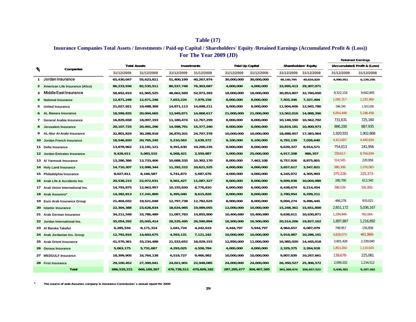### **Table (17)**

### **For The Year 2009 (JD) Insurance Companies Total Assets / Investments / Paid-up Capital / Shareholders' Equity /Retained Earnings (Accumulated Profit & (Loss))**

|                 |                                  |             |                     |             |             |               |                 |             |                             |               | <b>Retained Earnings</b>      |
|-----------------|----------------------------------|-------------|---------------------|-------------|-------------|---------------|-----------------|-------------|-----------------------------|---------------|-------------------------------|
| $\mathcal{U}_0$ | Companies                        |             | <b>Total Assets</b> |             | Investments |               | Paid Up Capital |             | <b>Shareholders' Equity</b> |               | (Accumulated) Profit & (Loss) |
|                 |                                  | 31/12/2009  | 31/12/2008          | 31/12/2009  | 31/12/2008  | 31/12/2009    | 31/12/2008      | 31/12/2009  | 31/12/2008                  | 31/12/2009    | 31/12/2008                    |
| $\mathbf{1}$    | Jordan Insurance                 | 65,430,047  | 55,623,811          | 51,400,199  | 40,267,974  | 30,000,000    | 30,000,000      | 48,140,795  | 40,634,829                  | 4,990,951     | 6,139,256                     |
| 2               | American Life Insurance (Alico)  | 86,233,936  | 82,535,511          | 80,537,748  | 76,303,687  | 4,000,000     | 4,000,000       | 33,995,413  | 29,307,071                  |               |                               |
| 3               | Middle East Insurance            | 58,852,819  | 61,965,525          | 48,662,569  | 52,973,393  | 18,000,000    | 18,000,000      | 30,853,807  | 32,760,050                  | 8,322,116     | 9,642,845                     |
|                 | <b>National Insurance</b>        | 12,871,248  | 12,671,246          | 7,653,224   | 7,979,156   | 8,000,000     | 8,000,000       | 7,503,346   | 7,337,494                   | $1,092,317 -$ | 1,220,360-                    |
| 5               | <b>United Insurance</b>          | 21,027,921  | 19,488,368          | 14,871,113  | 14,098,211  | 8,000,000     | 8,000,000       | 11,904,606  | 12,942,780                  | 586,349       | 1,503,208                     |
| 6               | <b>AL Manara Insurance</b>       | 18,599,835  | 20,004,665          | 12,949,871  | 14,868,617  | 21,000,000    | 21,000,000      | 13,562,016  | 14,888,396                  | $6,854,448-$  | $5,248,458-$                  |
| 7               | <b>General Arabia Insurance</b>  | 16,829,658  | 18,097,193          | 11,180,474  | 12,767,259  | 8,000,000     | 8,000,000       | 10,148,550  | 10,562,702                  | 731,631       | 725,160                       |
| 8               | Jerusalem Insurance              | 20,107,725  | 20,491,296          | 14,598,791  | 15,377,240  | 8,000,000     | 8,000,000       | 10,819,181  | 10,400,973                  | 886,200       | 887,935                       |
| 9               | AL-Nisr Al-Arabi Insurance       | 32,801,829  | 30,288,918          | 26,870,201  | 24,797,378  | 10,000,000    | 10,000,000      | 18,688,457  | 17,383,964                  | 1,920,931     | 1,902,868                     |
|                 | 10 Jordan French Insurance       | 18,546,820  | 20,765,245          | 5,210,563   | 3,639,572   | 9,100,000     | 9,100,000       | 6,783,139   | 7,026,640                   | $4,413,607 -$ | 4,440,834-                    |
|                 | 11 Delta Insurance               | 13,878,962  | 13,191,121          | 9,391,630   | 10,200,235  | 8,000,000     | 8,000,000       | 9,639,327   | 8,914,571                   | 754,013       | 241,956                       |
|                 | 12 Jordan Emirates Insurance     | 9,428,611   | 5,083,515           | 6,568,421   | 2,559,887   | 5,000,000     | 25,000,000      | 4,917,208   | 986,357                     | $259,617 -$   | 8,704,839-                    |
|                 | 13 Al Yarmouk Insurance          | 13,286,386  | 13,733,406          | 10,688,335  | 10,302,170  | 8,000,000     | 7,462,108       | 8,757,926   | 8,875,801                   | $514,545 -$   | 220,958                       |
|                 | 14 Holy Land Insurance           | 14,710,207  | 12,998,344          | 11,292,222  | 10,621,525  | 4,000,000     | 4,000,000       | 3,657,617   | 3,547,821                   | 980,306-      | 1,076,083-                    |
|                 | 15 Philadelphia Insurance        | 8,027,811   | 8,166,587           | 5,741,872   | 5,687,676   | 4,000,000     | 4,000,000       | 4,245,972   | 4,305,903                   | $375,226 -$   | $225,373 -$                   |
|                 | 16 Arab Life & Accidents Ins.    | 20,538,215  | 22,972,631          | 9,501,427   | 11,087,327  | 8,000,000     | 8,000,000       | 9,699,838   | 10,004,989                  | 280,790       | 613,340                       |
|                 | 17 Arab Union International Ins. | 14,793,875  | 12,963,957          | 10,155,650  | 8,776,810   | 6,000,000     | 6,000,000       | 6,438,674   | 6,214,454                   | 396,539-      | 581,892-                      |
|                 | 18 Arab Assurers*                | 14,382,813  | 17,241,800          | 6,395,040   | 8,615,826   | 8,000,000     | 8,000,000       | 2,780,954   | 6,299,211                   |               |                               |
|                 | 19 Euro Arab Insurance Group     | 21,404,032  | 19,521,048          | 12,797,738  | 12,782,625  | 8,000,000     | 8,000,000       | 9,094,274   | 9,496,445                   | 466,278       | 933,021                       |
|                 | 20 Islamic Insurance             | 22,304,388  | 23,628,834          | 18,634,985  | 19,089,055  | 12,000,000    | 10,000,000      | 15,248,361  | 15,651,800                  | 2,651,172     | 5,036,167                     |
|                 | 21 Arab German Insurance         | 34,211,548  | 33,786,489          | 11,097,783  | 14,855,800  | 10,400,680    | 10,400,680      | 9,638,611   | 10,630,871                  | 1,294,846-    | 762,064-                      |
|                 | 22 Jordan International Ins.     | 35,054,292  | 35,045,414          | 28,535,495  | 26,590,894  | 16,500,000    | 16,500,000      | 20,514,206  | 19,827,162                  | 1,897,887     | 1,216,892                     |
|                 | 23 Al Baraka Takaful             | 6,285,534   | 8,171,314           | 1,041,724   | 4,242,619   | 4,444,797     | 5,944,797       | 4,964,657   | 6,087,079                   | 749,957       | 156,858                       |
|                 | 24 Arab Jordanian Ins. Group     | 12,792,816  | 14,603,675          | 4,593,131   | 7,121,242   | 10,000,000    | 10,000,000      | 5,919,987   | 10,286,191                  | 4,828,073-    | $461,869 -$                   |
|                 | 25 Arab Orient Insurance         | 41,570,361  | 33,234,488          | 21,533,652  | 18,029,153  | 12,850,000    | 11,000,000      | 16,985,020  | 14,445,018                  | 2,601,426     | 2,339,040                     |
|                 | 26 Gerasa Insurance              | 5,063,175   | 5,731,687           | 4,293,025   | 4,558,784   | 4,000,000     | 4,000,000       | 2,329,375   | 2,264,918                   | 1,853,200-    | $1,110,043 -$                 |
|                 | 27 MEDGULF Insurance             | 18,399,905  | 16,764,138          | 6,519,727   | 9,466,982   | 10,000,000    | 10,000,000      | 9,807,830   | 10,267,661                  | $139,678 -$   | 225,061                       |
|                 | 28 First Insurance               | 29,100,452  | 27,399,041          | 24,021,901  | 22,948,085  | 24,000,000    | 24,000,000      | 26,350,527  | 25,306,372                  | 2,099,202     | 1,234,512                     |
|                 | <b>Total</b>                     | 686,535,221 | 666, 169, 267       | 476,738,511 | 470,609,182 | 287, 295, 477 | 304,407,585     | 363,389,674 | 356,657,523                 | 5,936,501     | 9,187,262                     |

**\*The source of arab Assurers company is Insurance Commission ´s annual report for 2009**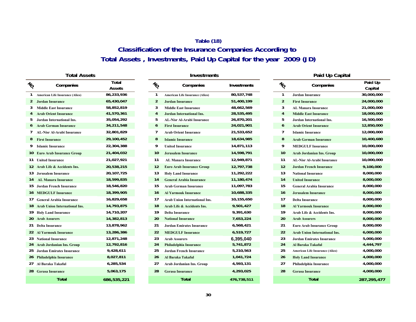# **Table (18) Classification of the Insurance Companies According to Total Assets , Investments, Paid Up Capital for the year 2009 (JD)**

|                | <b>Total Assets</b>                  |                 |                 | Investm                            |
|----------------|--------------------------------------|-----------------|-----------------|------------------------------------|
| $\frac{1}{2}$  | Companies                            | Total<br>Assets | $\mathcal{U}_O$ | Companies                          |
| 1              | American Life Insurance (Alico)      | 86,233,936      | 1               | American Life Insurance (Alico)    |
| $\overline{2}$ | <b>Jordan Insurance</b>              | 65,430,047      | $\overline{2}$  | <b>Jordan Insurance</b>            |
| 3              | <b>Middle East Insurance</b>         | 58,852,819      | 3               | <b>Middle East Insurance</b>       |
| 4              | <b>Arab Orient Insurance</b>         | 41,570,361      | $\overline{4}$  | <b>Jordan International Ins.</b>   |
| 5              | Jordan International Ins.            | 35,054,292      | 5               | <b>AL-Nisr Al-Arabi Insurance</b>  |
| 6              | <b>Arab German Insurance</b>         | 34,211,548      | 6               | <b>First Insurance</b>             |
| 7              | <b>AL-Nisr Al-Arabi Insurance</b>    | 32,801,829      | 7               | <b>Arab Orient Insurance</b>       |
| 8              | <b>First Insurance</b>               | 29,100,452      | 8               | <b>Islamic Insurance</b>           |
| 9              | <b>Islamic Insurance</b>             | 22,304,388      | 9               | <b>United Insurance</b>            |
| 10             | <b>Euro Arab Insurance Group</b>     | 21,404,032      | 10              | <b>Jerusalem Insurance</b>         |
| 11             | <b>United Insurance</b>              | 21,027,921      | 11              | <b>AL Manara Insurance</b>         |
| 12             | Arab Life & Accidents Ins.           | 20,538,215      | 12              | <b>Euro Arab Insurance Group</b>   |
| 13             | <b>Jerusalem Insurance</b>           | 20,107,725      | 13              | <b>Holy Land Insurance</b>         |
| 14             | <b>AL Manara Insurance</b>           | 18,599,835      | 14              | <b>General Arabia Insurance</b>    |
| 15             | <b>Jordan French Insurance</b>       | 18,546,820      | 15              | <b>Arab German Insurance</b>       |
| 16             | <b>MEDGULF Insurance</b>             | 18,399,905      | 16              | <b>Al Yarmouk Insurance</b>        |
| 17             | <b>General Arabia Insurance</b>      | 16,829,658      | 17              | <b>Arab Union International In</b> |
| 18             | <b>Arab Union International Ins.</b> | 14,793,875      | 18              | Arab Life & Accidents Ins.         |
| 19             | <b>Holy Land Insurance</b>           | 14,710,207      | 19              | <b>Delta Insurance</b>             |
| 20             | <b>Arab Assurers</b>                 | 14,382,813      | 20              | <b>National Insurance</b>          |
| 21             | <b>Delta Insurance</b>               | 13,878,962      | 21              | <b>Jordan Emirates Insurance</b>   |
| 22             | <b>Al Yarmouk Insurance</b>          | 13,286,386      | 22              | <b>MEDGULF Insurance</b>           |
| 23             | <b>National Insurance</b>            | 12,871,248      | 23              | <b>Arab Assurers</b>               |
| 24             | <b>Arab Jordanian Ins. Group</b>     | 12,792,816      | 24              | Philadelphia Insurance             |
| 25             | <b>Jordan Emirates Insurance</b>     | 9,428,611       | 25              | <b>Jordan French Insurance</b>     |
| 26             | Philadelphia Insurance               | 8,027,811       | 26              | Al Baraka Takaful                  |
| 27             | Al Baraka Takaful                    | 6,285,534       | 27              | Arab Jordanian Ins. Group          |
| 28             | <b>Gerasa Insurance</b>              | 5,063,175       | 28              | <b>Gerasa Insurance</b>            |
|                | Total                                | 686 535 221     |                 | Total                              |

|   | Total Assets                           |                        |                 | <b>Investments</b>                |                    |                 | Paid Up Capital                      |                    |
|---|----------------------------------------|------------------------|-----------------|-----------------------------------|--------------------|-----------------|--------------------------------------|--------------------|
| ъ | Companies                              | <b>Total</b><br>Assets | $\mathcal{U}_O$ | Companies                         | <b>Investments</b> | $\mathcal{U}_O$ | Companies                            | Paid Up<br>Capital |
|   | <b>American Life Insurance (Alico)</b> | 86,233,936             | 1               | American Life Insurance (Alico)   | 80,537,748         | $\mathbf{1}$    | <b>Jordan Insurance</b>              | 30,000,000         |
| 2 | Jordan Insurance                       | 65,430,047             | $\overline{2}$  | <b>Jordan Insurance</b>           | 51,400,199         | $\overline{2}$  | <b>First Insurance</b>               | 24,000,000         |
| 3 | <b>Middle East Insurance</b>           | 58,852,819             | 3               | <b>Middle East Insurance</b>      | 48,662,569         | 3               | <b>AL Manara Insurance</b>           | 21,000,000         |
| 4 | <b>Arab Orient Insurance</b>           | 41,570,361             | 4               | <b>Jordan International Ins.</b>  | 28,535,495         | $\overline{4}$  | <b>Middle East Insurance</b>         | 18,000,000         |
| 5 | Jordan International Ins.              | 35,054,292             | 5               | <b>AL-Nisr Al-Arabi Insurance</b> | 26,870,201         | 5               | Jordan International Ins.            | 16,500,000         |
| 6 | <b>Arab German Insurance</b>           | 34,211,548             | 6               | <b>First Insurance</b>            | 24,021,901         | 6               | <b>Arab Orient Insurance</b>         | 12,850,000         |
|   | 7 AL-Nisr Al-Arabi Insurance           | 32,801,829             | 7               | <b>Arab Orient Insurance</b>      | 21,533,652         | 7               | <b>Islamic Insurance</b>             | 12,000,000         |
|   | 8 First Insurance                      | 29,100,452             | 8               | <b>Islamic Insurance</b>          | 18,634,985         | 8               | <b>Arab German Insurance</b>         | 10,400,680         |
|   | 9 Islamic Insurance                    | 22,304,388             | 9               | <b>United Insurance</b>           | 14,871,113         | 9               | <b>MEDGULF Insurance</b>             | 10,000,000         |
|   | 10 Euro Arab Insurance Group           | 21,404,032             | 10              | <b>Jerusalem Insurance</b>        | 14,598,791         | 10              | <b>Arab Jordanian Ins. Group</b>     | 10,000,000         |
|   | 11 United Insurance                    | 21,027,921             | 11              | <b>AL Manara Insurance</b>        | 12,949,871         | 11              | <b>AL-Nisr Al-Arabi Insurance</b>    | 10,000,000         |
|   | 2 Arab Life & Accidents Ins.           | 20,538,215             | 12              | <b>Euro Arab Insurance Group</b>  | 12,797,738         | 12              | <b>Jordan French Insurance</b>       | 9,100,000          |
|   | l 3 Jerusalem Insurance                | 20,107,725             | 13              | <b>Holy Land Insurance</b>        | 11,292,222         | 13              | <b>National Insurance</b>            | 8,000,000          |
|   | <sup>14</sup> AL Manara Insurance      | 18,599,835             | 14              | <b>General Arabia Insurance</b>   | 11,180,474         | 14              | <b>United Insurance</b>              | 8,000,000          |
|   | 5 Jordan French Insurance              | 18,546,820             | 15              | <b>Arab German Insurance</b>      | 11,097,783         | 15              | <b>General Arabia Insurance</b>      | 8,000,000          |
|   | <b>16 MEDGULF Insurance</b>            | 18,399,905             | 16              | <b>Al Yarmouk Insurance</b>       | 10,688,335         | 16              | <b>Jerusalem Insurance</b>           | 8,000,000          |
|   | l 7 – General Arabia Insurance         | 16,829,658             | 17              | Arab Union International Ins.     | 10,155,650         | 17              | <b>Delta Insurance</b>               | 8,000,000          |
|   | 8 Arab Union International Ins.        | 14,793,875             | 18              | Arab Life & Accidents Ins.        | 9,501,427          | 18              | <b>Al Yarmouk Insurance</b>          | 8,000,000          |
|   | 19 Holy Land Insurance                 | 14,710,207             | 19              | <b>Delta Insurance</b>            | 9,391,630          | 19              | Arab Life & Accidents Ins.           | 8,000,000          |
|   | 20 Arab Assurers                       | 14,382,813             | 20              | <b>National Insurance</b>         | 7,653,224          | 20              | <b>Arab Assurers</b>                 | 8,000,000          |
|   | <sup>21</sup> Delta Insurance          | 13,878,962             | 21              | <b>Jordan Emirates Insurance</b>  | 6,568,421          | 21              | <b>Euro Arab Insurance Group</b>     | 8,000,000          |
|   | <sup>22</sup> Al Yarmouk Insurance     | 13,286,386             | 22              | <b>MEDGULF Insurance</b>          | 6,519,727          | 22              | <b>Arab Union International Ins.</b> | 6,000,000          |
|   | 23 National Insurance                  | 12,871,248             | 23              | <b>Arab Assurers</b>              | 6,395,040          | 23              | <b>Jordan Emirates Insurance</b>     | 5,000,000          |
|   | 24 Arab Jordanian Ins. Group           | 12,792,816             | 24              | <b>Philadelphia Insurance</b>     | 5,741,872          | 24              | Al Baraka Takaful                    | 4,444,797          |
|   | 25 Jordan Emirates Insurance           | 9,428,611              | 25              | <b>Jordan French Insurance</b>    | 5,210,563          | 25              | American Life Insurance (Alico)      | 4,000,000          |
|   | 26 Philadelphia Insurance              | 8,027,811              | 26              | Al Baraka Takaful                 | 1,041,724          | 26              | <b>Holy Land Insurance</b>           | 4,000,000          |
|   | 27 Al Baraka Takaful                   | 6,285,534              | 27              | Arab Jordanian Ins. Group         | 4,593,131          | 27              | Philadelphia Insurance               | 4,000,000          |
|   | 28 Gerasa Insurance                    | 5,063,175              | 28              | <b>Gerasa Insurance</b>           | 4,293,025          | 28              | <b>Gerasa Insurance</b>              | 4,000,000          |
|   | <b>Total</b>                           | 686,535,221            |                 | <b>Total</b>                      | 476,738,511        |                 | <b>Total</b>                         | 287, 295, 477      |
|   |                                        |                        |                 |                                   |                    |                 |                                      |                    |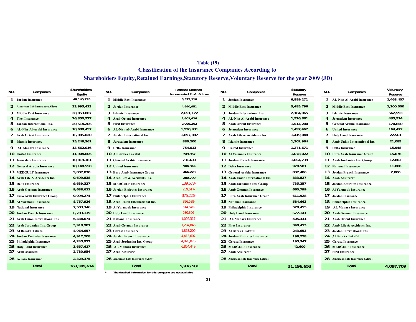### **Table (19) Classification of the Insurance Companies According to**

### **Shareholders Equity,Retained Earnings,Statutory Reserve,Voluntary Reserve for the year 2009 (JD)**

| NO. | Companies                           | Shareholders<br>Equity | NO. | Companies                                                   | <b>Retained Earnings</b><br><b>Accumulated Profit &amp; Loss</b> | NO. | Companies                          | Statutory<br>Reserve | NO.          | Companies                            | Voluntary<br>Reserve |
|-----|-------------------------------------|------------------------|-----|-------------------------------------------------------------|------------------------------------------------------------------|-----|------------------------------------|----------------------|--------------|--------------------------------------|----------------------|
|     | <b>Jordan Insurance</b>             | 48,140,795             |     | <b>Middle East Insurance</b>                                | 8.322.116                                                        |     | Jordan Insurance                   | 6,889,271            |              | <b>AL-Nisr Al-Arabi Insurance</b>    | 1,463,407            |
|     | 2 American Life Insurance (Alico)   | 33,995,413             |     | 2 Jordan Insurance                                          | 4,990,951                                                        |     | 2 Middle East Insurance            | 3,485,796            | 2            | <b>Middle East Insurance</b>         | 1,200,000            |
| 3   | <b>Middle East Insurance</b>        | 30,853,807             |     | 3 Islamic Insurance                                         | 2.651.172                                                        |     | 3 Jordan International Ins.        | 2,184,965            | 3            | <b>Islamic Insurance</b>             | 562,593              |
|     | <b>First Insurance</b>              | 26,350,527             |     | 4 Arab Orient Insurance                                     | 2,601,426                                                        |     | <b>AL-Nisr Al-Arabi Insurance</b>  | 1,576,881            |              | <b>Jerusalem Insurance</b>           | 435,514              |
|     | Jordan International Ins.           | 20,514,206             |     | 5 First Insurance                                           | 2,099,202                                                        |     | 5 Arab Orient Insurance            | 1,514,200            |              | <b>General Arabia Insurance</b>      | 170,650              |
|     | <b>6</b> AL-Nisr Al-Arabi Insurance | 18,688,457             |     | <b>6</b> AL-Nisr Al-Arabi Insurance                         | 1,920,931                                                        |     | <b>6</b> Jerusalem Insurance       | 1,497,467            |              | <b>United Insurance</b>              | 164,472              |
|     | 7 Arab Orient Insurance             | 16,985,020             |     | 7 Jordan International Ins.                                 | 1,897,887                                                        |     | 7 Arab Life & Accidents Ins.       | 1,419,048            |              | <b>Holy Land Insurance</b>           | 22,561               |
|     | 8 Islamic Insurance                 | 15,248,361             |     | 8 Jerusalem Insurance                                       | 886,200                                                          |     | 8 Islamic Insurance                | 1,302,964            | 8            | <b>Arab Union International Ins.</b> | 21,085               |
|     | <b>AL Manara Insurance</b>          | 13,562,016             |     | 9 Delta Insurance                                           | 754,013                                                          |     | 9 United Insurance                 | 1,271,671            | 9            | <b>Delta Insurance</b>               | 15,948               |
|     | <b>10</b> United Insurance          | 11,904,606             |     | <b>10 Al Baraka Takaful</b>                                 | 749,957                                                          |     | <b>10 Al Yarmouk Insurance</b>     | 1,078,022            |              | 10 Euro Arab Insurance Group         | 15,676               |
|     | 11 Jerusalem Insurance              | 10,819,181             |     | 11 General Arabia Insurance                                 | 731,631                                                          |     | 11 Jordan French Insurance         | 1,054,739            |              | 11 Arab Jordanian Ins. Group         | 12,803               |
|     | 12 General Arabia Insurance         | 10,148,550             |     | <b>12</b> United Insurance                                  | 586,349                                                          |     | 12 Delta Insurance                 | 978,501              | $12 \,$      | <b>National Insurance</b>            | 11,000               |
|     | <b>13 MEDGULF Insurance</b>         | 9,807,830              |     | 13 Euro Arab Insurance Group                                | 466,278                                                          |     | 13 General Arabia Insurance        | 837,486              | 13           | <b>Jordan French Insurance</b>       | 2,000                |
|     | 14 Arab Life & Accidents Ins.       | 9,699,838              |     | 14 Arab Life & Accidents Ins.                               | 280,790                                                          |     | 14 Arab Union International Ins.   | 833,827              |              | 14 Arab Assurers*                    |                      |
|     | 15 Delta Insurance                  | 9,639,327              |     | <b>15 MEDGULF Insurance</b>                                 | 139.678-                                                         |     | 15 Arab Jordanian Ins. Group       | 735,257              |              | 15 Jordan Emirates Insurance         |                      |
|     | 16 Arab German Insurance            | 9,638,611              |     | 16 Jordan Emirates Insurance                                | $259,617-$                                                       |     | 16 Arab German Insurance           | 660,799              |              | 16 Al Yarmouk Insurance              |                      |
|     | 17 Euro Arab Insurance Group        | 9,094,274              |     | 17 Philadelphia Insurance                                   | $375,226 -$                                                      |     | 17 Euro Arab Insurance Group       | 611,928              | 17           | Jordan Insurance                     |                      |
|     | <b>18 Al Yarmouk Insurance</b>      | 8,757,926              |     | 18 Arab Union International Ins.                            | 396,539-                                                         |     | <b>18</b> National Insurance       | 584,663              |              | 18 Philadelphia Insurance            |                      |
|     | 19 National Insurance               | 7,503,346              |     | 19 Al Yarmouk Insurance                                     | 514,545-                                                         |     | 19 Philadelphia Insurance          | 578,455              | 19           | AL Manara Insurance                  |                      |
|     | 20 Jordan French Insurance          | 6,783,139              |     | 20 Holy Land Insurance                                      | 980,306-                                                         |     | 20 Holy Land Insurance             | 577,141              | 20           | <b>Arab German Insurance</b>         |                      |
|     | 21 Arab Union International Ins.    | 6,438,674              |     | 21 National Insurance                                       | $1,092,317-$                                                     |     | 21 AL Manara Insurance             | 505,331              | 21           | <b>Arab Orient Insurance</b>         |                      |
|     | 22 Arab Jordanian Ins. Group        | 5,919,987              |     | 22 Arab German Insurance                                    | 1,294,846-                                                       |     | 22 First Insurance                 | 340,413              | $22^{\circ}$ | Arab Life & Accidents Ins.           |                      |
|     | 23 Al Baraka Takaful                | 4,964,657              |     | 23 Gerasa Insurance                                         | 1,853,200-                                                       |     | 23 Al Baraka Takaful               | 243,653              | 23           | Jordan International Ins.            |                      |
|     | 24 Jordan Emirates Insurance        | 4,917,208              |     | 24 Jordan French Insurance                                  | 4,413,607-                                                       |     | 24 Jordan Emirates Insurance       | 196,228              | 24           | Al Baraka Takaful                    |                      |
|     | 25 Philadelphia Insurance           | 4,245,972              |     | 25 Arab Jordanian Ins. Group                                | 4,828,073-                                                       |     | 25 Gerasa Insurance                | 195,347              | 25           | <b>Gerasa Insurance</b>              |                      |
|     | 26 Holy Land Insurance              | 3,657,617              |     | 26 AL Manara Insurance                                      | $6,854,448-$                                                     |     | <b>26 MEDGULF Insurance</b>        | 42,600               | 26           | <b>MEDGULF Insurance</b>             |                      |
|     | 27 Arab Assurers                    | 2,780,954              |     | 27 Arab Assurers*                                           |                                                                  |     | 27 Arab Assurers*                  |                      | 27           | <b>First Insurance</b>               |                      |
|     | 28 Gerasa Insurance                 | 2,329,375              |     | 28 American Life Insurance (Alico)                          |                                                                  |     | 28 American Life Insurance (Alico) |                      |              | 28 American Life Insurance (Alico)   |                      |
|     | <b>Total</b>                        | 363,389,674            |     | <b>Total</b>                                                | 5,936,501                                                        |     | <b>Total</b>                       | 31,196,653           |              | <b>Total</b>                         | 4,097,709            |
|     |                                     |                        |     | The detailed information for this company are not available |                                                                  |     |                                    |                      |              |                                      |                      |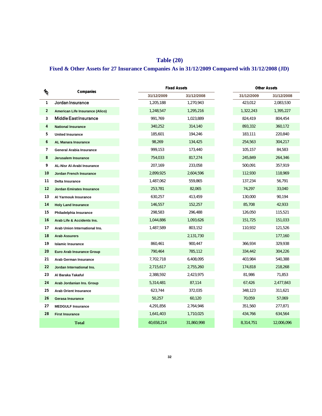# **Table (20)**

# **Fixed & Other Assets for 27 Insurance Companies As in 31/12/2009 Compared with 31/12/2008 (JD)**

| $\frac{1}{2}$<br>1 | Companies                         |            | <b>Fixed Assets</b> | <b>Other Assets</b> |            |  |
|--------------------|-----------------------------------|------------|---------------------|---------------------|------------|--|
|                    |                                   | 31/12/2009 | 31/12/2008          | 31/12/2009          | 31/12/2008 |  |
|                    | Jordan Insurance                  | 1,205,188  | 1,270,943           | 423,012             | 2,083,530  |  |
| $\overline{2}$     | American Life Insurance (Alico)   | 1,248,547  | 1,295,216           | 1,322,243           | 1,395,227  |  |
| 3                  | <b>Middle East Insurance</b>      | 991,769    | 1,023,889           | 824,419             | 804,454    |  |
| 4                  | <b>National Insurance</b>         | 340,252    | 314,140             | 893,332             | 360,172    |  |
| 5                  | <b>United Insurance</b>           | 185,601    | 194,246             | 183,111             | 220,840    |  |
| 6                  | <b>AL Manara Insurance</b>        | 98,269     | 134,425             | 254,563             | 304,217    |  |
| 7                  | <b>General Arabia Insurance</b>   | 999,153    | 173,440             | 105,157             | 84,583     |  |
| 8                  | Jerusalem Insurance               | 754,033    | 817,274             | 245,849             | 264,346    |  |
| 9                  | <b>AL-Nisr Al-Arabi Insurance</b> | 207,169    | 233,058             | 500,091             | 357,919    |  |
| 10                 | <b>Jordan French Insurance</b>    | 2,899,925  | 2,604,596           | 112,930             | 118,969    |  |
| 11                 | Delta Insurance                   | 1,487,062  | 559,865             | 137,234             | 56,791     |  |
| 12                 | <b>Jordan Emirates Insurance</b>  | 253,781    | 82,065              | 74,297              | 33,040     |  |
| 13                 | Al Yarmouk Insurance              | 630,257    | 413,459             | 130,000             | 90,194     |  |
| 14                 | <b>Holy Land Insurance</b>        | 146,557    | 152,257             | 85,708              | 42,933     |  |
| 15                 | Philadelphia Insurance            | 298,583    | 296,488             | 126,050             | 115,521    |  |
| 16                 | Arab Life & Accidents Ins.        | 1,044,886  | 1,093,626           | 151,725             | 151,033    |  |
| 17                 | Arab Union International Ins.     | 1,487,589  | 803,152             | 110,932             | 121,526    |  |
| 18                 | <b>Arab Assurers</b>              |            | 2,131,730           |                     | 177,160    |  |
| 19                 | <b>Islamic Insurance</b>          | 860,461    | 900,447             | 366,934             | 329,938    |  |
| 20                 | <b>Euro Arab Insurance Group</b>  | 790,464    | 785,112             | 334,442             | 304,226    |  |
| 21                 | Arab German Insurance             | 7,702,718  | 6,408,095           | 403,984             | 540,388    |  |
| 22                 | Jordan International Ins.         | 2,715,617  | 2,755,260           | 174,818             | 218,268    |  |
| 23                 | Al Baraka Takaful                 | 2,388,592  | 2,423,975           | 81,986              | 71,853     |  |
| 24                 | Arab Jordanian Ins. Group         | 5,314,481  | 87,114              | 67,426              | 2,477,843  |  |
| 25                 | <b>Arab Orient Insurance</b>      | 623,744    | 372,035             | 348,123             | 311,621    |  |
| 26                 | <b>Gerasa Insurance</b>           | 50,257     | 60,120              | 70,059              | 57,069     |  |
| 27                 | <b>MEDGULF Insurance</b>          | 4,291,856  | 2,764,946           | 351,560             | 277,871    |  |
| 28                 | <b>First Insurance</b>            | 1,641,403  | 1,710,025           | 434,766             | 634,564    |  |
|                    | <b>Total</b>                      | 40,658,214 | 31,860,998          | 8,314,751           | 12,006,096 |  |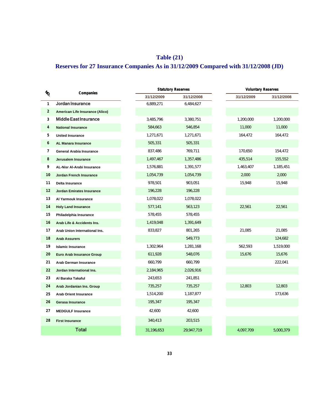# **Table (21) Reserves for 27 Insurance Companies As in 31/12/2009 Compared with 31/12/2008 (JD)**

| $\ensuremath{\mathnormal{v}}_{\!\!\mathnormal{Q}}$ | Companies                        |            | <b>Statutory Reserves</b> | <b>Voluntary Reserves</b> |            |  |  |
|----------------------------------------------------|----------------------------------|------------|---------------------------|---------------------------|------------|--|--|
|                                                    |                                  | 31/12/2009 | 31/12/2008                | 31/12/2009                | 31/12/2008 |  |  |
| $\mathbf{1}$                                       | Jordan Insurance                 | 6,889,271  | 6,484,627                 |                           |            |  |  |
| $\overline{2}$                                     | American Life Insurance (Alico)  |            |                           |                           |            |  |  |
| 3                                                  | Middle East Insurance            | 3,485,796  | 3,380,751                 | 1,200,000                 | 1,200,000  |  |  |
| 4                                                  | <b>National Insurance</b>        | 584,663    | 546,854                   | 11,000                    | 11,000     |  |  |
| 5                                                  | <b>United Insurance</b>          | 1,271,671  | 1,271,671                 | 164,472                   | 164,472    |  |  |
| 6                                                  | <b>AL Manara Insurance</b>       | 505,331    | 505,331                   |                           |            |  |  |
| 7                                                  | <b>General Arabia Insurance</b>  | 837,486    | 769,711                   | 170,650                   | 154,472    |  |  |
| 8                                                  | Jerusalem Insurance              | 1,497,467  | 1,357,486                 | 435,514                   | 155,552    |  |  |
| 9                                                  | AL-Nisr Al-Arabi Insurance       | 1,576,881  | 1,391,577                 | 1,463,407                 | 1,185,451  |  |  |
| 10                                                 | <b>Jordan French Insurance</b>   | 1,054,739  | 1,054,739                 | 2,000                     | 2,000      |  |  |
| 11                                                 | Delta Insurance                  | 978,501    | 903,051                   | 15,948                    | 15,948     |  |  |
| 12                                                 | <b>Jordan Emirates Insurance</b> | 196,228    | 196,228                   |                           |            |  |  |
| 13                                                 | Al Yarmouk Insurance             | 1,078,022  | 1,078,022                 |                           |            |  |  |
| 14                                                 | <b>Holy Land Insurance</b>       | 577,141    | 563,123                   | 22,561                    | 22,561     |  |  |
| 15                                                 | Philadelphia Insurance           | 578,455    | 578,455                   |                           |            |  |  |
| 16                                                 | Arab Life & Accidents Ins.       | 1,419,048  | 1,391,649                 |                           |            |  |  |
| 17                                                 | Arab Union International Ins.    | 833,827    | 801,265                   | 21,085                    | 21,085     |  |  |
| 18                                                 | <b>Arab Assurers</b>             |            | 549,773                   |                           | 124,682    |  |  |
| 19                                                 | <b>Islamic Insurance</b>         | 1,302,964  | 1,281,168                 | 562,593                   | 1,519,000  |  |  |
| 20                                                 | Euro Arab Insurance Group        | 611,928    | 548,076                   | 15,676                    | 15,676     |  |  |
| 21                                                 | Arab German Insurance            | 660,799    | 660,799                   |                           | 222,041    |  |  |
| 22                                                 | Jordan International Ins.        | 2,184,965  | 2,026,916                 |                           |            |  |  |
| 23                                                 | Al Baraka Takaful                | 243,653    | 241,851                   |                           |            |  |  |
| 24                                                 | Arab Jordanian Ins. Group        | 735,257    | 735,257                   | 12,803                    | 12,803     |  |  |
| 25                                                 | <b>Arab Orient Insurance</b>     | 1,514,200  | 1,187,877                 |                           | 173,636    |  |  |
| 26                                                 | Gerasa Insurance                 | 195,347    | 195,347                   |                           |            |  |  |
| 27                                                 | <b>MEDGULF Insurance</b>         | 42,600     | 42,600                    |                           |            |  |  |
| 28                                                 | <b>First Insurance</b>           | 340,413    | 203,515                   |                           |            |  |  |
|                                                    | Total                            | 31,196,653 | 29.947.719                | 4,097,709                 | 5.000.379  |  |  |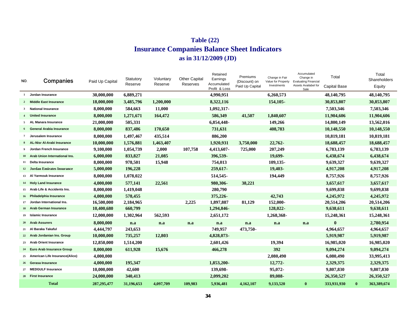# **Insurance Companies Balance Sheet Indicators as in 31/12/2009 (JD) Table (22)**

| NO.              | <b>Companies</b>                  | Paid Up Capital | Statutory<br>Reserve | Voluntary<br>Reserve | <b>Other Capital</b><br>Reserves | Retained<br>Earnings<br>Accumulated<br>Profit & Loss | Premiums<br>(Discount) on<br>Paid Up Capital | Change in Fair<br>Value for Property<br>Investments | Accumulated<br>Change in<br><b>Evaluating Financial</b><br>Assets Availabel for<br>Sale | Total<br><b>Capital Base</b> |          | Total<br>Shareholders<br>Equity |
|------------------|-----------------------------------|-----------------|----------------------|----------------------|----------------------------------|------------------------------------------------------|----------------------------------------------|-----------------------------------------------------|-----------------------------------------------------------------------------------------|------------------------------|----------|---------------------------------|
| $\mathbf{1}$     | Jordan Insurance                  | 30,000,000      | 6,889,271            |                      |                                  | 4,990,951                                            |                                              | 6,260,573                                           |                                                                                         | 48,140,795                   |          | 48,140,795                      |
| $\overline{2}$   | <b>Middle East Insurance</b>      | 18,000,000      | 3,485,796            | 1,200,000            |                                  | 8,322,116                                            |                                              | 154,105-                                            |                                                                                         | 30,853,807                   |          | 30,853,807                      |
| 3                | <b>National Insurance</b>         | 8,000,000       | 584,663              | 11,000               |                                  | 1,092,317-                                           |                                              |                                                     |                                                                                         | 7,503,346                    |          | 7,503,346                       |
| $\boldsymbol{4}$ | <b>United Insurance</b>           | 8,000,000       | 1,271,671            | 164,472              |                                  | 586,349                                              | 41,507                                       | 1,840,607                                           |                                                                                         | 11,904,606                   |          | 11,904,606                      |
| 5                | AL Manara Insurance               | 21,000,000      | 505,331              |                      |                                  | 6,854,448-                                           |                                              | 149,266                                             |                                                                                         | 14,800,149                   |          | 13,562,016                      |
|                  | <b>General Arabia Insurance</b>   | 8,000,000       | 837,486              | 170,650              |                                  | 731,631                                              |                                              | 408,783                                             |                                                                                         | 10,148,550                   |          | 10,148,550                      |
| $\overline{7}$   | Jerusalem Insurance               | 8,000,000       | 1,497,467            | 435,514              |                                  | 886,200                                              |                                              |                                                     |                                                                                         | 10,819,181                   |          | 10,819,181                      |
|                  | <b>AL-Nisr Al-Arabi Insurance</b> | 10,000,000      | 1,576,881            | 1,463,407            |                                  | 1,920,931                                            | 3,750,000                                    | 22,762-                                             |                                                                                         | 18,688,457                   |          | 18,688,457                      |
|                  | Jordan French Insurance           | 9,100,000       | 1,054,739            | 2,000                | 107,758                          | 4,413,607-                                           | 725,000                                      | 207,249                                             |                                                                                         | 6,783,139                    |          | 6,783,139                       |
| 10               | Arab Union International Ins.     | 6,000,000       | 833,827              | 21,085               |                                  | 396.539-                                             |                                              | 19,699-                                             |                                                                                         | 6,438,674                    |          | 6,438,674                       |
| 11               | Delta Insurance                   | 8,000,000       | 978,501              | 15,948               |                                  | 754,013                                              |                                              | 109,135-                                            |                                                                                         | 9,639,327                    |          | 9,639,327                       |
|                  | 12 Jordan Emirates Insurance      | 5,000,000       | 196,228              |                      |                                  | 259,617-                                             |                                              | 19,403-                                             |                                                                                         | 4,917,208                    |          | 4,917,208                       |
|                  | 13 Al Yarmouk Insurance           | 8,000,000       | 1,078,022            |                      |                                  | 514,545-                                             |                                              | 194,449                                             |                                                                                         | 8,757,926                    |          | 8,757,926                       |
|                  | 14 Holy Land Insurance            | 4,000,000       | 577,141              | 22,561               |                                  | 980,306-                                             | 38,221                                       |                                                     |                                                                                         | 3,657,617                    |          | 3,657,617                       |
| 15               | Arab Life & Accidents Ins.        | 8,000,000       | 1,419,048            |                      |                                  | 280,790                                              |                                              |                                                     |                                                                                         | 9,699,838                    |          | 9,699,838                       |
| 16               | Philadelphia Insurance            | 4,000,000       | 578,455              |                      |                                  | 375,226-                                             |                                              | 42,743                                              |                                                                                         | 4,245,972                    |          | 4,245,972                       |
| 17               | Jordan International Ins.         | 16,500,000      | 2,184,965            |                      | 2,225                            | 1,897,887                                            | 81,129                                       | 152,000-                                            |                                                                                         | 20,514,206                   |          | 20,514,206                      |
|                  | <b>Arab German Insurance</b>      | 10,400,680      | 660,799              |                      |                                  | 1,294,846-                                           |                                              | 128,022-                                            |                                                                                         | 9,638,611                    |          | 9,638,611                       |
| 19               | <b>Islamic Insurance</b>          | 12,000,000      | 1,302,964            | 562,593              |                                  | 2,651,172                                            |                                              | 1,268,368-                                          |                                                                                         | 15,248,361                   |          | 15,248,361                      |
| 20               | <b>Arab Assurers</b>              | 8,000,000       | n.a                  | n.a                  | n.a                              | n.a                                                  | n.a                                          | n.a                                                 | n.a                                                                                     | $\bf{0}$                     |          | 2,780,954                       |
| 21               | Al Baraka Takaful                 | 4,444,797       | 243,653              |                      |                                  | 749,957                                              | 473,750-                                     |                                                     |                                                                                         | 4,964,657                    |          | 4,964,657                       |
| 22               | Arab Jordanian Ins. Group         | 10,000,000      | 735,257              | 12,803               |                                  | 4,828,073-                                           |                                              |                                                     |                                                                                         | 5,919,987                    |          | 5,919,987                       |
| 23               | <b>Arab Orient Insurance</b>      | 12,850,000      | 1,514,200            |                      |                                  | 2,601,426                                            |                                              | 19,394                                              |                                                                                         | 16,985,020                   |          | 16,985,020                      |
| 24               | <b>Euro Arab Insurance Group</b>  | 8,000,000       | 611,928              | 15,676               |                                  | 466,278                                              |                                              | 392                                                 |                                                                                         | 9,094,274                    |          | 9,094,274                       |
| 25               | American Life Insurance(Alico)    | 4,000,000       |                      |                      |                                  |                                                      |                                              | 2,080,490                                           |                                                                                         | 6,080,490                    |          | 33,995,413                      |
| 26               | Gerasa Insurance                  | 4,000,000       | 195,347              |                      |                                  | 1,853,200-                                           |                                              | 12,772-                                             |                                                                                         | 2,329,375                    |          | 2,329,375                       |
| 27               | <b>MEDGULF Insurance</b>          | 10,000,000      | 42,600               |                      |                                  | 139,698-                                             |                                              | 95,072-                                             |                                                                                         | 9,807,830                    |          | 9,807,830                       |
|                  | 28 First Insurance                | 24,000,000      | 340,413              |                      |                                  | 2,099,202                                            |                                              | 89,088-                                             |                                                                                         | 26,350,527                   |          | 26,350,527                      |
|                  | <b>Total</b>                      | 287, 295, 477   | 31,196,653           | 4,097,709            | 109,983                          | 5,936,481                                            | 4,162,107                                    | 9,133,520                                           | $\bf{0}$                                                                                | 333,931,930                  | $\bf{0}$ | 363,389,674                     |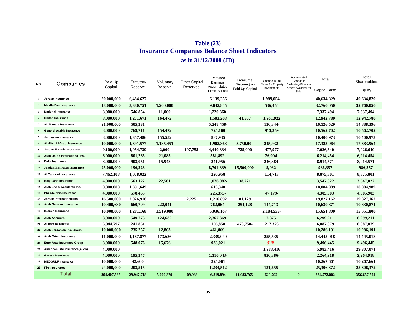# **Table (23) Insurance Companies Balance Sheet Indicators as in 31/12/2008 (JD)**

| NO.            | Companies                         | Paid Up<br>Capital | Statutory<br>Reserve | Voluntary<br>Reserve | <b>Other Capital</b><br>Reserves | Retained<br>Earnings<br>Accumulated<br>Profit & Loss | Premiums<br>(Discount) on<br>Paid Up Capital | Change in Fair<br>Value for Property<br>Investments | Accumulated<br>Change in<br><b>Evaluating Financial</b><br>Assets Availabel for<br>Sale | Total<br><b>Capital Base</b> | Total<br>Shareholders<br>Equity |
|----------------|-----------------------------------|--------------------|----------------------|----------------------|----------------------------------|------------------------------------------------------|----------------------------------------------|-----------------------------------------------------|-----------------------------------------------------------------------------------------|------------------------------|---------------------------------|
| $\mathbf{1}$   | Jordan Insurance                  | 30,000,000         | 6,484,627            |                      |                                  | 6,139,256                                            |                                              | 1,989,054-                                          |                                                                                         | 40,634,829                   | 40,634,829                      |
|                | 2 Middle East Insurance           | 18,000,000         | 3,380,751            | 1,200,000            |                                  | 9,642,845                                            |                                              | 536,454                                             |                                                                                         | 32,760,050                   | 32,760,050                      |
| 3              | <b>National Insurance</b>         | 8,000,000          | 546,854              | 11,000               |                                  | 1,220,360-                                           |                                              |                                                     |                                                                                         | 7,337,494                    | 7,337,494                       |
|                | <b>United Insurance</b>           | 8,000,000          | 1,271,671            | 164,472              |                                  | 1,503,208                                            | 41,507                                       | 1,961,922                                           |                                                                                         | 12,942,780                   | 12,942,780                      |
| 5              | AL Manara Insurance               | 21,000,000         | 505,331              |                      |                                  | 5,248,458-                                           |                                              | 130,344-                                            |                                                                                         | 16,126,529                   | 14,888,396                      |
|                | <b>General Arabia Insurance</b>   | 8,000,000          | 769,711              | 154,472              |                                  | 725,160                                              |                                              | 913,359                                             |                                                                                         | 10,562,702                   | 10,562,702                      |
| $\overline{7}$ | Jerusalem Insurance               | 8,000,000          | 1,357,486            | 155,552              |                                  | 887,935                                              |                                              |                                                     |                                                                                         | 10,400,973                   | 10,400,973                      |
|                | <b>AL-Nisr Al-Arabi Insurance</b> | 10,000,000         | 1,391,577            | 1,185,451            |                                  | 1,902,868                                            | 3,750,000                                    | 845,932-                                            |                                                                                         | 17,383,964                   | 17,383,964                      |
|                | Jordan French Insurance           | 9,100,000          | 1,054,739            | 2,000                | 107,758                          | 4,440,834-                                           | 725,000                                      | 477,977                                             |                                                                                         | 7,026,640                    | 7,026,640                       |
| 10             | Arab Union International Ins.     | 6,000,000          | 801,265              | 21,085               |                                  | 581,892-                                             |                                              | 26,004-                                             |                                                                                         | 6,214,454                    | 6,214,454                       |
| 11             | Delta Insurance                   | 8,000,000          | 903,051              | 15,948               |                                  | 241,956                                              |                                              | 246,384-                                            |                                                                                         | 8,914,571                    | 8,914,571                       |
|                | 12 Jordan Emirates Insurance      | 25,000,000         | 196,228              |                      |                                  | 8,704,839-                                           | 15,500,000-                                  | $5,032-$                                            |                                                                                         | 986,357                      | 986,357                         |
| 13             | Al Yarmouk Insurance              | 7,462,108          | 1,078,022            |                      |                                  | 220,958                                              |                                              | 114,713                                             |                                                                                         | 8,875,801                    | 8,875,801                       |
|                | 14 Holy Land Insurance            | 4,000,000          | 563,122              | 22,561               |                                  | 1,076,082-                                           | 38,221                                       |                                                     |                                                                                         | 3,547,822                    | 3,547,822                       |
|                | 15 Arab Life & Accidents Ins.     | 8,000,000          | 1,391,649            |                      |                                  | 613,340                                              |                                              |                                                     |                                                                                         | 10,004,989                   | 10,004,989                      |
| 16             | Philadelphia Insurance            | 4,000,000          | 578,455              |                      |                                  | 225,373-                                             |                                              | 47.179-                                             |                                                                                         | 4,305,903                    | 4,305,903                       |
| 17             | Jordan International Ins.         | 16,500,000         | 2,026,916            |                      | 2,225                            | 1,216,892                                            | 81,129                                       |                                                     |                                                                                         | 19,827,162                   | 19,827,162                      |
| 18             | <b>Arab German Insurance</b>      | 10,400,680         | 660,799              | 222,041              |                                  | 762,064-                                             | 254,128                                      | 144,713-                                            |                                                                                         | 10,630,871                   | 10,630,871                      |
| 19             | <b>Islamic Insurance</b>          | 10,000,000         | 1,281,168            | 1,519,000            |                                  | 5,036,167                                            |                                              | 2,184,535-                                          |                                                                                         | 15,651,800                   | 15,651,800                      |
| 20             | <b>Arab Assurers</b>              | 8,000,000          | 549,773              | 124,682              |                                  | 2,367,369-                                           |                                              | 7,875-                                              |                                                                                         | 6,299,211                    | 6,299,211                       |
|                | 21 Al Baraka Takaful              | 5,944,797          | 241,851              |                      |                                  | 156,858                                              | 473,750-                                     | 217,323                                             |                                                                                         | 6,087,079                    | 6,087,079                       |
|                | 22 Arab Jordanian Ins. Group      | 10,000,000         | 735,257              | 12,803               |                                  | 461,869-                                             |                                              |                                                     |                                                                                         | 10,286,191                   | 10,286,191                      |
| 23             | <b>Arab Orient Insurance</b>      | 11,000,000         | 1,187,877            | 173,636              |                                  | 2,339,040                                            |                                              | 255,535-                                            |                                                                                         | 14,445,018                   | 14,445,018                      |
|                | 24 Euro Arab Insurance Group      | 8,000,000          | 548,076              | 15,676               |                                  | 933,021                                              |                                              | $328 -$                                             |                                                                                         | 9,496,445                    | 9,496,445                       |
| 25             | American Life Insurance(Alico)    | 4,000,000          |                      |                      |                                  |                                                      |                                              | 1,983,416                                           |                                                                                         | 5,983,416                    | 29,307,071                      |
| 26             | <b>Gerasa Insurance</b>           | 4,000,000          | 195,347              |                      |                                  | 1,110,043-                                           |                                              | 820,386-                                            |                                                                                         | 2,264,918                    | 2,264,918                       |
| 27             | <b>MEDGULF Insurance</b>          | 10,000,000         | 42,600               |                      |                                  | 225,061                                              |                                              |                                                     |                                                                                         | 10,267,661                   | 10,267,661                      |
|                | 28 First Insurance                | 24,000,000         | 203,515              |                      |                                  | 1,234,512                                            |                                              | 131,655-                                            |                                                                                         | 25,306,372                   | 25,306,372                      |
|                | Total                             | 304,407,585        | 29,947,718           | 5,000,379            | 109,983                          | 6,819,894                                            | 11,083,765-                                  | 629,792-                                            | $\bf{0}$                                                                                | 334,572,002                  | 356,657,524                     |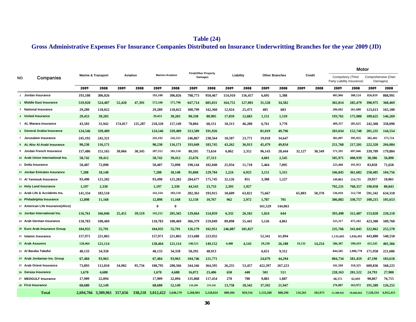# **Table (24)**

# **Gross Administrative Expenses For Insurance Companies Distributed on Insurance Underwritting Branches for the year 2009 (JD)**

|     |                                   |         |                               |         |                 |                        |             |                                |                |         |           |           |                       |         |         |                                                 | <b>Motor</b> |           |                                |
|-----|-----------------------------------|---------|-------------------------------|---------|-----------------|------------------------|-------------|--------------------------------|----------------|---------|-----------|-----------|-----------------------|---------|---------|-------------------------------------------------|--------------|-----------|--------------------------------|
| NO. | Companies                         |         | <b>Marine &amp; Transport</b> |         | <b>Aviation</b> | <b>Marine+Aviation</b> |             | <b>Fire&amp;Other Property</b> | <b>Damages</b> |         | Liability |           | <b>Other Branches</b> |         | Credit  | Compulsory (Third<br>Party Liability Insurance) |              |           | Comprehensive (Own<br>Damages) |
|     |                                   | 2009    | 2008                          | 2009    | 2008            | 2009                   | 2008        | 2009                           | 2008           | 2009    | 2008      | 2009      | 2008                  | 2009    | 2008    | 2009                                            | 2008         | 2009      | 2008                           |
|     | 1 Jordan Insurance                | 193,108 | 306,026                       |         |                 | 193.108                | 306.026     | 708,773                        | 950,467        | 154,910 | 156,457   | 6,695     | 5,388                 |         |         | 405.966                                         | 308.124      | 826,819   | 808.991                        |
|     | 2 Middle East Insurance           | 519,920 | 524,407                       | 52,420  | 47,391          | 572,340                | 571,798     | 647,714                        | 605,031        | 164,751 | 127,001   | 31,528    | 34,582                |         |         | 302,814                                         | 285,479      | 398,975   | 368,469                        |
|     | 3 National Insurance              | 29,289  | 118,022                       |         |                 | 29,289                 | 118,022     | 300,799                        | 342,360        | 12,924  | 25,473    | 405       | 603                   |         |         | 206,602                                         | 261,688      | 123,613   | 165,180                        |
|     | 4 United Insurance                | 29,453  | 39,203                        |         |                 | 29,453                 | 39,203      | 90,338                         | 80,905         | 17,059  | 12,683    | 1,151     | 1,519                 |         |         | 193,761                                         | 175,980      | 189,625   | 146,269                        |
|     | 5 AL Manara Insurance             | 43,503  | 31,942                        | 174.817 | 125,207         | 218,320                | 157,149     | 70,004                         | 68,151         | 18,313  | 46,208    | 6,761     | 3,770                 |         |         | 409,357                                         | 285,625      | 242,368   | 358,090                        |
|     | 6 General Arabia Insurance        | 124,546 | 339,409                       |         |                 | 124,546                | 339,409     | 313,509                        | 191,926        |         |           | 81,019    | 49,796                |         |         | 203,034                                         | 152,740      | 201,235   | 144,554                        |
|     | 7 Jerusalem Insurance             | 245,192 | 242,321                       |         |                 | 245,192                | 242,321     | 246,867                        | 230,564        | 10,507  | 23,771    | 19,018    | 34,647                |         |         | 381,897                                         | 395,955      | 382,401   | 373,724                        |
|     | 8 AL-Nisr Al-Arabi Insurance      | 90.230  | 116,171                       |         |                 | 90.230                 | 116,171     | 193,049                        | 183,745        | 43,262  | 36.913    | 45,479    | 49,834                |         |         | 251,768                                         | 217.501      | 222,320   | 204,084                        |
|     | 9 Jordan French Insurance         | 157.486 | 151.165                       | 30,066  | 30,345          | 187,552                | 181,510     | 80,595                         | 73,634         | 6,862   | 2,352     | 96,143    | 28,444                | 32,127  | 30,349  | 571,591                                         | 697,046      | 339,709   | 179,884                        |
|     | 10 Arab Union International Ins.  | 50,742  | 39,412                        |         |                 | 50,742                 | 39,412      | 25,676                         | 27,513         |         |           | 4,601     | 2,545                 |         |         | 505,971                                         | 408,939      | 38,386    | 56,890                         |
|     | 11 Delta Insurance                | 50,407  | 72,098                        |         |                 | 50,407                 | 72,098      | 190,144                        | 182,040        | 25,934  | 11,710    | 5,464     | 7,095                 |         |         | 223,468                                         | 191,953      | 83,858    | 71,658                         |
|     | 12 Jordan Emirates Insurance      | 7,288   | 18,148                        |         |                 | 7,288                  | 18,148      | 95,868                         | 129,704        | 1,224   | 6,925     | 3,151     | 5,315                 |         |         | 346,845                                         | 361,682      | 258,405   | 104,756                        |
|     | 13 Al Yarmouk Insurance           | 93,490  | 121,282                       |         |                 | 93,490                 | 121,282     | 284,677                        | 175,745        | 32,126  | 851       | 3,388     | 1,227                 |         |         | 149,863                                         | 214,735      | 29,957    | 18,061                         |
|     | 14 Holy Land Insurance            | 1,197   | 2,330                         |         |                 | 1,197                  | 2,330       | 44,543                         | 23,733         | 2,393   | 1,927     |           |                       |         |         | 792,231                                         | 768,357      | 198,058   | 80,043                         |
|     | 15 Arab Life & Accidents Ins.     | 141,334 | 183,510                       |         |                 | 141,334                | 183,510     | 202,363                        | 193,915        | 10,609  | 63,821    | 75,667    |                       | 65,003  | 58,370  | 536,010                                         | 512,730      | 591,342   | 634,318                        |
|     | 16 Philadelphia Insurance         | 12,898  | 11,168                        |         |                 | 12.898                 | 11.168      | 12,150                         | 10,767         | 962     | 2,972     | 1,787     | 701                   |         |         | 386,882                                         | 330,757      | 100.215   | 105,653                        |
|     | 17 American Life Insurance(Alico) |         |                               |         |                 | 0                      | $\mathbf 0$ |                                |                |         |           | 161,529   | 144,063               |         |         |                                                 |              |           |                                |
|     | 18 Jordan International Ins.      | 116,761 | 166,046                       | 25,451  | 39,519          | 142,212                | 205,565     | 129,664                        | 154,059        | 6,332   | 26,102    | 1,024     | 644                   |         |         | 393,498                                         | 312,487      | 153,028   | 220,210                        |
|     | 19 Arab German Insurance          | 118,783 | 108,469                       |         |                 | 118,783                | 108,469     | 366,379                        | 219,049        | 89,098  | 55,441    | 5,126     | 4,861                 |         |         | 525,317                                         | 475,182      | 423,300   | 509,760                        |
|     | 20 Euro Arab Insurance Group      | 104,935 | 55,791                        |         |                 | 104,935                | 55,791      | 126,179                        | 102,951        | 246,887 | 181,827   |           |                       |         |         | 235,766                                         | 341,045      | 322,062   | 255,578                        |
|     | 21 Islamic Insurance              | 157,971 | 221,865                       |         |                 | 157,971                | 221,865     | 213,688                        | 223,932        |         |           | 52,341    | 61,894                |         |         | 1,135,603                                       | 1,036,491    | 443,880   | 540,558                        |
|     | 22 Arab Assurers                  | 128,464 | 121,114                       |         |                 | 128,464                | 121,114     | 140,511                        | 149,152        | 4,408   | 4,143     | 29,230    | 26,188                | 19,131  | 14,254  | 586,387                                         | 599,419      | 415,345   | 401,366                        |
|     | 23 Al Baraka Takaful              | 48,133  | 34,358                        |         |                 | 48,133                 | 34,358      | 50,292                         | 48,913         |         |           | 6,651     | 9,312                 |         |         | 844,585                                         | 1,006,778    | 171.958   | 221,606                        |
|     | 24 Arab Jordanian Ins. Group      | 67,484  | 93,963                        |         |                 | 67.484                 | 93,963      | 104,746                        | 121,771        |         |           | 24,679    | 44,294                |         |         | 804,734                                         | 581,459      | 47.190    | 183,618                        |
|     | 25 Arab Orient Insurance          | 73,893  | 112,810                       | 34,902  | 95,756          | 108,795                | 208,566     | 344,166                        | 364,595        | 26,255  | 53,457    | 422,397   | 267,223               |         |         | 341,569                                         | 310,325      | 609,836   | 568,225                        |
|     | 26 Gerasa Insurance               | 1,670   | 4,688                         |         |                 | 1,670                  | 4,688       | 16,072                         | 23,406         | 650     | 440       | 501       | 511                   |         |         | 228,163                                         | 201,522      | 24,793    | 27,900                         |
|     | 27 MEDGULF Insurance              | 17,909  | 22,094                        |         |                 | 17,909                 | 22,094      | 135,868                        | 117,454        | 270     | 700       | 9,881     | 1,887                 |         |         | 68,372                                          | 62,693       | 98,067    | 76,715                         |
|     | 28 First Insurance                | 68,680  | 52,149                        |         |                 | 68,680                 | 52,149      | 134,269                        | 233,342        | 13,758  | 18,342    | 37,592    | 21,947                |         |         | 276,887                                         | 163,972      | 191,589   | 126,255                        |
|     | <b>Total</b>                      |         | 2,694,766 3,309,961 317,656   |         | 338,218         | 3,012,422              | 3,648,179   | 5,268,903                      | 5,228,824      | 889,494 | 859,516   | 1,133,208 | 808,290               | 116,261 | 102,973 | 11,308,941                                      | 10,660,664   | 7,128,334 | 6,952,415                      |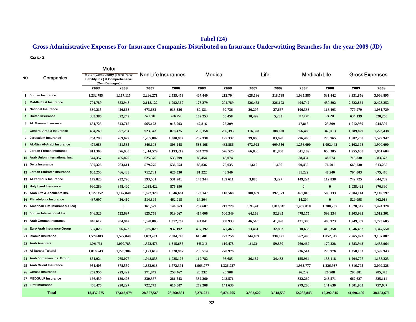# **Tabel (24)**

# **Gross Administrative Expenses For Insurance Companies Distributed on Insurance Underwritting Branches for the year 2009 (JD)**

#### **Cont.-2**

|     |                                   | Motor                                                                     |                |            |                     |           |                |           |           |            |              |            |                       |
|-----|-----------------------------------|---------------------------------------------------------------------------|----------------|------------|---------------------|-----------|----------------|-----------|-----------|------------|--------------|------------|-----------------------|
| NO. | Companies                         | <b>Motor (Compulsory (Third Party)</b><br>Liability Ins.) & Comprehensive | (Own Damages)) |            | Non Life Insurances |           | <b>Medical</b> |           | Life      |            | Medical+Life |            | <b>Gross Expenses</b> |
|     |                                   | 2009                                                                      | 2008           | 2009       | 2008                | 2009      | 2008           | 2009      | 2008      | 2009       | 2008         | 2009       | 2008                  |
|     | 1 Jordan Insurance                | 1,232,785                                                                 | 1,117,115      | 2,296,271  | 2,535,453           | 407,449   | 212,704        | 628,136   | 318,738   | 1,035,585  | 531,442      | 3,331,856  | 3,066,895             |
|     | 2 Middle East Insurance           | 701,789                                                                   | 653,948        | 2,118,122  | 1,992,360           | 178,279   | 204,789        | 226,463   | 226,103   | 404,742    | 430,892      | 2,522,864  | 2,423,252             |
|     | 3 National Insurance              | 330,215                                                                   | 426,868        | 673,632    | 913,326             | 80,131    | 90,736         | 26,207    | 27,667    | 106,338    | 118,403      | 779,970    | 1,031,729             |
|     | 4 United Insurance                | 383,386                                                                   | 322,249        | 521,387    | 456,559             | 102,253   | 58,458         | 10,499    | 5,233     | 112,752    | 63,691       | 634,139    | 520,250               |
|     | 5 AL Manara Insurance             | 651,725                                                                   | 643,715        | 965,123    | 918,993             | 47,816    | 25,309         |           |           | 47,816     | 25,309       | 1,012,939  | 944,302               |
|     | 6 General Arabia Insurance        | 404,269                                                                   | 297,294        | 923,343    | 878,425             | 250,158   | 236,393        | 116,328   | 108,620   | 366,486    | 345,013      | 1,289,829  | 1,223,438             |
|     | 7 Jerusalem Insurance             | 764,298                                                                   | 769,679        | 1,285,882  | 1,300,982           | 257,338   | 195,337        | 39,068    | 83,628    | 296,406    | 278,965      | 1,582,288  | 1,579,947             |
|     | 8 AL-Nisr Al-Arabi Insurance      | 474,088                                                                   | 421,585        | 846,108    | 808,248             | 583,168   | 482,886        | 672,922   | 609,556   | 1,256,090  | 1,092,442    | 2,102,198  | 1,900,690             |
|     | 9 Jordan French Insurance         | 911,300                                                                   | 876,930        | 1,314,579  | 1,193,219           | 574,279   | 576,525        | 66,830    | 81,860    | 641,109    | 658,385      | 1,955,688  | 1,851,604             |
|     | 10 Arab Union International Ins.  | 544,357                                                                   | 465,829        | 625,376    | 535,299             | 88,454    | 48,074         |           |           | 88,454     | 48,074       | 713,830    | 583,373               |
|     | 11 Delta Insurance                | 307,326                                                                   | 263,611        | 579,275    | 536,554             | 88,836    | 75,035         | 1,619     | 1,666     | 90,455     | 76,701       | 669,730    | 613,255               |
|     | 12 Jordan Emirates Insurance      | 605,250                                                                   | 466,438        | 712,781    | 626,530             | 81,222    | 48,940         |           |           | 81,222     | 48,940       | 794,003    | 675,470               |
|     | 13 Al Yarmouk Insurance           | 179,820                                                                   | 232,796        | 593,501    | 531,901             | 145,344   | 109,611        | 3,880     | 3,227     | 149,224    | 112,838      | 742,725    | 644,739               |
|     | 14 Holy Land Insurance            | 990,289                                                                   | 848,400        | 1,038,422  | 876,390             |           |                |           |           | $\bf{0}$   | $\bf{0}$     | 1,038,422  | 876,390               |
|     | 15 Arab Life & Accidents Ins.     | 1,127,352                                                                 | 1,147,048      | 1,622,328  | 1,646,664           | 173,147   | 110,560        | 288,669   | 392,573   | 461,816    | 503,133      | 2,084,144  | 2,149,797             |
|     | 16 Philadelphia Insurance         | 487,097                                                                   | 436,410        | 514,894    | 462,018             | 14,204    |                |           |           | 14,204     | $\bf{0}$     | 529,098    | 462,018               |
|     | 17 American Life Insurance(Alico) |                                                                           | $\bf{0}$       | 161,529    | 144,063             | 252,607   | 212,720        | 1,206,411 | 1,067,537 | 1,459,018  | 1,280,257    | 1,620,547  | 1,424,320             |
|     | 18 Jordan International Ins.      | 546,526                                                                   | 532,697        | 825,758    | 919,067             | 414,006   | 500,349        | 64,169    | 92,885    | 478,175    | 593,234      | 1,303,933  | 1,512,301             |
|     | 19 Arab German Insurance          | 948,617                                                                   | 984,942        | 1,528,003  | 1,372,762           | 374,841   | 358,933        | 46,545    | 41,990    | 421,386    | 400,923      | 1,949,389  | 1,773,685             |
|     | 20 Euro Arab Insurance Group      | 557,828                                                                   | 596,623        | 1,035,829  | 937,192             | 437,192   | 377,465        | 73,461    | 32,893    | 510,653    | 410,358      | 1,546,482  | 1,347,550             |
|     | 21 Islamic Insurance              | 1,579,483                                                                 | 1,577,049      | 2,003,483  | 2,084,740           | 618,481   | 722,256        | 344,009   | 330,091   | 962,490    | 1,052,347    | 2,965,973  | 3,137,087             |
|     | 22 Arab Assurers                  | 1,001,732                                                                 | 1,000,785      | 1,323,476  | 1,315,636           | 149,243   | 110,478        | 111,224   | 59,850    | 260,467    | 170,328      | 1,583,943  | 1,485,964             |
|     | 23 Al Baraka Takaful              | 1,016,543                                                                 | 1,228,384      | 1,121,619  | 1,320,967           | 236,514   | 278,976        |           |           | 236,514    | 278,976      | 1,358,133  | 1,599,943             |
|     | 24 Arab Jordanian Ins. Group      | 851,924                                                                   | 765,077        | 1,048,833  | 1,025,105           | 119,782   | 98,685         | 36,182    | 34,433    | 155,964    | 133,118      | 1,204,797  | 1,158,223             |
|     | 25 Arab Orient Insurance          | 951,405                                                                   | 878,550        | 1,853,018  | 1,772,391           | 1,963,777 | 1,326,937      |           |           | 1,963,777  | 1,326,937    | 3,816,795  | 3,099,328             |
|     | 26 Gerasa Insurance               | 252,956                                                                   | 229,422        | 271,849    | 258,467             | 26,232    | 26,908         |           |           | 26,232     | 26,908       | 298,081    | 285,375               |
|     | 27 MEDGULF Insurance              | 166,439                                                                   | 139,408        | 330,367    | 281,543             | 332,260   | 243,571        |           |           | 332,260    | 243,571      | 662,627    | 525,114               |
|     | 29 First Insurance                | 468,476                                                                   | 290,227        | 722,775    | 616,007             | 279,208   | 141,630        |           |           | 279,208    | 141,630      | 1,001,983  | 757,637               |
|     | <b>Total</b>                      | 18,437,275                                                                | 17,613,079     | 28,857,563 | 28,260,861          | 8,276,221 | 6,874,265      | 3,962,622 | 3,518,550 | 12,238,843 | 10,392,815   | 41,096,406 | 38,653,676            |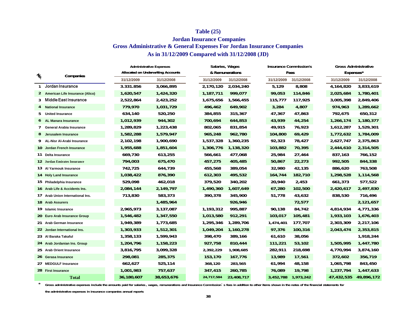### **Table (25)**

# **Jordan Insurance Companies Gross Administrative & General Expenses For Jordan Insurance Companies As in 31/12/2009 Compared with 31/12/2008 (JD)**

|               |                                   | <b>Administrative Expenses</b>            |            |  | Salaries, Wages |                 |            | <b>Insurance Commission's</b> | <b>Gross Administrative</b> |            |            |  |  |
|---------------|-----------------------------------|-------------------------------------------|------------|--|-----------------|-----------------|------------|-------------------------------|-----------------------------|------------|------------|--|--|
| $\frac{1}{2}$ | Companies                         | <b>Allocated on Underwriting Accounts</b> |            |  |                 | & Remunerations |            | Fees                          |                             | Expenses*  |            |  |  |
|               |                                   | 31/12/2009                                | 31/12/2008 |  | 31/12/2009      | 31/12/2008      | 31/12/2009 | 31/12/2008                    |                             | 31/12/2009 | 31/12/2008 |  |  |
|               | Jordan Insurance                  | 3.331.856                                 | 3,066,895  |  | 2,170,120       | 2,034,240       | 5,129      | 8,808                         |                             | 4,164,820  | 3,833,619  |  |  |
|               | 2 American Life Insurance (Alico) | 1,620,547                                 | 1,424,320  |  | 1,187,711       | 999,077         | 99,053     | 114,846                       |                             | 2,025,684  | 1,780,401  |  |  |
| 3             | Middle East Insurance             | 2,522,864                                 | 2,423,252  |  | 1,675,656       | 1,566,455       | 115,777    | 117,925                       |                             | 3,005,398  | 2,849,406  |  |  |
| 4             | <b>National Insurance</b>         | 779,970                                   | 1,031,729  |  | 496,462         | 649,902         | 3,284      | 4,807                         |                             | 974,963    | 1,289,662  |  |  |
| 5             | <b>United Insurance</b>           | 634,140                                   | 520,250    |  | 384,855         | 315,367         | 47,367     | 47,863                        |                             | 792,675    | 650,312    |  |  |
| 6             | <b>AL Manara Insurance</b>        | 1,012,939                                 | 944,302    |  | 700,694         | 644,853         | 43,939     | 44,254                        |                             | 1,266,174  | 1,180,377  |  |  |
| 7             | <b>General Arabia Insurance</b>   | 1,289,829                                 | 1,223,438  |  | 802,065         | 831,854         | 49,915     | 76,923                        |                             | 1,612,287  | 1,529,301  |  |  |
| 8             | Jerusalem Insurance               | 1,582,288                                 | 1,579,947  |  | 965,248         | 962,780         | 104,800    | 69,429                        |                             | 1,772,632  | 1,784,009  |  |  |
| 9             | AL-Nisr Al-Arabi Insurance        | 2,102,198                                 | 1,900,690  |  | 1,537,328       | 1,360,235       | 92,323     | 78,427                        |                             | 2,627,747  | 2,375,863  |  |  |
|               | 10 Jordan French Insurance        | 1,955,688                                 | 1,851,604  |  | 1,306,776       | 1,138,320       | 103,882    | 70,395                        |                             | 2,444,610  | 2,314,505  |  |  |
|               | 11 Delta Insurance                | 669,730                                   | 613,255    |  | 566,661         | 477,068         | 25,984     | 27,464                        |                             | 837,163    | 766,152    |  |  |
|               | 12 Jordan Emirates Insurance      | 794,003                                   | 675,470    |  | 457,275         | 405,485         | 50,867     | 22,273                        |                             | 992,505    | 844,338    |  |  |
|               | 13 Al Yarmouk Insurance           | 742,725                                   | 644,739    |  | 455,568         | 389,054         | 32,980     | 42,135                        |                             | 886,620    | 763,508    |  |  |
|               | 14 Holy Land Insurance            | 1,038,422                                 | 876,390    |  | 612,303         | 495,532         | 164,744    | 182,710                       |                             | 1,298,528  | 1,114,568  |  |  |
|               | 15 Philadelphia Insurance         | 529,098                                   | 462,018    |  | 379,520         | 340,202         | 20,940     | 2,453                         |                             | 661,373    | 577,522    |  |  |
|               | 16 Arab Life & Accidents Ins.     | 2,084,144                                 | 2,149,797  |  | 1,490,360       | 1,607,649       | 67,280     | 102,500                       |                             | 2,420,617  | 2,497,830  |  |  |
|               | 17 Arab Union International Ins.  | 713,830                                   | 583,373    |  | 390,378         | 345,900         | 51,778     | 43,632                        |                             | 838,530    | 716,496    |  |  |
|               | 18 Arab Assurers                  |                                           | 1,485,964  |  |                 | 926,946         |            | 72,577                        |                             |            | 2,121,657  |  |  |
|               | 19 Islamic Insurance              | 2,965,973                                 | 3,137,087  |  | 1,193,312       | 995,887         | 90,138     | 84,742                        |                             | 4,814,934  | 4,771,336  |  |  |
|               | 20 Euro Arab Insurance Group      | 1,546,482                                 | 1,347,550  |  | 1,013,580       | 912,291         | 103,017    | 105,481                       |                             | 1,933,103  | 1,676,403  |  |  |
|               | 21 Arab German Insurance          | 1,949,389                                 | 1,773,685  |  | 1,295,346       | 1,289,706       | 1,474,401  | 177,707                       |                             | 2,303,309  | 2,217,106  |  |  |
|               | 22 Jordan International Ins.      | 1,303,933                                 | 1,512,301  |  | 1,049,204       | 1,160,278       | 97,376     | 100,316                       |                             | 2,043,474  | 2,353,815  |  |  |
|               | 23 Al Baraka Takaful              | 1,358,133                                 | 1,599,943  |  | 398,470         | 389,166         | 61,610     | 38,056                        |                             |            | 1,918,244  |  |  |
|               | 24 Arab Jordanian Ins. Group      | 1,204,796                                 | 1,158,223  |  | 927,758         | 810,444         | 111,221    | 53,102                        |                             | 1,505,995  | 1,447,780  |  |  |
|               | 25 Arab Orient Insurance          | 3,816,795                                 | 3,099,328  |  | 2,392,229       | 1,908,685       | 282,911    | 218,698                       |                             | 4,770,994  | 3,874,160  |  |  |
|               | 26 Gerasa Insurance               | 298,081                                   | 285,375    |  | 153,170         | 167,776         | 13,989     | 17,561                        |                             | 372,602    | 356,719    |  |  |
|               | 27 MEDGULF Insurance              | 662,627                                   | 525,114    |  | 368,120         | 283,565         | 61,994     | 48,158                        |                             | 1,065,798  | 843,450    |  |  |
|               | 28 First Insurance                | 1,001,983                                 | 757,637    |  | 347,415         | 260,785         | 76,089     | 19,798                        |                             | 1,237,794  | 1,447,633  |  |  |
|               | <b>Total</b>                      | 36,180,607                                | 38,653,676 |  | 24,717,584      | 23,408,717      | 3,452,788  | 1,973,242                     |                             | 47,432,535 | 49,896,172 |  |  |

Gross administrative expenses include the amounts paid for salaries, wages, remunerations and Insurance Commission's fees in addition to other items shown in the notes of the financial statements for

**the administrative expenses in insurance companies annual reports** 

**\***